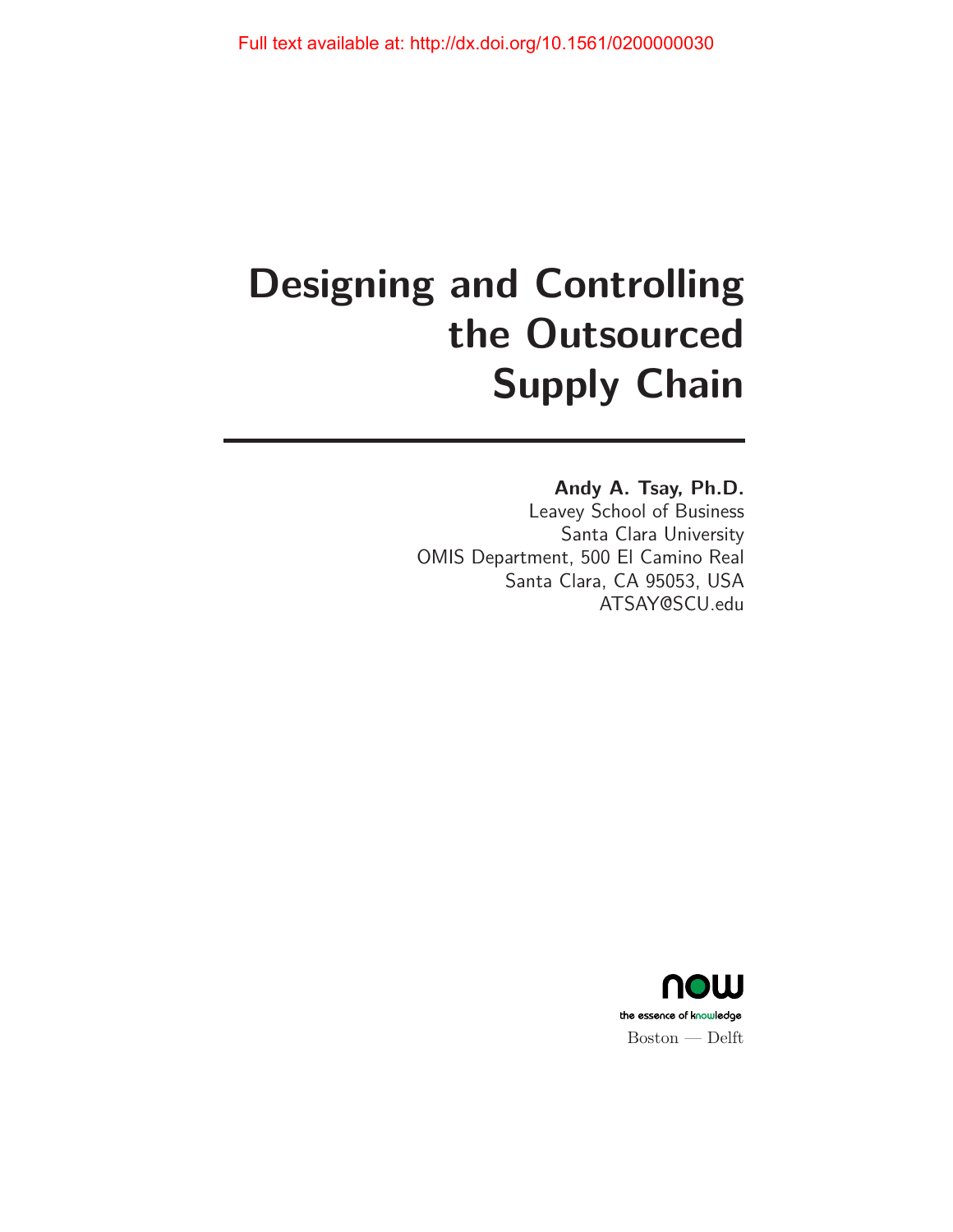# **Designing and Controlling the Outsourced Supply Chain**

## **Andy A. Tsay, Ph.D.** Leavey School of Business Santa Clara University OMIS Department, 500 El Camino Real Santa Clara, CA 95053, USA ATSAY@SCU.edu

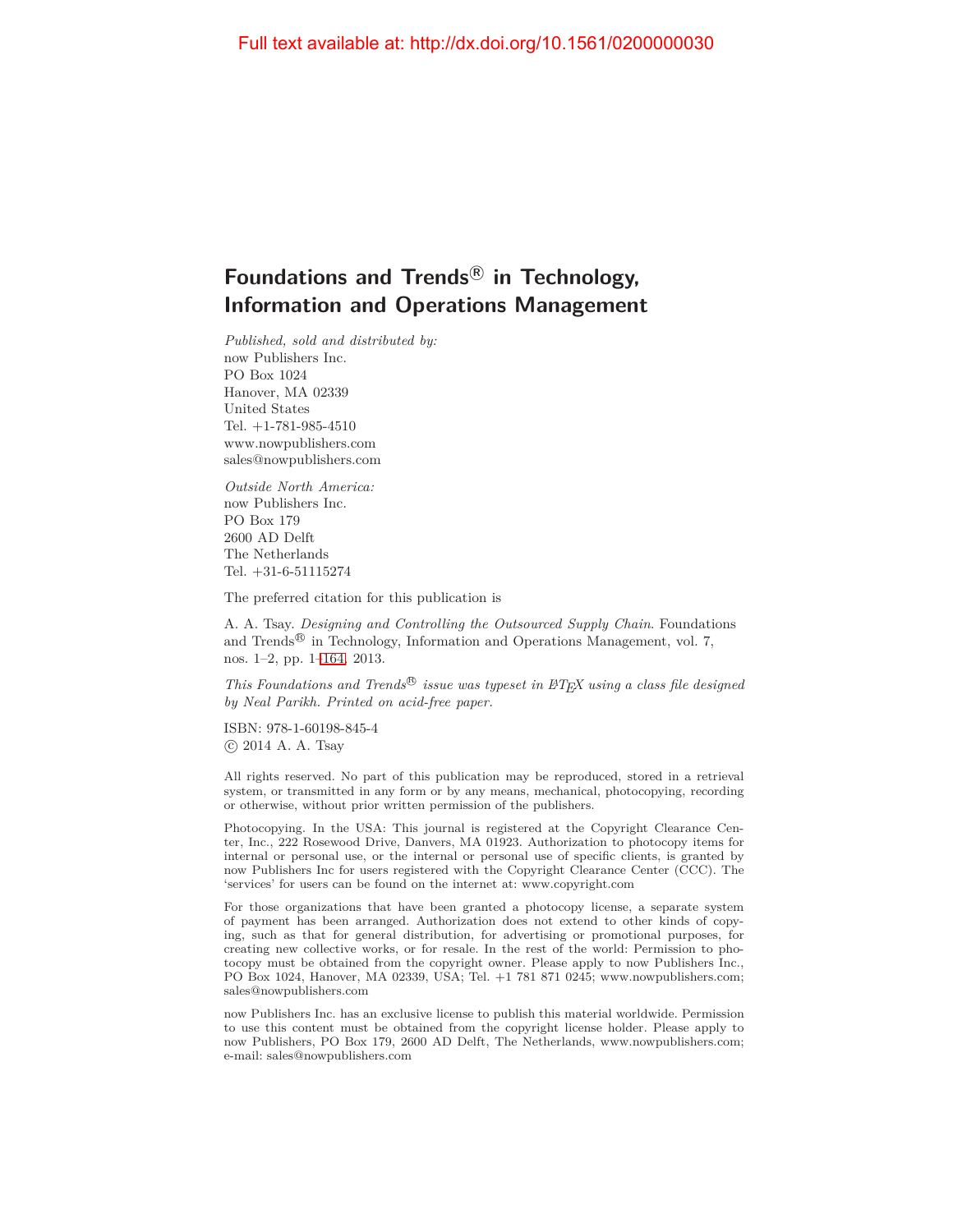## **Foundations and Trends<sup>R</sup> in Technology, Information and Operations Management**

*Published, sold and distributed by:* now Publishers Inc. PO Box 1024 Hanover, MA 02339 United States Tel. +1-781-985-4510 www.nowpublishers.com sales@nowpublishers.com

*Outside North America:* now Publishers Inc. PO Box 179 2600 AD Delft The Netherlands Tel. +31-6-51115274

The preferred citation for this publication is

A. A. Tsay. *Designing and Controlling the Outsourced Supply Chain*. Foundations and Trends<sup>®</sup> in Technology, Information and Operations Management, vol. 7, nos. 1–2, pp. 1–164, 2013.

*This Foundations and Trends*<sup>®</sup> *issue was typeset in BTEX using a class file designed by Neal Parikh. Printed on acid-free paper.*

ISBN: 978-1-60198-845-4 c 2014 A. A. Tsay

All rights reserved. No part of this publication may be reproduced, stored in a retrieval system, or transmitted in any form or by any means, mechanical, photocopying, recording or otherwise, without prior written permission of the publishers.

Photocopying. In the USA: This journal is registered at the Copyright Clearance Center, Inc., 222 Rosewood Drive, Danvers, MA 01923. Authorization to photocopy items for internal or personal use, or the internal or personal use of specific clients, is granted by now Publishers Inc for users registered with the Copyright Clearance Center (CCC). The 'services' for users can be found on the internet at: www.copyright.com

For those organizations that have been granted a photocopy license, a separate system of payment has been arranged. Authorization does not extend to other kinds of copying, such as that for general distribution, for advertising or promotional purposes, for creating new collective works, or for resale. In the rest of the world: Permission to photocopy must be obtained from the copyright owner. Please apply to now Publishers Inc., PO Box 1024, Hanover, MA 02339, USA; Tel. +1 781 871 0245; www.nowpublishers.com; sales@nowpublishers.com

now Publishers Inc. has an exclusive license to publish this material worldwide. Permission to use this content must be obtained from the copyright license holder. Please apply to now Publishers, PO Box 179, 2600 AD Delft, The Netherlands, www.nowpublishers.com; e-mail: sales@nowpublishers.com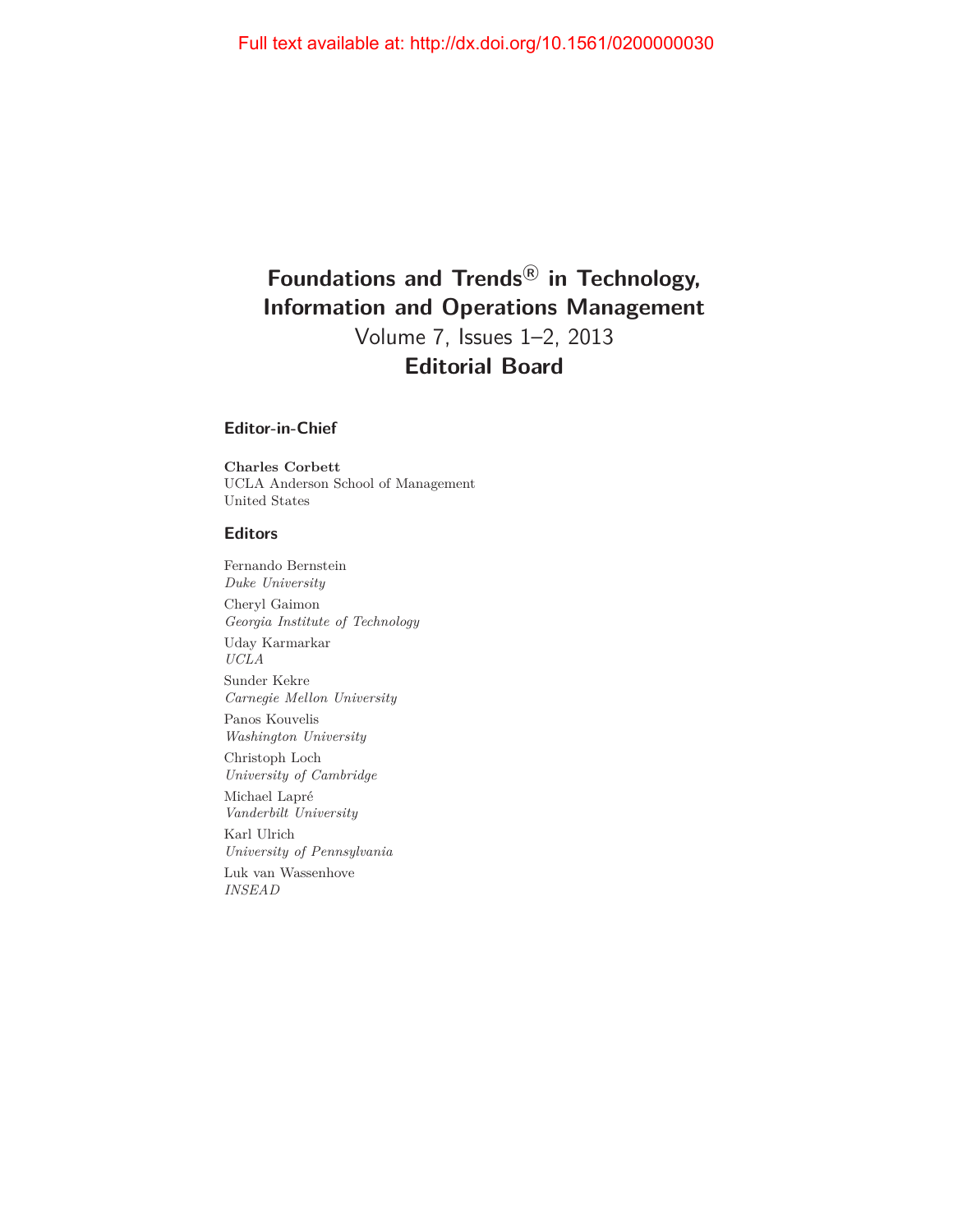## **Foundations and Trends<sup>R</sup> in Technology, Information and Operations Management** Volume 7, Issues 1–2, 2013 **Editorial Board**

### **Editor-in-Chief**

UCLA Anderson School of Management United States

#### **Editors**

Fernando Bernstein *Duke University* Cheryl Gaimon *Georgia Institute of Technology* Uday Karmarkar *UCLA* Sunder Kekre

*Carnegie Mellon University*

Panos Kouvelis *Washington University*

Christoph Loch *University of Cambridge*

Michael Lapré *Vanderbilt University* Karl Ulrich *University of Pennsylvania*

Luk van Wassenhove *INSEAD*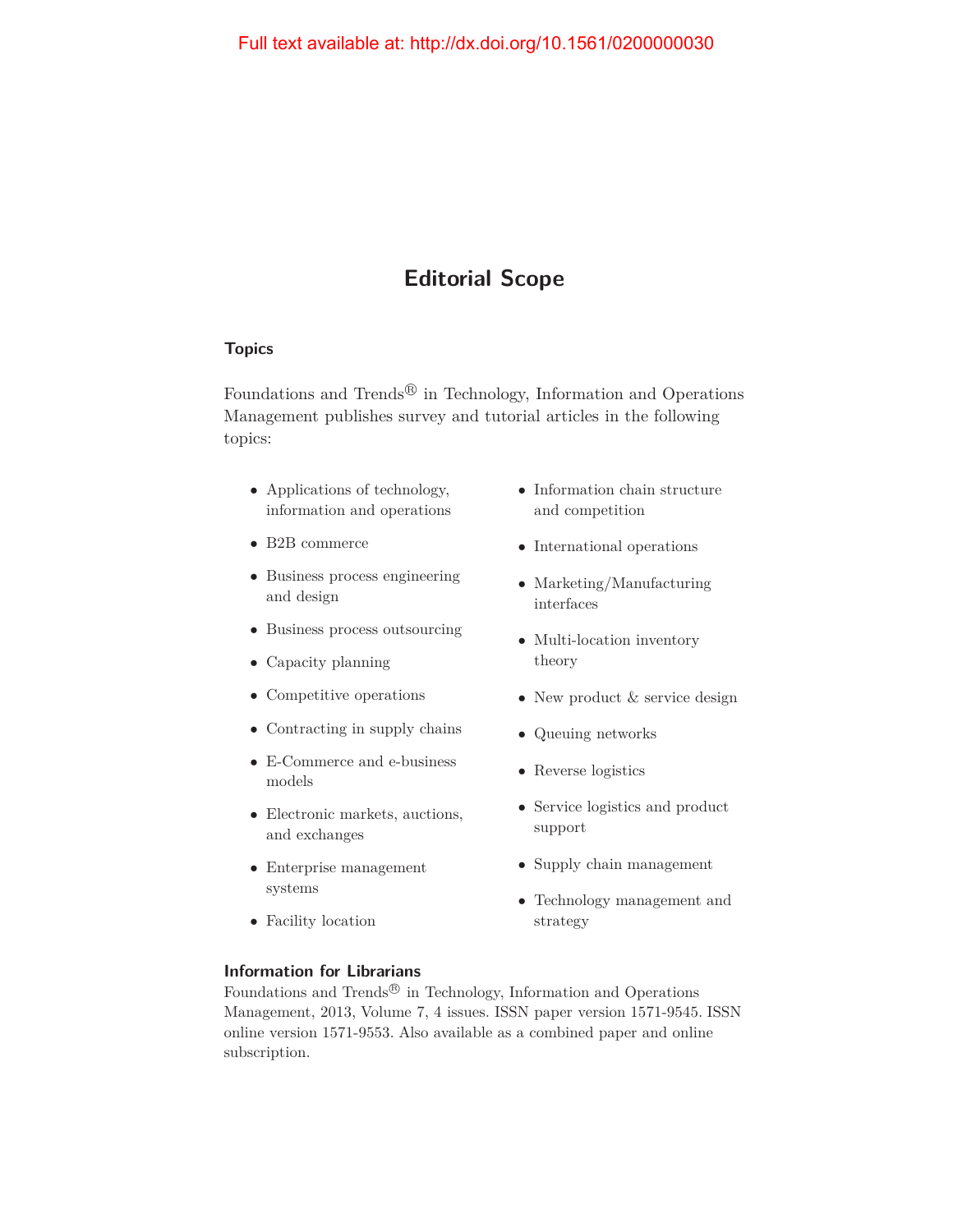## **Editorial Scope**

### **Topics**

Foundations and Trends<sup> $\circledR$ </sup> in Technology, Information and Operations Management publishes survey and tutorial articles in the following topics:

- Applications of technology, information and operations
- *•* B2B commerce
- *•* Business process engineering and design
- *•* Business process outsourcing
- *•* Capacity planning
- Competitive operations
- Contracting in supply chains
- *•* E-Commerce and e-business models
- *•* Electronic markets, auctions, and exchanges
- *•* Enterprise management systems
- *•* Facility location
- *•* Information chain structure and competition
- *•* International operations
- *•* Marketing/Manufacturing interfaces
- *•* Multi-location inventory theory
- New product  $\&$  service design
- *•* Queuing networks
- *•* Reverse logistics
- *•* Service logistics and product support
- *•* Supply chain management
- *•* Technology management and strategy

### **Information for Librarians**

Foundations and Trends $\mathcal{B}$  in Technology, Information and Operations Management, 2013, Volume 7, 4 issues. ISSN paper version 1571-9545. ISSN online version 1571-9553. Also available as a combined paper and online subscription.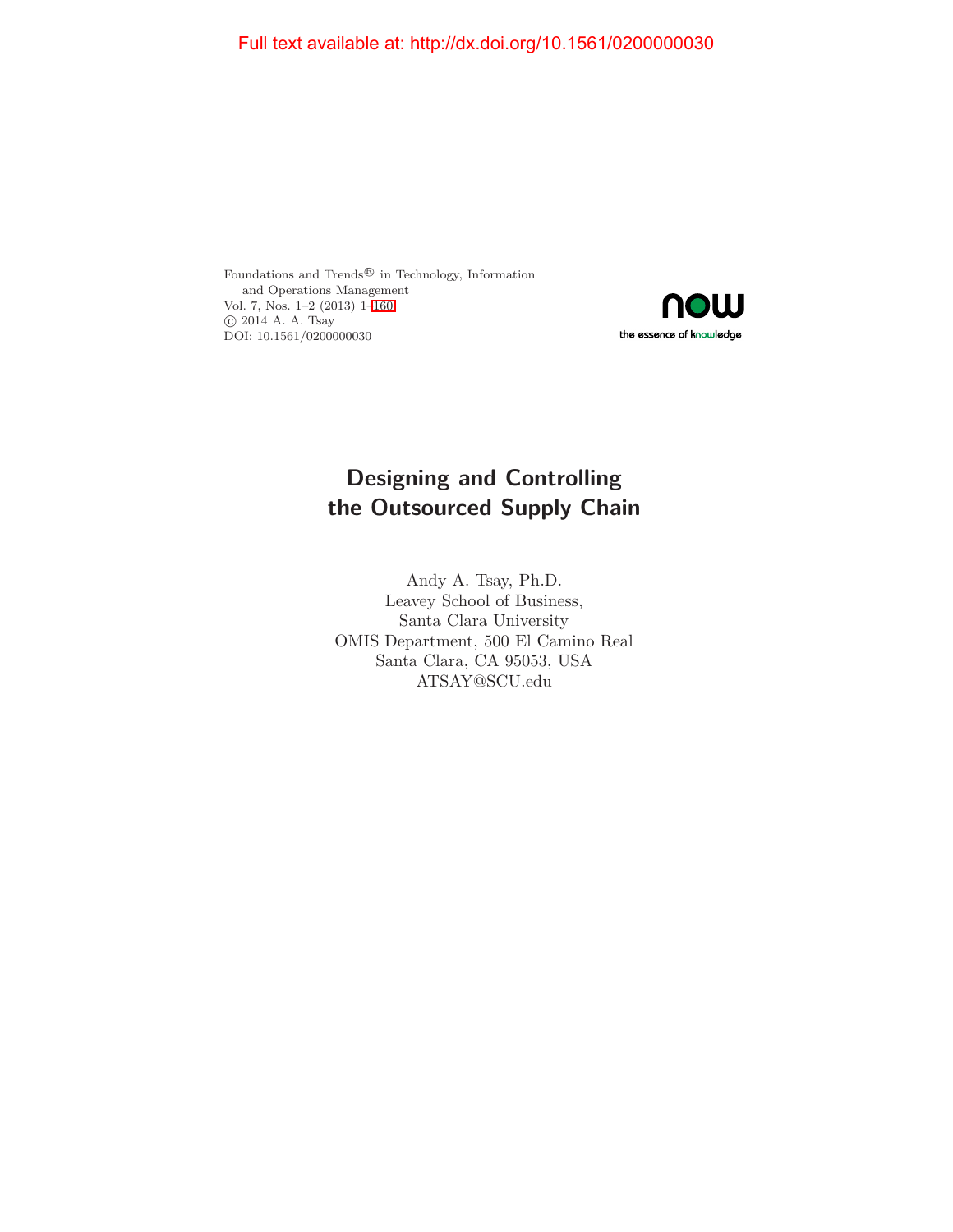Foundations and Trends $^{\circledR}$  in Technology, Information and Operations Management Vol. 7, Nos. 1–2 (2013) 1[–160](#page-40-0) c 2014 A. A. Tsay DOI: 10.1561/0200000030



## **Designing and Controlling the Outsourced Supply Chain**

Andy A. Tsay, Ph.D. Leavey School of Business, Santa Clara University OMIS Department, 500 El Camino Real Santa Clara, CA 95053, USA ATSAY@SCU.edu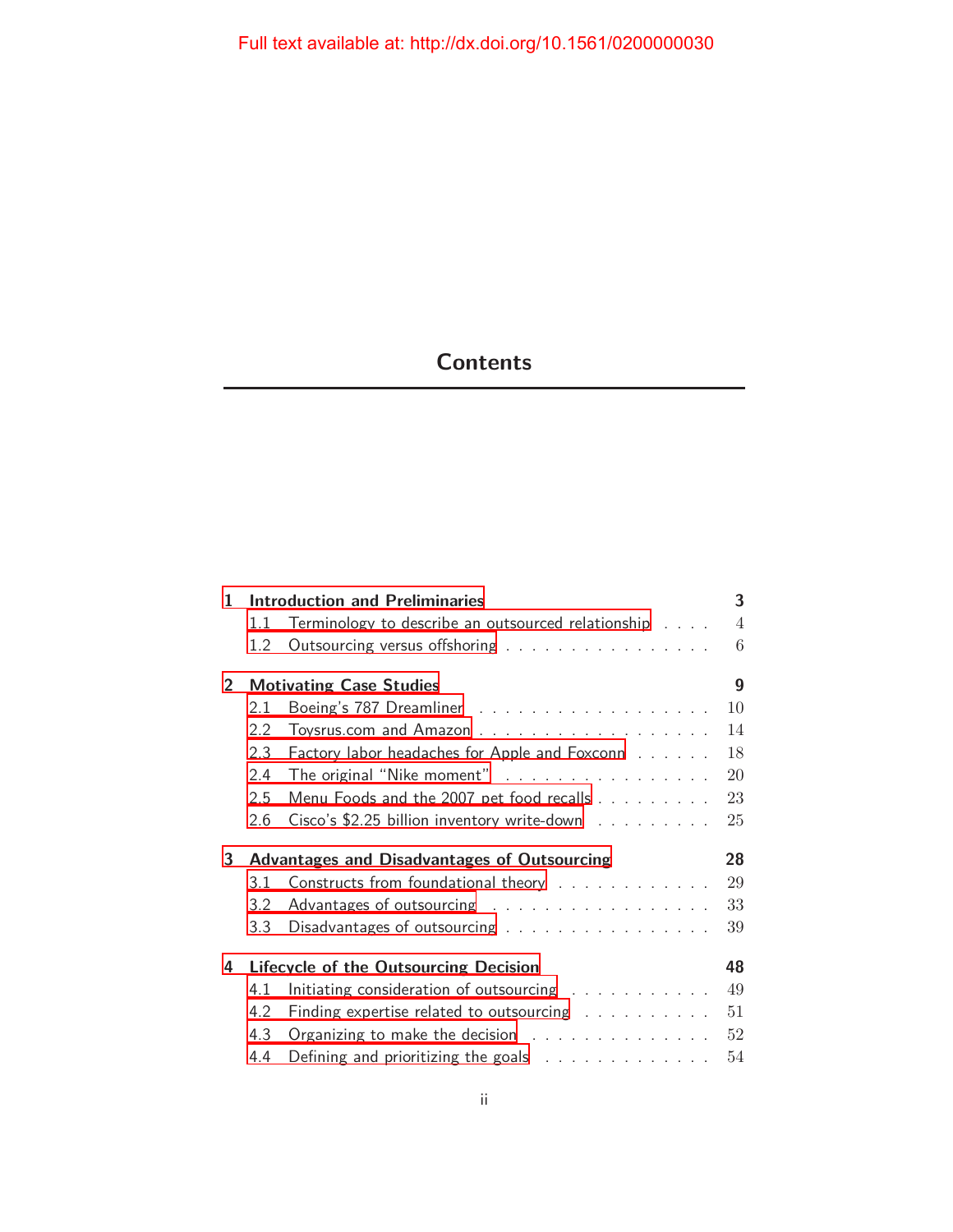## **Contents**

| $\mathbf{1}$ |                  | <b>Introduction and Preliminaries</b>                         | 3              |
|--------------|------------------|---------------------------------------------------------------|----------------|
|              | 1.1              | Terminology to describe an outsourced relationship            | $\overline{4}$ |
|              | 1.2              | Outsourcing versus offshoring                                 | 6              |
| $2^{\circ}$  |                  | <b>Motivating Case Studies</b>                                | 9              |
|              | 2.1              |                                                               | 10             |
|              | 2.2              |                                                               | 14             |
|              | 2.3              | Factory labor headaches for Apple and Foxconn                 | 18             |
|              | 2.4              | The original "Nike moment"                                    | 20             |
|              | 2.5              | Menu Foods and the 2007 pet food recalls                      | 23             |
|              | 2.6              | Cisco's $$2.25$ billion inventory write-down                  | 25             |
| 3            |                  | <b>Advantages and Disadvantages of Outsourcing</b>            | 28             |
|              | 3.1              | Constructs from foundational theory                           | 29             |
|              | 3.2              | Advantages of outsourcing                                     | 33             |
|              | 3.3 <sup>2</sup> | Disadvantages of outsourcing                                  | 39             |
| 4            |                  | <b>Lifecycle of the Outsourcing Decision</b>                  | 48             |
|              | 4.1              | Initiating consideration of outsourcing ration and containing | 49             |
|              | 4.2              | Finding expertise related to outsourcing                      | 51             |
|              | 4.3              | Organizing to make the decision                               | 52             |
|              | 4.4              | Defining and prioritizing the goals                           | 54             |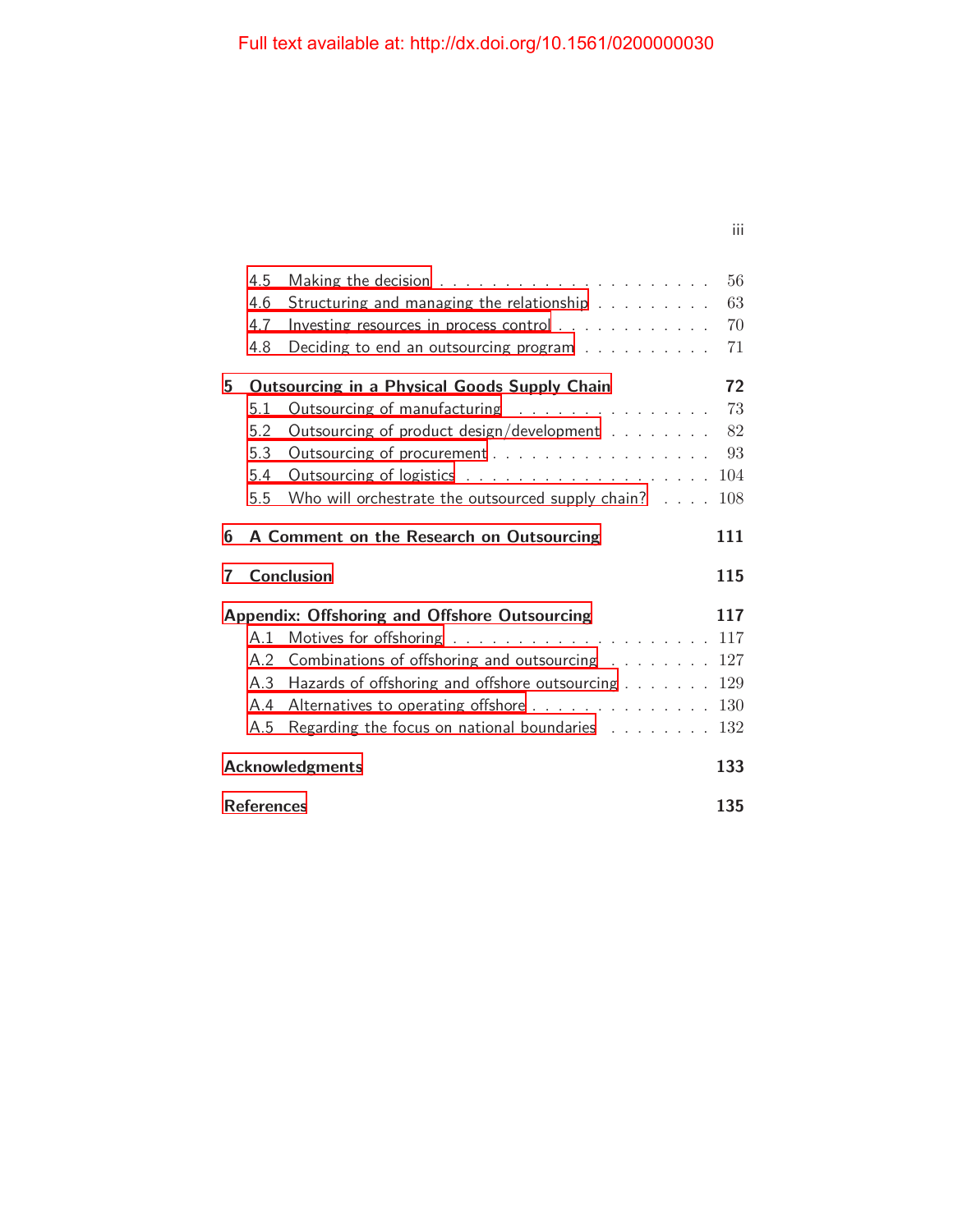iii

|   | 4.5<br>4.6<br>4.7<br>4.8 | Structuring and managing the relationship<br>Investing resources in process control $\ldots$<br>Deciding to end an outsourcing program $\ldots$ | 56<br>63<br>70<br>71 |
|---|--------------------------|-------------------------------------------------------------------------------------------------------------------------------------------------|----------------------|
| 5 |                          | <b>Outsourcing in a Physical Goods Supply Chain</b>                                                                                             | 72                   |
|   | 5.1                      | Outsourcing of manufacturing ration and contact and contact the contact of the Cutation Cutation and Cutation                                   | 73                   |
|   | 5.2                      | Outsourcing of product design/development                                                                                                       | 82                   |
|   | 5.3                      | Outsourcing of procurement                                                                                                                      | 93                   |
|   | 5.4                      |                                                                                                                                                 | 104                  |
|   | 5.5                      | Who will orchestrate the outsourced supply chain?                                                                                               | 108                  |
|   |                          |                                                                                                                                                 |                      |
| 6 |                          | A Comment on the Research on Outsourcing                                                                                                        | 111                  |
| 7 |                          | <b>Conclusion</b>                                                                                                                               | 115                  |
|   |                          | <b>Appendix: Offshoring and Offshore Outsourcing</b>                                                                                            | 117                  |
|   | A <sub>1</sub>           |                                                                                                                                                 |                      |
|   | A.2                      | Combinations of offshoring and outsourcing                                                                                                      | 127                  |
|   | A.3                      | Hazards of offshoring and offshore outsourcing                                                                                                  | 129                  |
|   | A.4                      | Alternatives to operating offshore                                                                                                              | 130                  |
|   | A.5                      | Regarding the focus on national boundaries                                                                                                      | 132                  |
|   |                          | <b>Acknowledgments</b>                                                                                                                          | 133                  |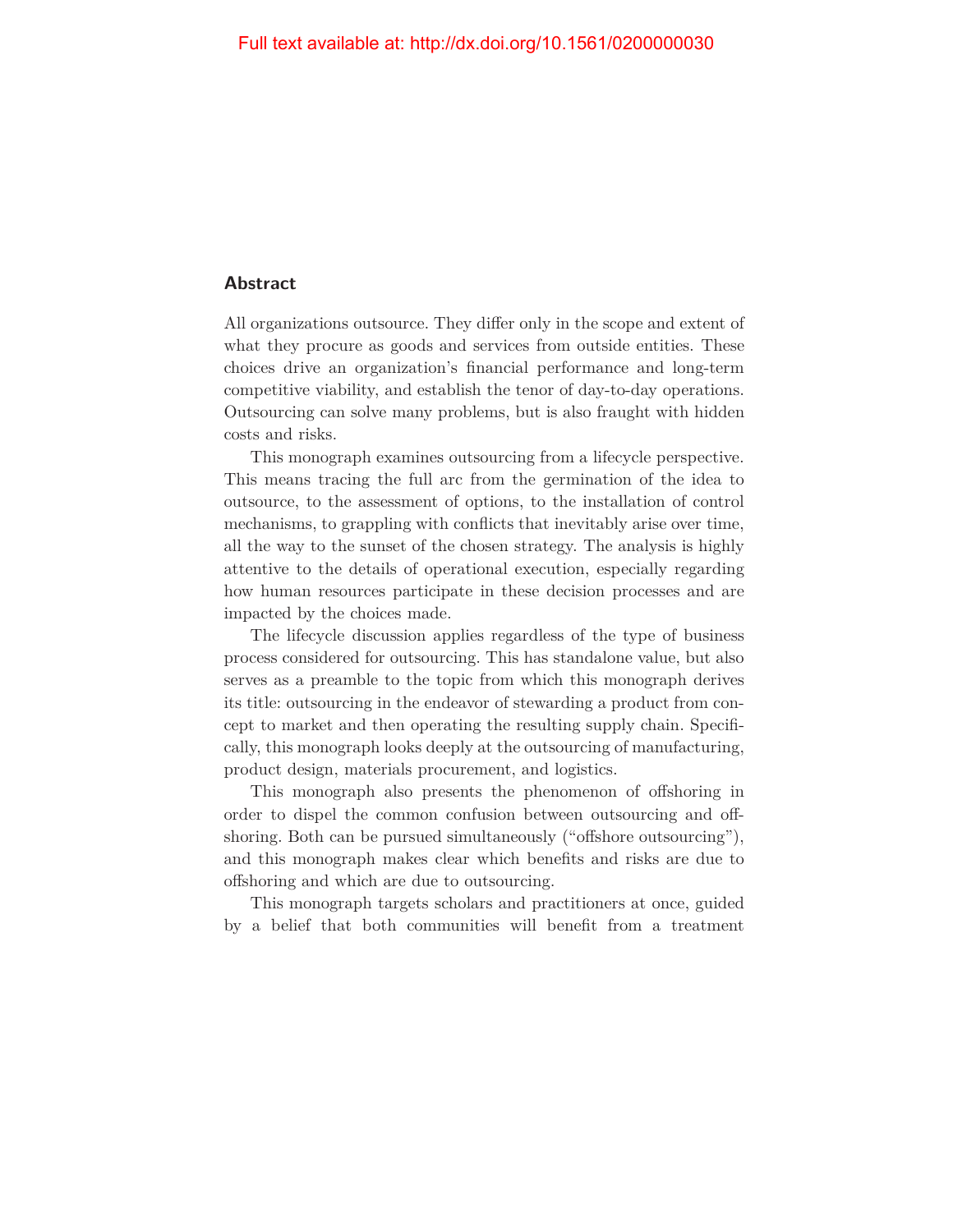### **Abstract**

All organizations outsource. They differ only in the scope and extent of what they procure as goods and services from outside entities. These choices drive an organization's financial performance and long-term competitive viability, and establish the tenor of day-to-day operations. Outsourcing can solve many problems, but is also fraught with hidden costs and risks.

This monograph examines outsourcing from a lifecycle perspective. This means tracing the full arc from the germination of the idea to outsource, to the assessment of options, to the installation of control mechanisms, to grappling with conflicts that inevitably arise over time, all the way to the sunset of the chosen strategy. The analysis is highly attentive to the details of operational execution, especially regarding how human resources participate in these decision processes and are impacted by the choices made.

The lifecycle discussion applies regardless of the type of business process considered for outsourcing. This has standalone value, but also serves as a preamble to the topic from which this monograph derives its title: outsourcing in the endeavor of stewarding a product from concept to market and then operating the resulting supply chain. Specifically, this monograph looks deeply at the outsourcing of manufacturing, product design, materials procurement, and logistics.

This monograph also presents the phenomenon of offshoring in order to dispel the common confusion between outsourcing and offshoring. Both can be pursued simultaneously ("offshore outsourcing"), and this monograph makes clear which benefits and risks are due to offshoring and which are due to outsourcing.

This monograph targets scholars and practitioners at once, guided by a belief that both communities will benefit from a treatment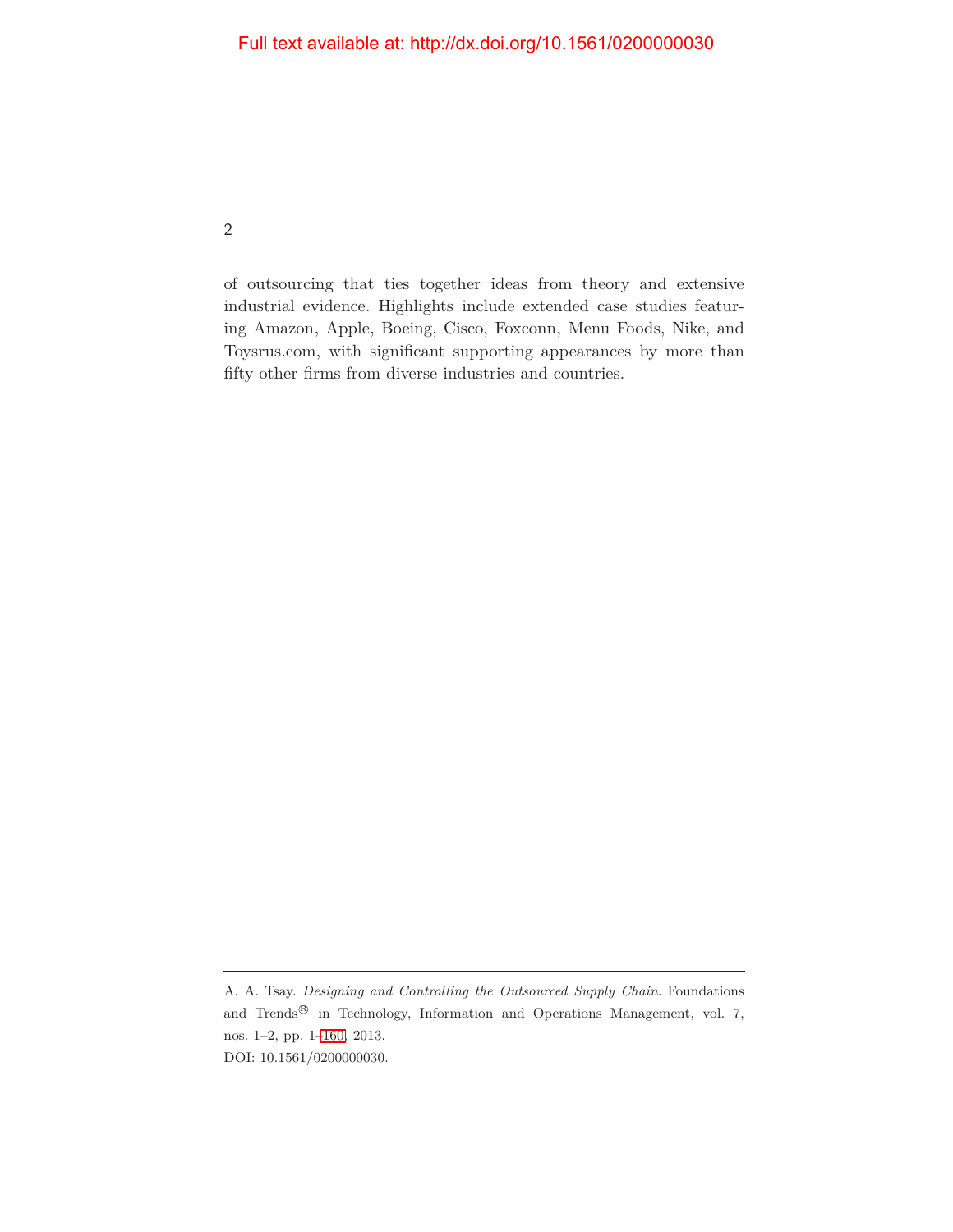### Full text available at: http://dx.doi.org/10.1561/0200000030

2

of outsourcing that ties together ideas from theory and extensive industrial evidence. Highlights include extended case studies featuring Amazon, Apple, Boeing, Cisco, Foxconn, Menu Foods, Nike, and Toysrus.com, with significant supporting appearances by more than fifty other firms from diverse industries and countries.

A. A. Tsay. *Designing and Controlling the Outsourced Supply Chain*. Foundations and Trends<sup>®</sup> in Technology, Information and Operations Management, vol. 7, nos. 1–2, pp. 1[–160,](#page-40-0) 2013. DOI: 10.1561/0200000030.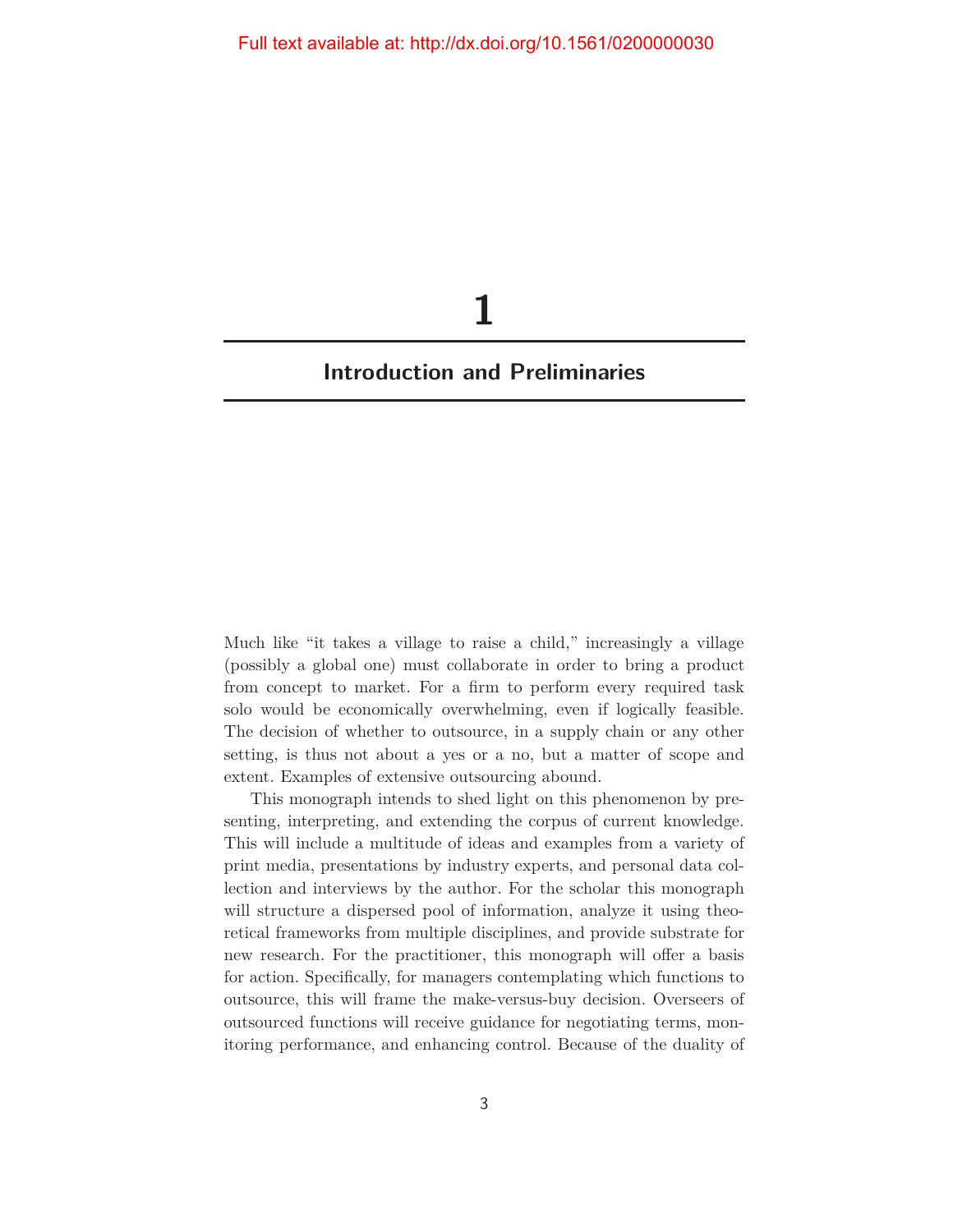# **1**

## <span id="page-9-0"></span>**Introduction and Preliminaries**

Much like "it takes a village to raise a child," increasingly a village (possibly a global one) must collaborate in order to bring a product from concept to market. For a firm to perform every required task solo would be economically overwhelming, even if logically feasible. The decision of whether to outsource, in a supply chain or any other setting, is thus not about a yes or a no, but a matter of scope and extent. Examples of extensive outsourcing abound.

This monograph intends to shed light on this phenomenon by presenting, interpreting, and extending the corpus of current knowledge. This will include a multitude of ideas and examples from a variety of print media, presentations by industry experts, and personal data collection and interviews by the author. For the scholar this monograph will structure a dispersed pool of information, analyze it using theoretical frameworks from multiple disciplines, and provide substrate for new research. For the practitioner, this monograph will offer a basis for action. Specifically, for managers contemplating which functions to outsource, this will frame the make-versus-buy decision. Overseers of outsourced functions will receive guidance for negotiating terms, monitoring performance, and enhancing control. Because of the duality of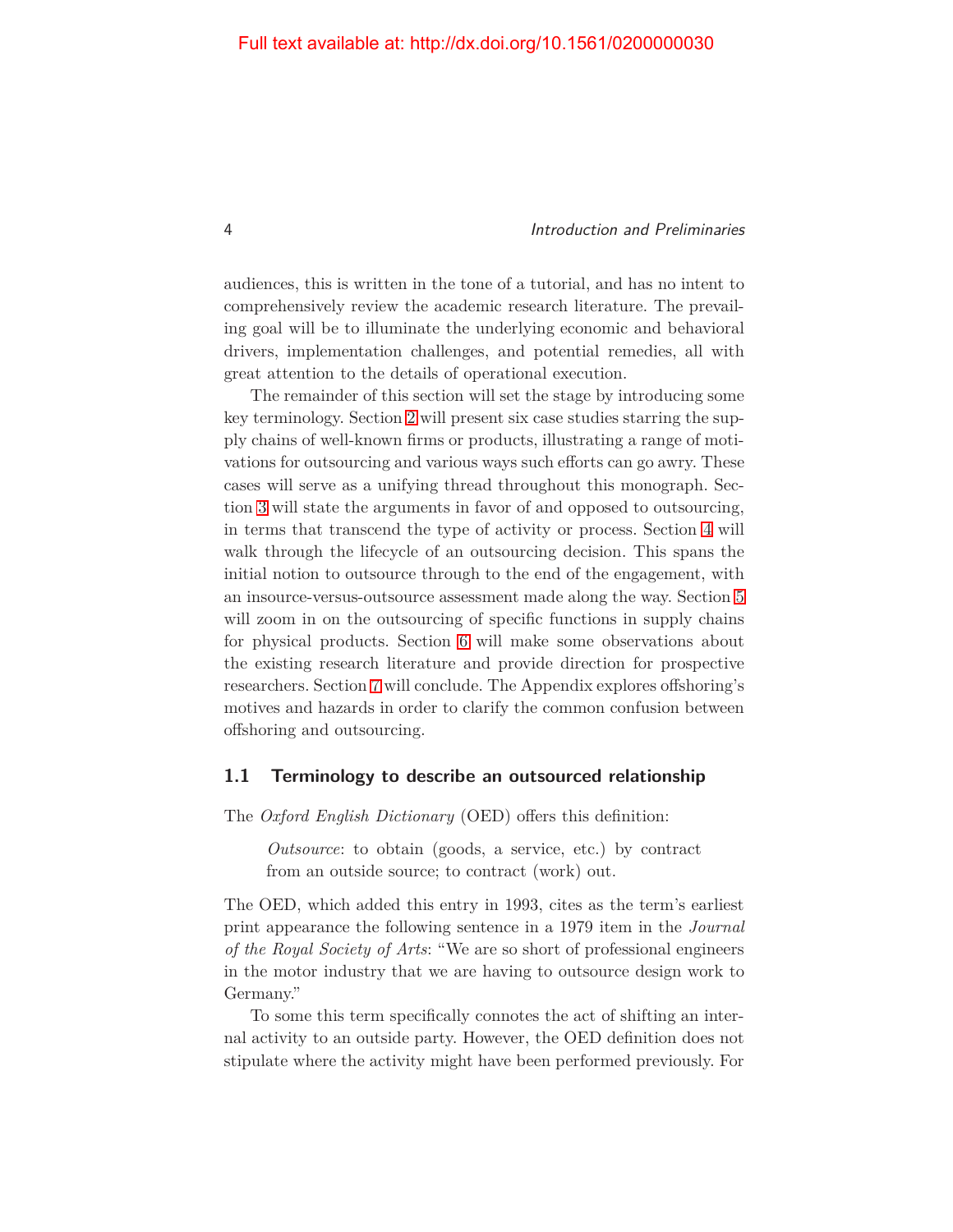4 Introduction and Preliminaries

audiences, this is written in the tone of a tutorial, and has no intent to comprehensively review the academic research literature. The prevailing goal will be to illuminate the underlying economic and behavioral drivers, implementation challenges, and potential remedies, all with great attention to the details of operational execution.

The remainder of this section will set the stage by introducing some key terminology. Section [2](#page--1-0) will present six case studies starring the supply chains of well-known firms or products, illustrating a range of motivations for outsourcing and various ways such efforts can go awry. These cases will serve as a unifying thread throughout this monograph. Section [3](#page--1-0) will state the arguments in favor of and opposed to outsourcing, in terms that transcend the type of activity or process. Section [4](#page--1-0) will walk through the lifecycle of an outsourcing decision. This spans the initial notion to outsource through to the end of the engagement, with an insource-versus-outsource assessment made along the way. Section [5](#page--1-0) will zoom in on the outsourcing of specific functions in supply chains for physical products. Section [6](#page--1-0) will make some observations about the existing research literature and provide direction for prospective researchers. Section [7](#page--1-0) will conclude. The Appendix explores offshoring's motives and hazards in order to clarify the common confusion between offshoring and outsourcing.

### <span id="page-10-0"></span>**1.1 Terminology to describe an outsourced relationship**

The *Oxford English Dictionary* (OED) offers this definition:

*Outsource*: to obtain (goods, a service, etc.) by contract from an outside source; to contract (work) out.

The OED, which added this entry in 1993, cites as the term's earliest print appearance the following sentence in a 1979 item in the *Journal of the Royal Society of Arts*: "We are so short of professional engineers in the motor industry that we are having to outsource design work to Germany."

To some this term specifically connotes the act of shifting an internal activity to an outside party. However, the OED definition does not stipulate where the activity might have been performed previously. For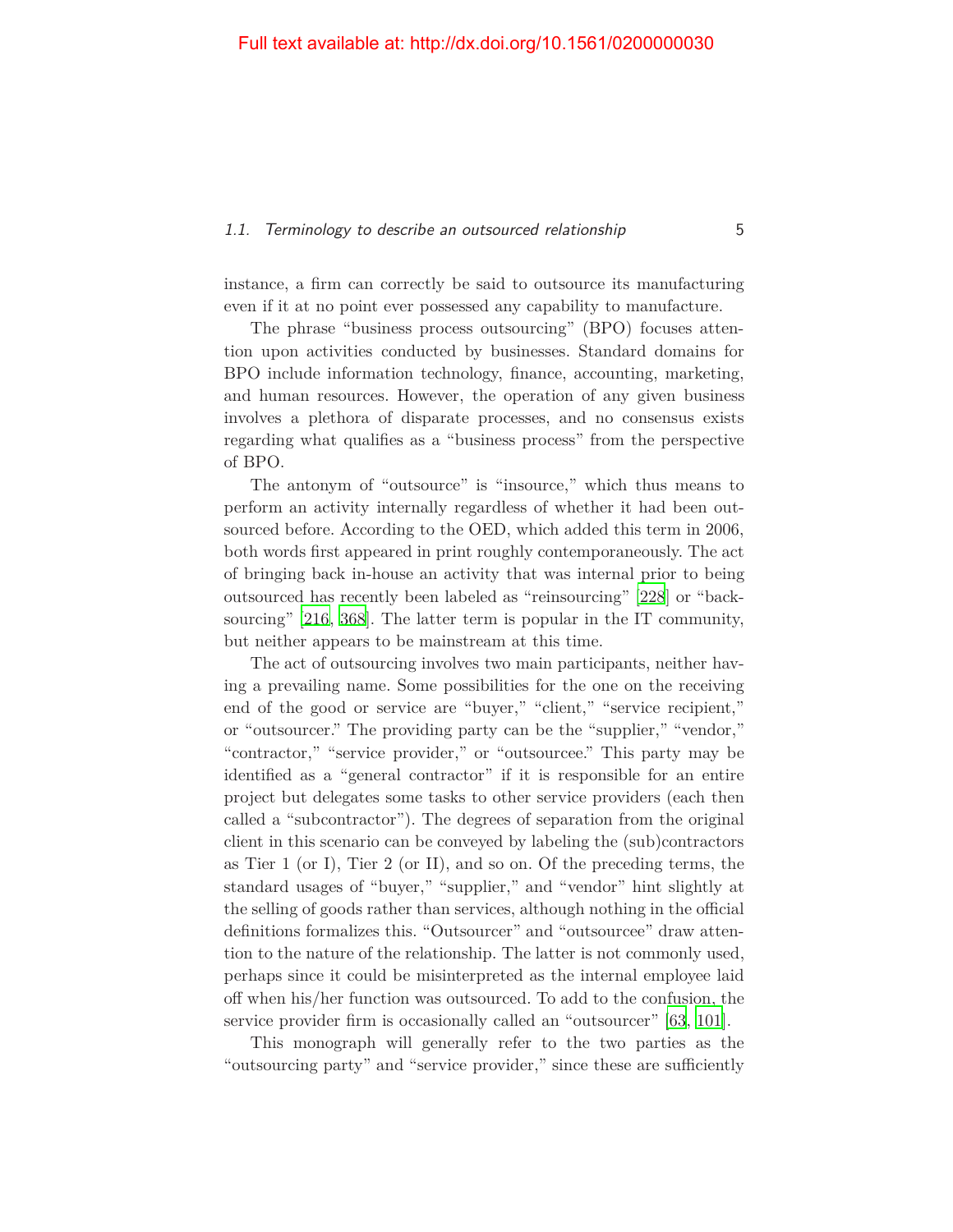### 1.1. Terminology to describe an outsourced relationship 5

instance, a firm can correctly be said to outsource its manufacturing even if it at no point ever possessed any capability to manufacture.

The phrase "business process outsourcing" (BPO) focuses attention upon activities conducted by businesses. Standard domains for BPO include information technology, finance, accounting, marketing, and human resources. However, the operation of any given business involves a plethora of disparate processes, and no consensus exists regarding what qualifies as a "business process" from the perspective of BPO.

The antonym of "outsource" is "insource," which thus means to perform an activity internally regardless of whether it had been outsourced before. According to the OED, which added this term in 2006, both words first appeared in print roughly contemporaneously. The act of bringing back in-house an activity that was internal prior to being outsourced has recently been labeled as "reinsourcing" [\[228](#page-29-0)] or "backsourcing" [\[216,](#page-28-0) [368\]](#page-37-0). The latter term is popular in the IT community, but neither appears to be mainstream at this time.

The act of outsourcing involves two main participants, neither having a prevailing name. Some possibilities for the one on the receiving end of the good or service are "buyer," "client," "service recipient," or "outsourcer." The providing party can be the "supplier," "vendor," "contractor," "service provider," or "outsourcee." This party may be identified as a "general contractor" if it is responsible for an entire project but delegates some tasks to other service providers (each then called a "subcontractor"). The degrees of separation from the original client in this scenario can be conveyed by labeling the (sub)contractors as Tier 1 (or I), Tier 2 (or II), and so on. Of the preceding terms, the standard usages of "buyer," "supplier," and "vendor" hint slightly at the selling of goods rather than services, although nothing in the official definitions formalizes this. "Outsourcer" and "outsourcee" draw attention to the nature of the relationship. The latter is not commonly used, perhaps since it could be misinterpreted as the internal employee laid off when his/her function was outsourced. To add to the confusion, the service provider firm is occasionally called an "outsourcer" [\[63](#page-19-0), [101](#page-21-0)].

This monograph will generally refer to the two parties as the "outsourcing party" and "service provider," since these are sufficiently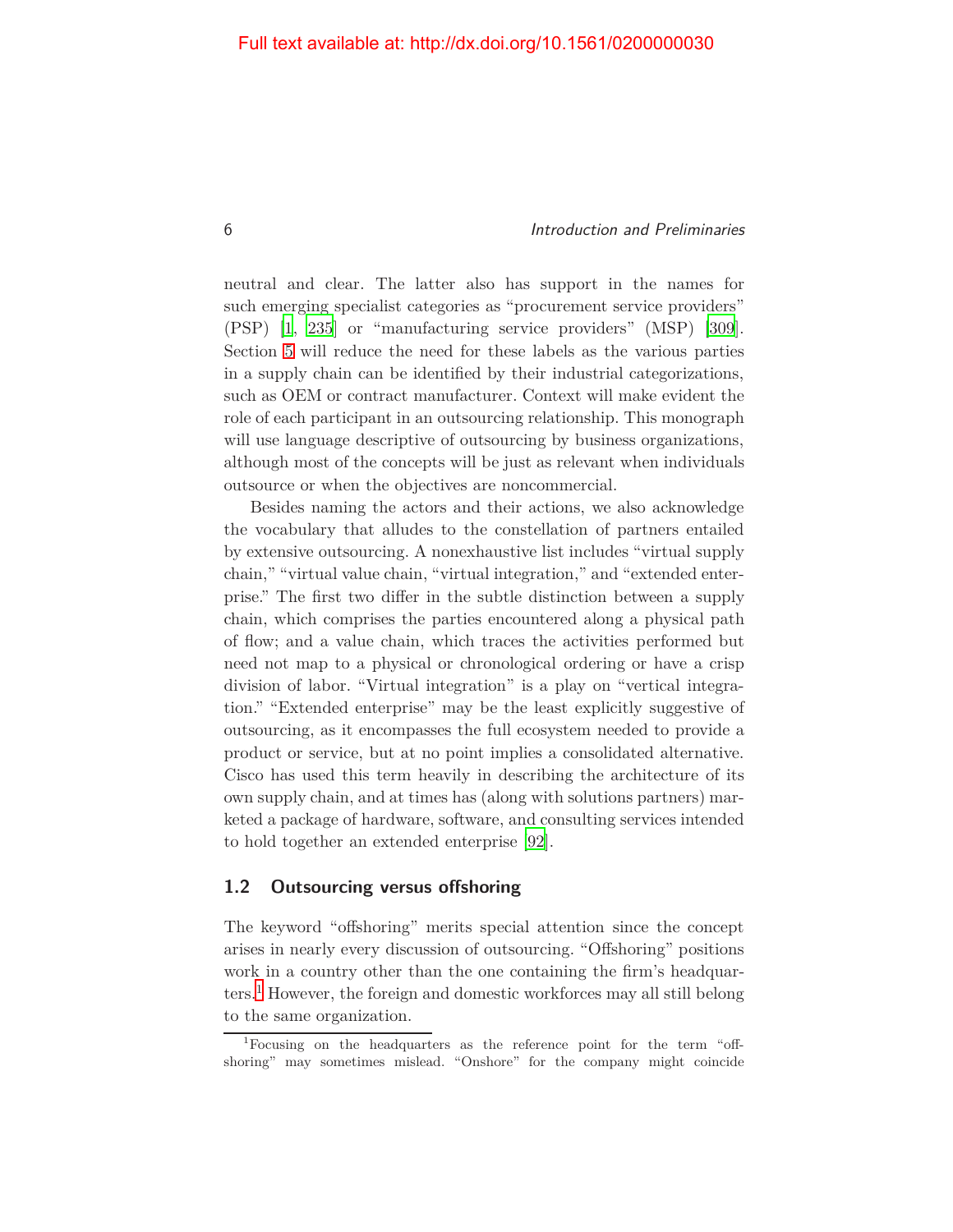#### 6 Introduction and Preliminaries

neutral and clear. The latter also has support in the names for such emerging specialist categories as "procurement service providers" (PSP) [\[1](#page-15-1), [235](#page-30-0)] or "manufacturing service providers" (MSP) [\[309](#page-34-0)]. Section [5](#page--1-0) will reduce the need for these labels as the various parties in a supply chain can be identified by their industrial categorizations, such as OEM or contract manufacturer. Context will make evident the role of each participant in an outsourcing relationship. This monograph will use language descriptive of outsourcing by business organizations, although most of the concepts will be just as relevant when individuals outsource or when the objectives are noncommercial.

Besides naming the actors and their actions, we also acknowledge the vocabulary that alludes to the constellation of partners entailed by extensive outsourcing. A nonexhaustive list includes "virtual supply chain," "virtual value chain, "virtual integration," and "extended enterprise." The first two differ in the subtle distinction between a supply chain, which comprises the parties encountered along a physical path of flow; and a value chain, which traces the activities performed but need not map to a physical or chronological ordering or have a crisp division of labor. "Virtual integration" is a play on "vertical integration." "Extended enterprise" may be the least explicitly suggestive of outsourcing, as it encompasses the full ecosystem needed to provide a product or service, but at no point implies a consolidated alternative. Cisco has used this term heavily in describing the architecture of its own supply chain, and at times has (along with solutions partners) marketed a package of hardware, software, and consulting services intended to hold together an extended enterprise [\[92](#page-21-1)].

### <span id="page-12-0"></span>**1.2 Outsourcing versus offshoring**

The keyword "offshoring" merits special attention since the concept arises in nearly every discussion of outsourcing. "Offshoring" positions work in a country other than the one containing the firm's headquar-ters.<sup>[1](#page-12-1)</sup> However, the foreign and domestic workforces may all still belong to the same organization.

<span id="page-12-1"></span><sup>&</sup>lt;sup>1</sup>Focusing on the headquarters as the reference point for the term "offshoring" may sometimes mislead. "Onshore" for the company might coincide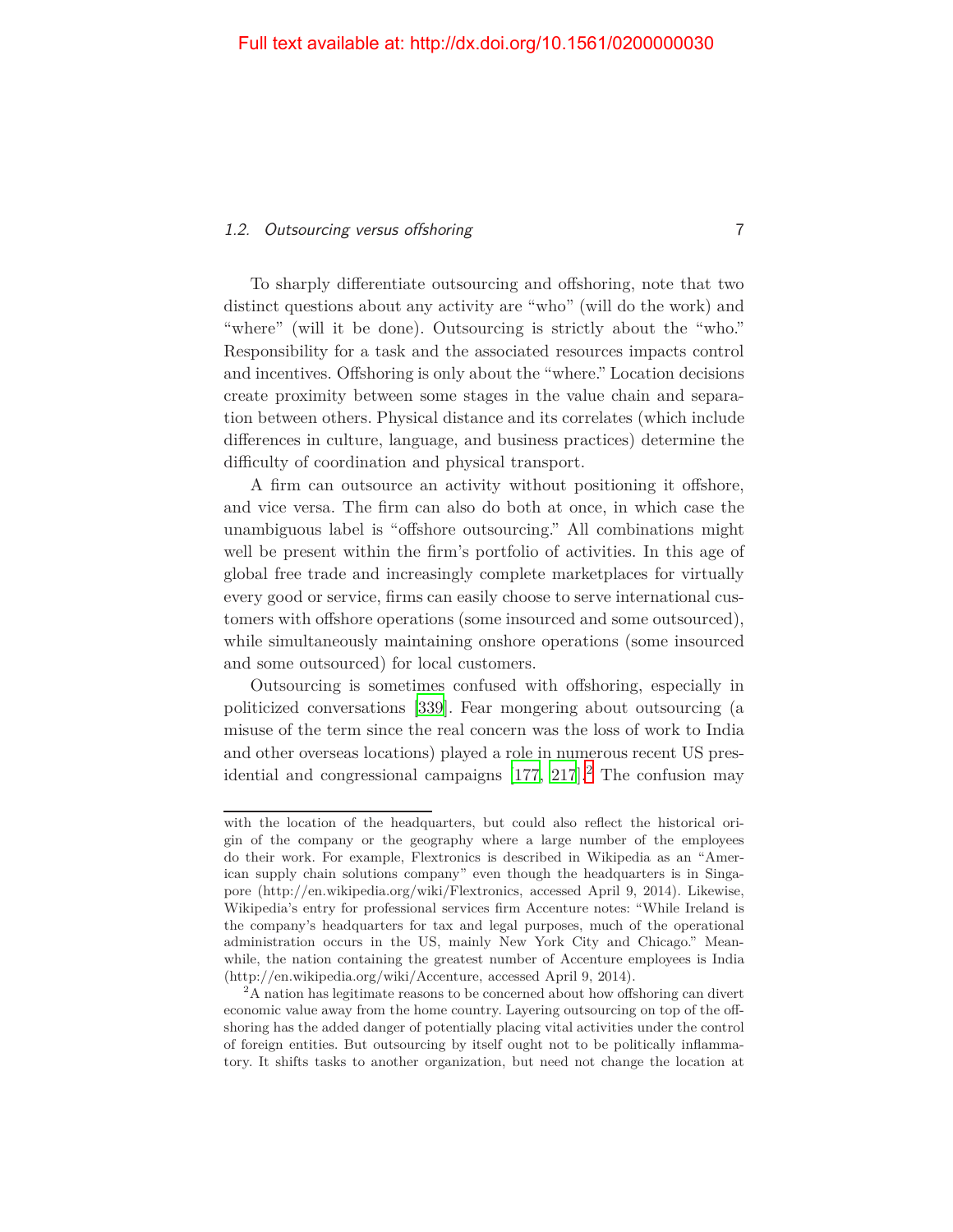### 1.2. Outsourcing versus offshoring  $\overline{7}$

To sharply differentiate outsourcing and offshoring, note that two distinct questions about any activity are "who" (will do the work) and "where" (will it be done). Outsourcing is strictly about the "who." Responsibility for a task and the associated resources impacts control and incentives. Offshoring is only about the "where." Location decisions create proximity between some stages in the value chain and separation between others. Physical distance and its correlates (which include differences in culture, language, and business practices) determine the difficulty of coordination and physical transport.

A firm can outsource an activity without positioning it offshore, and vice versa. The firm can also do both at once, in which case the unambiguous label is "offshore outsourcing." All combinations might well be present within the firm's portfolio of activities. In this age of global free trade and increasingly complete marketplaces for virtually every good or service, firms can easily choose to serve international customers with offshore operations (some insourced and some outsourced), while simultaneously maintaining onshore operations (some insourced and some outsourced) for local customers.

Outsourcing is sometimes confused with offshoring, especially in politicized conversations [\[339](#page-36-0)]. Fear mongering about outsourcing (a misuse of the term since the real concern was the loss of work to India and other overseas locations) played a role in numerous recent US presidential and congressional campaigns  $[177, 217]$  $[177, 217]$  $[177, 217]$ <sup>[2](#page-13-0)</sup>. The confusion may

with the location of the headquarters, but could also reflect the historical origin of the company or the geography where a large number of the employees do their work. For example, Flextronics is described in Wikipedia as an "American supply chain solutions company" even though the headquarters is in Singapore (http://en.wikipedia.org/wiki/Flextronics, accessed April 9, 2014). Likewise, Wikipedia's entry for professional services firm Accenture notes: "While Ireland is the company's headquarters for tax and legal purposes, much of the operational administration occurs in the US, mainly New York City and Chicago." Meanwhile, the nation containing the greatest number of Accenture employees is India (http://en.wikipedia.org/wiki/Accenture, accessed April 9, 2014).

<span id="page-13-0"></span> $2\overline{A}$  nation has legitimate reasons to be concerned about how offshoring can divert economic value away from the home country. Layering outsourcing on top of the offshoring has the added danger of potentially placing vital activities under the control of foreign entities. But outsourcing by itself ought not to be politically inflammatory. It shifts tasks to another organization, but need not change the location at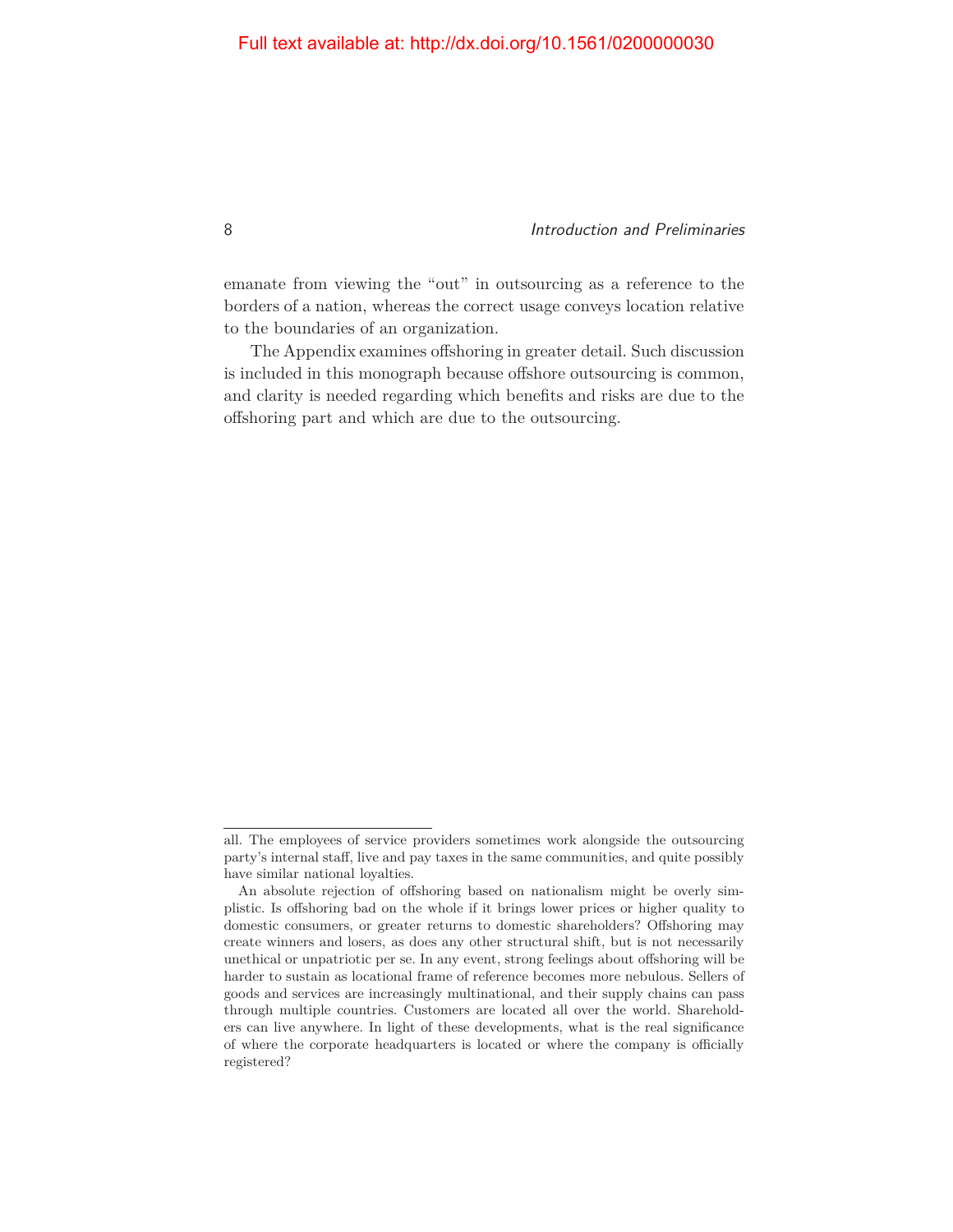8 **8** Introduction and Preliminaries

emanate from viewing the "out" in outsourcing as a reference to the borders of a nation, whereas the correct usage conveys location relative to the boundaries of an organization.

The Appendix examines offshoring in greater detail. Such discussion is included in this monograph because offshore outsourcing is common, and clarity is needed regarding which benefits and risks are due to the offshoring part and which are due to the outsourcing.

all. The employees of service providers sometimes work alongside the outsourcing party's internal staff, live and pay taxes in the same communities, and quite possibly have similar national loyalties.

An absolute rejection of offshoring based on nationalism might be overly simplistic. Is offshoring bad on the whole if it brings lower prices or higher quality to domestic consumers, or greater returns to domestic shareholders? Offshoring may create winners and losers, as does any other structural shift, but is not necessarily unethical or unpatriotic per se. In any event, strong feelings about offshoring will be harder to sustain as locational frame of reference becomes more nebulous. Sellers of goods and services are increasingly multinational, and their supply chains can pass through multiple countries. Customers are located all over the world. Shareholders can live anywhere. In light of these developments, what is the real significance of where the corporate headquarters is located or where the company is officially registered?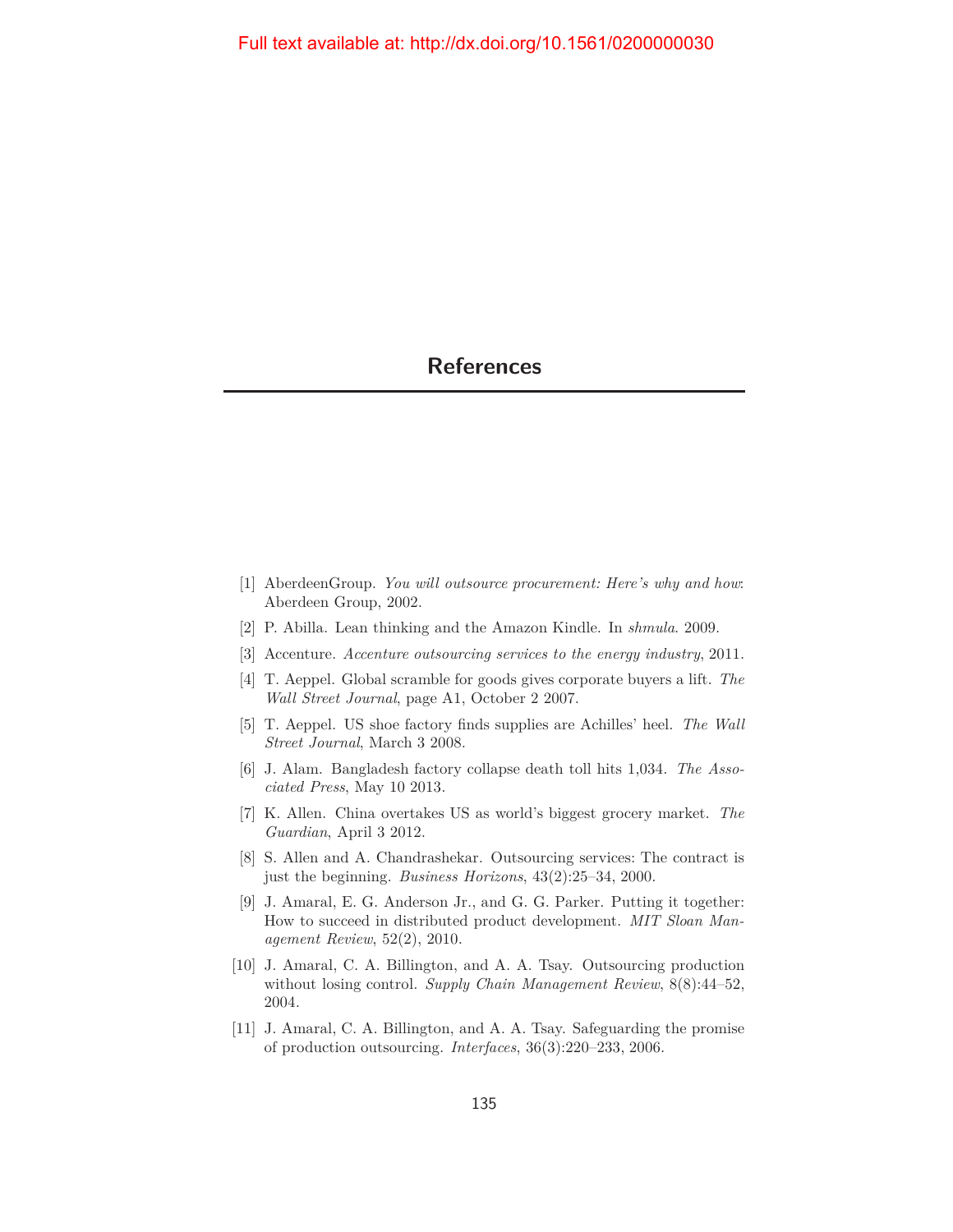- <span id="page-15-1"></span><span id="page-15-0"></span>[1] AberdeenGroup. *You will outsource procurement: Here's why and how*: Aberdeen Group, 2002.
- [2] P. Abilla. Lean thinking and the Amazon Kindle. In *shmula*. 2009.
- [3] Accenture. *Accenture outsourcing services to the energy industry*, 2011.
- [4] T. Aeppel. Global scramble for goods gives corporate buyers a lift. *The Wall Street Journal*, page A1, October 2 2007.
- [5] T. Aeppel. US shoe factory finds supplies are Achilles' heel. *The Wall Street Journal*, March 3 2008.
- [6] J. Alam. Bangladesh factory collapse death toll hits 1,034. *The Associated Press*, May 10 2013.
- [7] K. Allen. China overtakes US as world's biggest grocery market. *The Guardian*, April 3 2012.
- [8] S. Allen and A. Chandrashekar. Outsourcing services: The contract is just the beginning. *Business Horizons*, 43(2):25–34, 2000.
- [9] J. Amaral, E. G. Anderson Jr., and G. G. Parker. Putting it together: How to succeed in distributed product development. *MIT Sloan Management Review*, 52(2), 2010.
- [10] J. Amaral, C. A. Billington, and A. A. Tsay. Outsourcing production without losing control. *Supply Chain Management Review*, 8(8):44–52, 2004.
- [11] J. Amaral, C. A. Billington, and A. A. Tsay. Safeguarding the promise of production outsourcing. *Interfaces*, 36(3):220–233, 2006.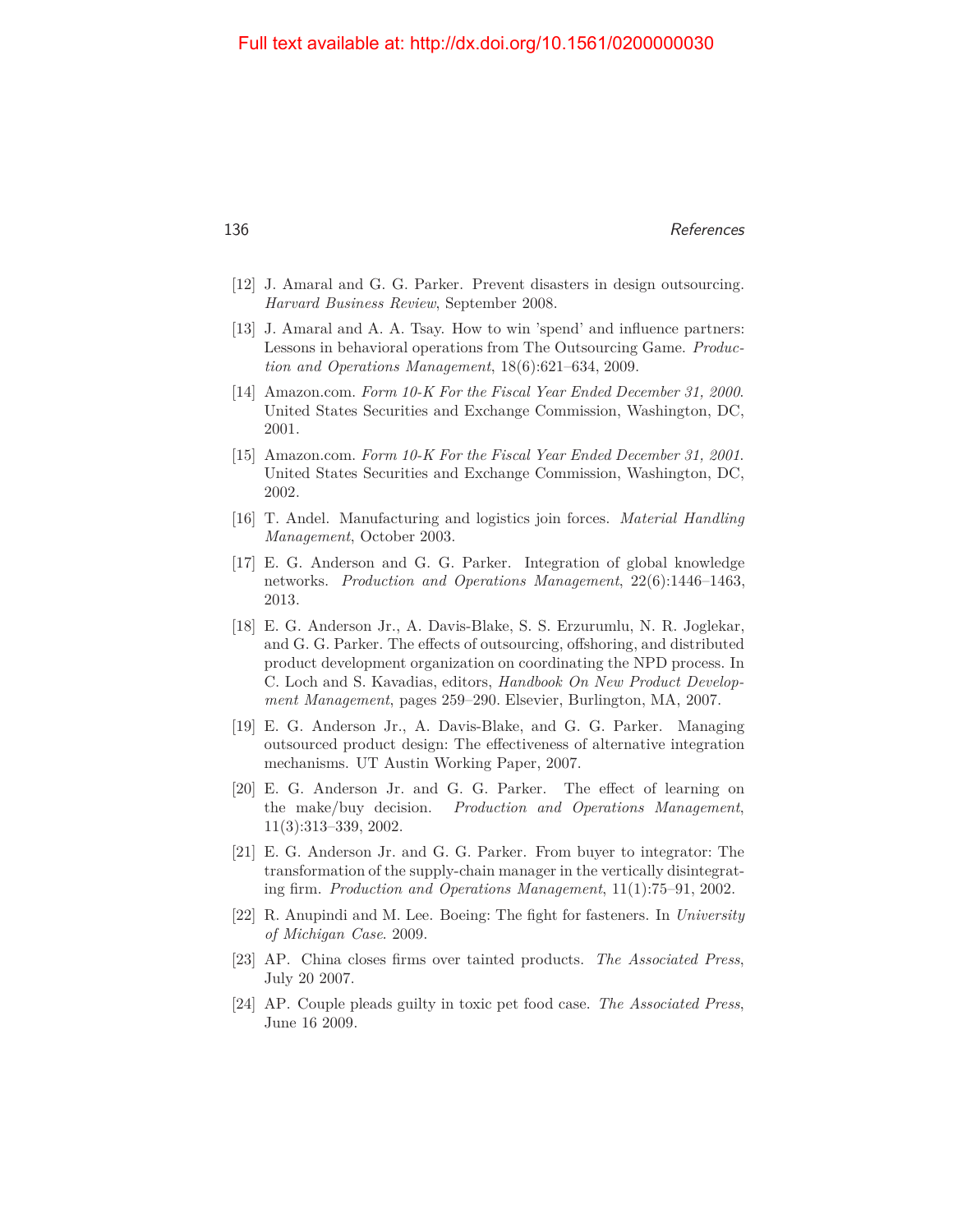- [12] J. Amaral and G. G. Parker. Prevent disasters in design outsourcing. *Harvard Business Review*, September 2008.
- [13] J. Amaral and A. A. Tsay. How to win 'spend' and influence partners: Lessons in behavioral operations from The Outsourcing Game. *Production and Operations Management*, 18(6):621–634, 2009.
- [14] Amazon.com. *Form 10-K For the Fiscal Year Ended December 31, 2000*. United States Securities and Exchange Commission, Washington, DC, 2001.
- [15] Amazon.com. *Form 10-K For the Fiscal Year Ended December 31, 2001*. United States Securities and Exchange Commission, Washington, DC, 2002.
- [16] T. Andel. Manufacturing and logistics join forces. *Material Handling Management*, October 2003.
- [17] E. G. Anderson and G. G. Parker. Integration of global knowledge networks. *Production and Operations Management*, 22(6):1446–1463, 2013.
- [18] E. G. Anderson Jr., A. Davis-Blake, S. S. Erzurumlu, N. R. Joglekar, and G. G. Parker. The effects of outsourcing, offshoring, and distributed product development organization on coordinating the NPD process. In C. Loch and S. Kavadias, editors, *Handbook On New Product Development Management*, pages 259–290. Elsevier, Burlington, MA, 2007.
- [19] E. G. Anderson Jr., A. Davis-Blake, and G. G. Parker. Managing outsourced product design: The effectiveness of alternative integration mechanisms. UT Austin Working Paper, 2007.
- [20] E. G. Anderson Jr. and G. G. Parker. The effect of learning on the make/buy decision. *Production and Operations Management*, 11(3):313–339, 2002.
- [21] E. G. Anderson Jr. and G. G. Parker. From buyer to integrator: The transformation of the supply-chain manager in the vertically disintegrating firm. *Production and Operations Management*, 11(1):75–91, 2002.
- [22] R. Anupindi and M. Lee. Boeing: The fight for fasteners. In *University of Michigan Case*. 2009.
- [23] AP. China closes firms over tainted products. *The Associated Press*, July 20 2007.
- [24] AP. Couple pleads guilty in toxic pet food case. *The Associated Press*, June 16 2009.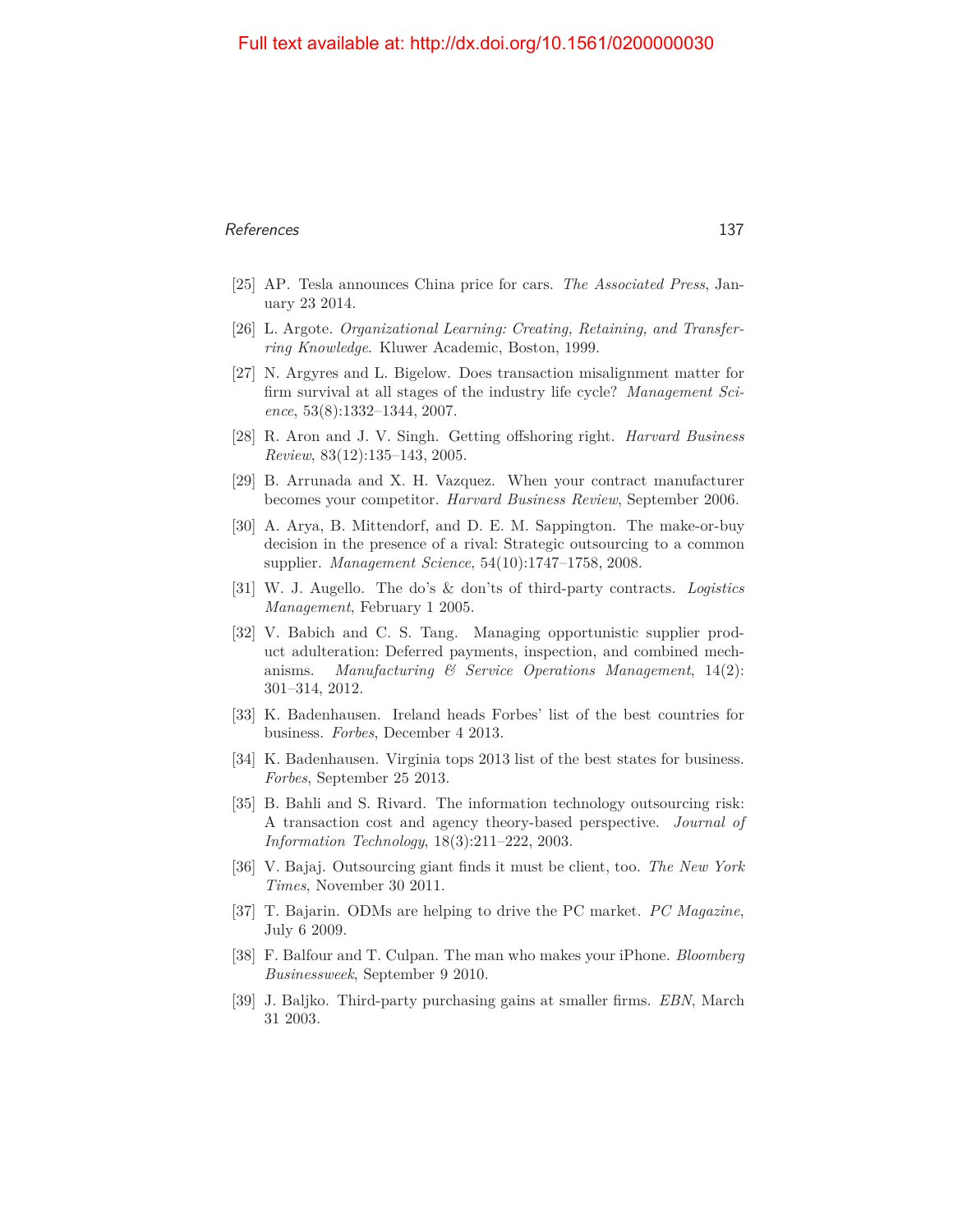- [25] AP. Tesla announces China price for cars. *The Associated Press*, January 23 2014.
- [26] L. Argote. *Organizational Learning: Creating, Retaining, and Transferring Knowledge*. Kluwer Academic, Boston, 1999.
- [27] N. Argyres and L. Bigelow. Does transaction misalignment matter for firm survival at all stages of the industry life cycle? *Management Science*, 53(8):1332–1344, 2007.
- [28] R. Aron and J. V. Singh. Getting offshoring right. *Harvard Business Review*, 83(12):135–143, 2005.
- [29] B. Arrunada and X. H. Vazquez. When your contract manufacturer becomes your competitor. *Harvard Business Review*, September 2006.
- [30] A. Arya, B. Mittendorf, and D. E. M. Sappington. The make-or-buy decision in the presence of a rival: Strategic outsourcing to a common supplier. *Management Science*, 54(10):1747–1758, 2008.
- [31] W. J. Augello. The do's & don'ts of third-party contracts. *Logistics Management*, February 1 2005.
- [32] V. Babich and C. S. Tang. Managing opportunistic supplier product adulteration: Deferred payments, inspection, and combined mechanisms. *Manufacturing & Service Operations Management*, 14(2): 301–314, 2012.
- [33] K. Badenhausen. Ireland heads Forbes' list of the best countries for business. *Forbes*, December 4 2013.
- [34] K. Badenhausen. Virginia tops 2013 list of the best states for business. *Forbes*, September 25 2013.
- [35] B. Bahli and S. Rivard. The information technology outsourcing risk: A transaction cost and agency theory-based perspective. *Journal of Information Technology*, 18(3):211–222, 2003.
- [36] V. Bajaj. Outsourcing giant finds it must be client, too. *The New York Times*, November 30 2011.
- [37] T. Bajarin. ODMs are helping to drive the PC market. *PC Magazine*, July 6 2009.
- [38] F. Balfour and T. Culpan. The man who makes your iPhone. *Bloomberg Businessweek*, September 9 2010.
- [39] J. Baljko. Third-party purchasing gains at smaller firms. *EBN*, March 31 2003.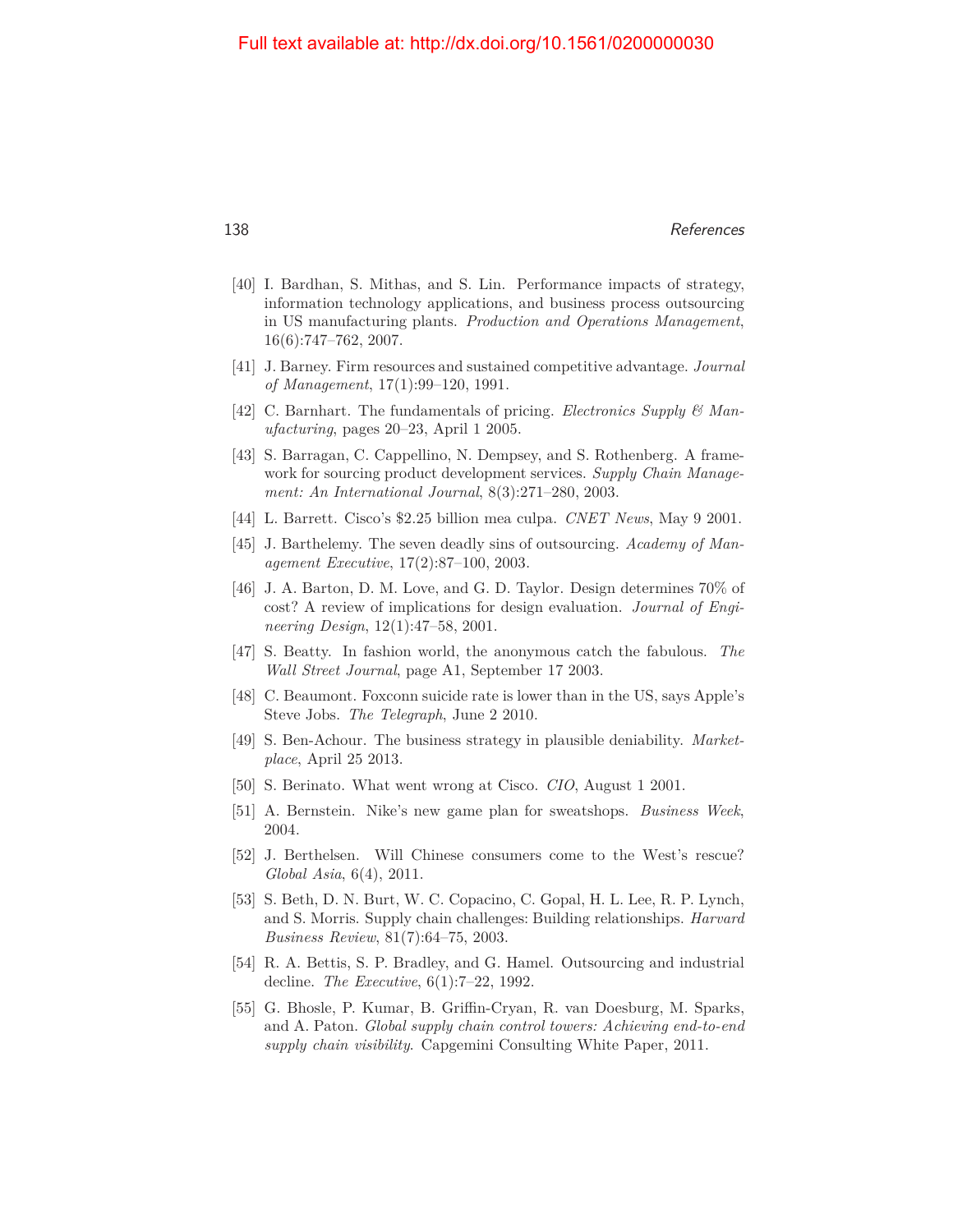#### Full text available at: http://dx.doi.org/10.1561/0200000030

- [40] I. Bardhan, S. Mithas, and S. Lin. Performance impacts of strategy, information technology applications, and business process outsourcing in US manufacturing plants. *Production and Operations Management*, 16(6):747–762, 2007.
- [41] J. Barney. Firm resources and sustained competitive advantage. *Journal of Management*, 17(1):99–120, 1991.
- [42] C. Barnhart. The fundamentals of pricing. *Electronics Supply & Manufacturing*, pages 20–23, April 1 2005.
- [43] S. Barragan, C. Cappellino, N. Dempsey, and S. Rothenberg. A framework for sourcing product development services. *Supply Chain Management: An International Journal*, 8(3):271–280, 2003.
- [44] L. Barrett. Cisco's \$2.25 billion mea culpa. *CNET News*, May 9 2001.
- [45] J. Barthelemy. The seven deadly sins of outsourcing. *Academy of Management Executive*, 17(2):87–100, 2003.
- [46] J. A. Barton, D. M. Love, and G. D. Taylor. Design determines  $70\%$  of cost? A review of implications for design evaluation. *Journal of Engineering Design*, 12(1):47–58, 2001.
- [47] S. Beatty. In fashion world, the anonymous catch the fabulous. *The Wall Street Journal*, page A1, September 17 2003.
- [48] C. Beaumont. Foxconn suicide rate is lower than in the US, says Apple's Steve Jobs. *The Telegraph*, June 2 2010.
- [49] S. Ben-Achour. The business strategy in plausible deniability. *Marketplace*, April 25 2013.
- [50] S. Berinato. What went wrong at Cisco. *CIO*, August 1 2001.
- [51] A. Bernstein. Nike's new game plan for sweatshops. *Business Week*, 2004.
- [52] J. Berthelsen. Will Chinese consumers come to the West's rescue? *Global Asia*, 6(4), 2011.
- [53] S. Beth, D. N. Burt, W. C. Copacino, C. Gopal, H. L. Lee, R. P. Lynch, and S. Morris. Supply chain challenges: Building relationships. *Harvard Business Review*, 81(7):64–75, 2003.
- [54] R. A. Bettis, S. P. Bradley, and G. Hamel. Outsourcing and industrial decline. *The Executive*, 6(1):7–22, 1992.
- [55] G. Bhosle, P. Kumar, B. Griffin-Cryan, R. van Doesburg, M. Sparks, and A. Paton. *Global supply chain control towers: Achieving end-to-end supply chain visibility*. Capgemini Consulting White Paper, 2011.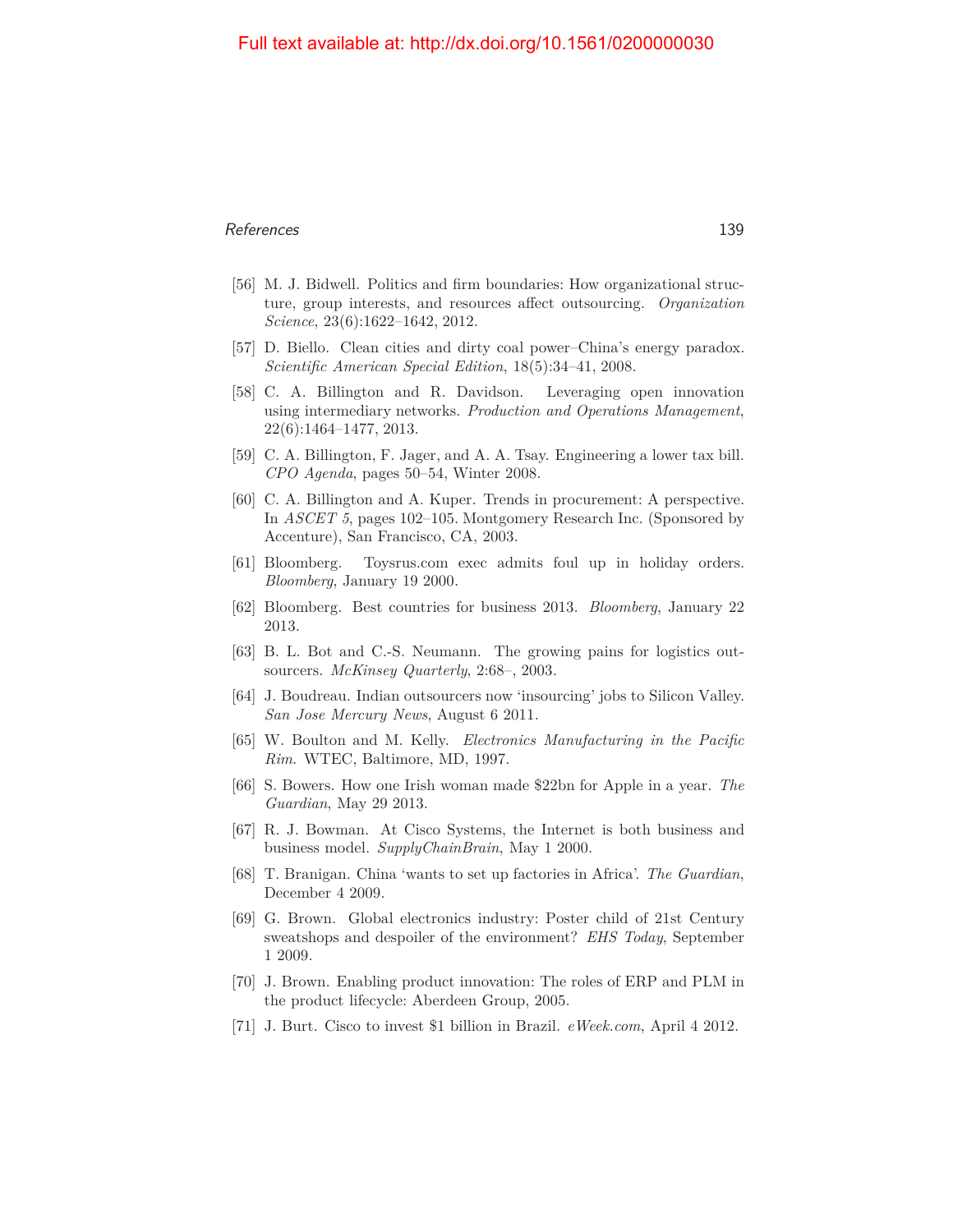- [56] M. J. Bidwell. Politics and firm boundaries: How organizational structure, group interests, and resources affect outsourcing. *Organization Science*, 23(6):1622–1642, 2012.
- [57] D. Biello. Clean cities and dirty coal power–China's energy paradox. *Scientific American Special Edition*, 18(5):34–41, 2008.
- [58] C. A. Billington and R. Davidson. Leveraging open innovation using intermediary networks. *Production and Operations Management*, 22(6):1464–1477, 2013.
- [59] C. A. Billington, F. Jager, and A. A. Tsay. Engineering a lower tax bill. *CPO Agenda*, pages 50–54, Winter 2008.
- [60] C. A. Billington and A. Kuper. Trends in procurement: A perspective. In *ASCET 5*, pages 102–105. Montgomery Research Inc. (Sponsored by Accenture), San Francisco, CA, 2003.
- [61] Bloomberg. Toysrus.com exec admits foul up in holiday orders. *Bloomberg*, January 19 2000.
- [62] Bloomberg. Best countries for business 2013. *Bloomberg*, January 22 2013.
- <span id="page-19-0"></span>[63] B. L. Bot and C.-S. Neumann. The growing pains for logistics outsourcers. *McKinsey Quarterly*, 2:68–, 2003.
- [64] J. Boudreau. Indian outsourcers now 'insourcing' jobs to Silicon Valley. *San Jose Mercury News*, August 6 2011.
- [65] W. Boulton and M. Kelly. *Electronics Manufacturing in the Pacific Rim*. WTEC, Baltimore, MD, 1997.
- [66] S. Bowers. How one Irish woman made \$22bn for Apple in a year. *The Guardian*, May 29 2013.
- [67] R. J. Bowman. At Cisco Systems, the Internet is both business and business model. *SupplyChainBrain*, May 1 2000.
- [68] T. Branigan. China 'wants to set up factories in Africa'. *The Guardian*, December 4 2009.
- [69] G. Brown. Global electronics industry: Poster child of 21st Century sweatshops and despoiler of the environment? *EHS Today*, September 1 2009.
- [70] J. Brown. Enabling product innovation: The roles of ERP and PLM in the product lifecycle: Aberdeen Group, 2005.
- [71] J. Burt. Cisco to invest \$1 billion in Brazil. *eWeek.com*, April 4 2012.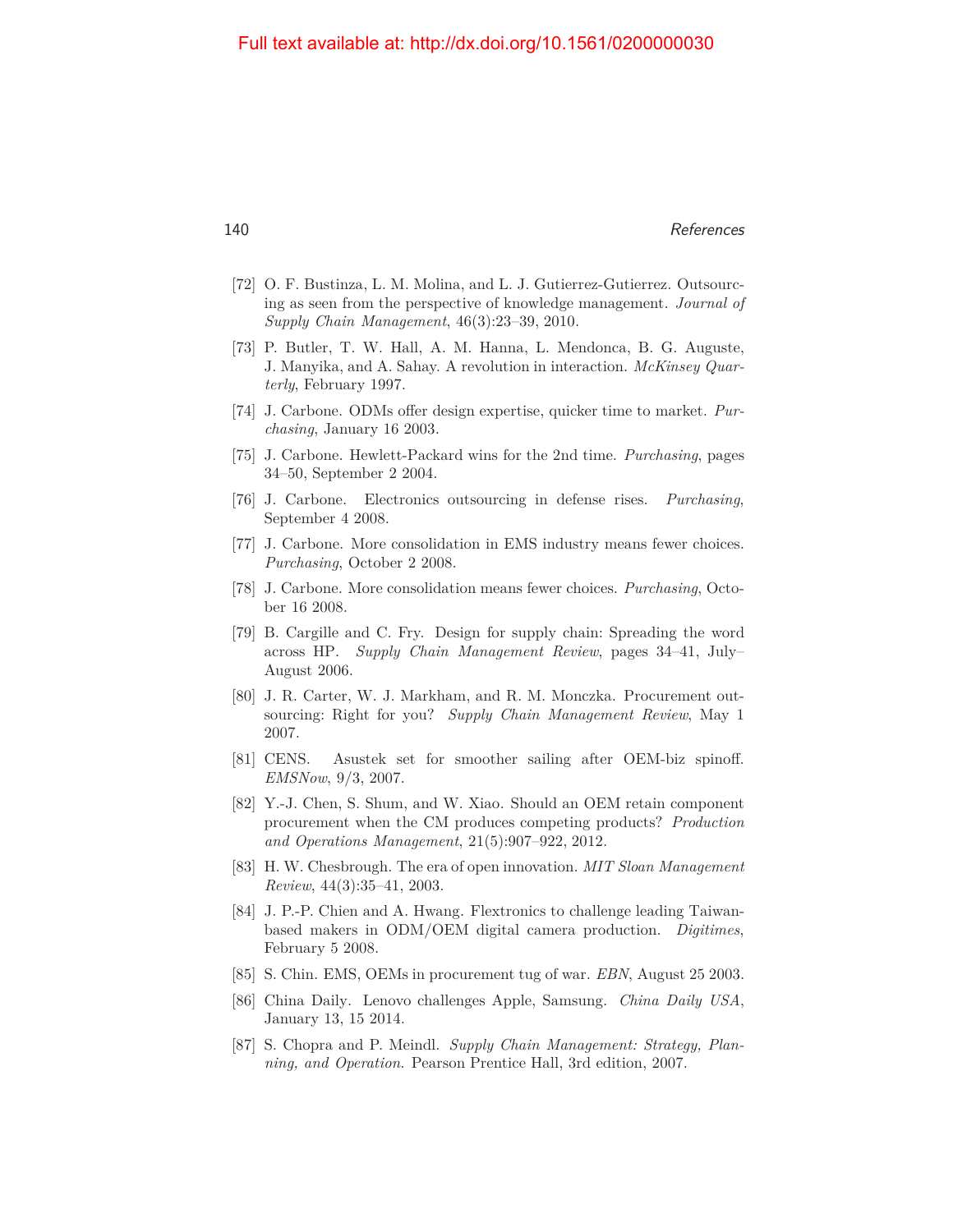#### Full text available at: http://dx.doi.org/10.1561/0200000030

- [72] O. F. Bustinza, L. M. Molina, and L. J. Gutierrez-Gutierrez. Outsourcing as seen from the perspective of knowledge management. *Journal of Supply Chain Management*, 46(3):23–39, 2010.
- [73] P. Butler, T. W. Hall, A. M. Hanna, L. Mendonca, B. G. Auguste, J. Manyika, and A. Sahay. A revolution in interaction. *McKinsey Quarterly*, February 1997.
- [74] J. Carbone. ODMs offer design expertise, quicker time to market. *Purchasing*, January 16 2003.
- [75] J. Carbone. Hewlett-Packard wins for the 2nd time. *Purchasing*, pages 34–50, September 2 2004.
- [76] J. Carbone. Electronics outsourcing in defense rises. *Purchasing*, September 4 2008.
- [77] J. Carbone. More consolidation in EMS industry means fewer choices. *Purchasing*, October 2 2008.
- [78] J. Carbone. More consolidation means fewer choices. *Purchasing*, October 16 2008.
- [79] B. Cargille and C. Fry. Design for supply chain: Spreading the word across HP. *Supply Chain Management Review*, pages 34–41, July– August 2006.
- [80] J. R. Carter, W. J. Markham, and R. M. Monczka. Procurement outsourcing: Right for you? *Supply Chain Management Review*, May 1 2007.
- [81] CENS. Asustek set for smoother sailing after OEM-biz spinoff. *EMSNow*, 9/3, 2007.
- [82] Y.-J. Chen, S. Shum, and W. Xiao. Should an OEM retain component procurement when the CM produces competing products? *Production and Operations Management*, 21(5):907–922, 2012.
- [83] H. W. Chesbrough. The era of open innovation. *MIT Sloan Management Review*, 44(3):35–41, 2003.
- [84] J. P.-P. Chien and A. Hwang. Flextronics to challenge leading Taiwanbased makers in ODM/OEM digital camera production. *Digitimes*, February 5 2008.
- [85] S. Chin. EMS, OEMs in procurement tug of war. *EBN*, August 25 2003.
- [86] China Daily. Lenovo challenges Apple, Samsung. *China Daily USA*, January 13, 15 2014.
- [87] S. Chopra and P. Meindl. *Supply Chain Management: Strategy, Planning, and Operation*. Pearson Prentice Hall, 3rd edition, 2007.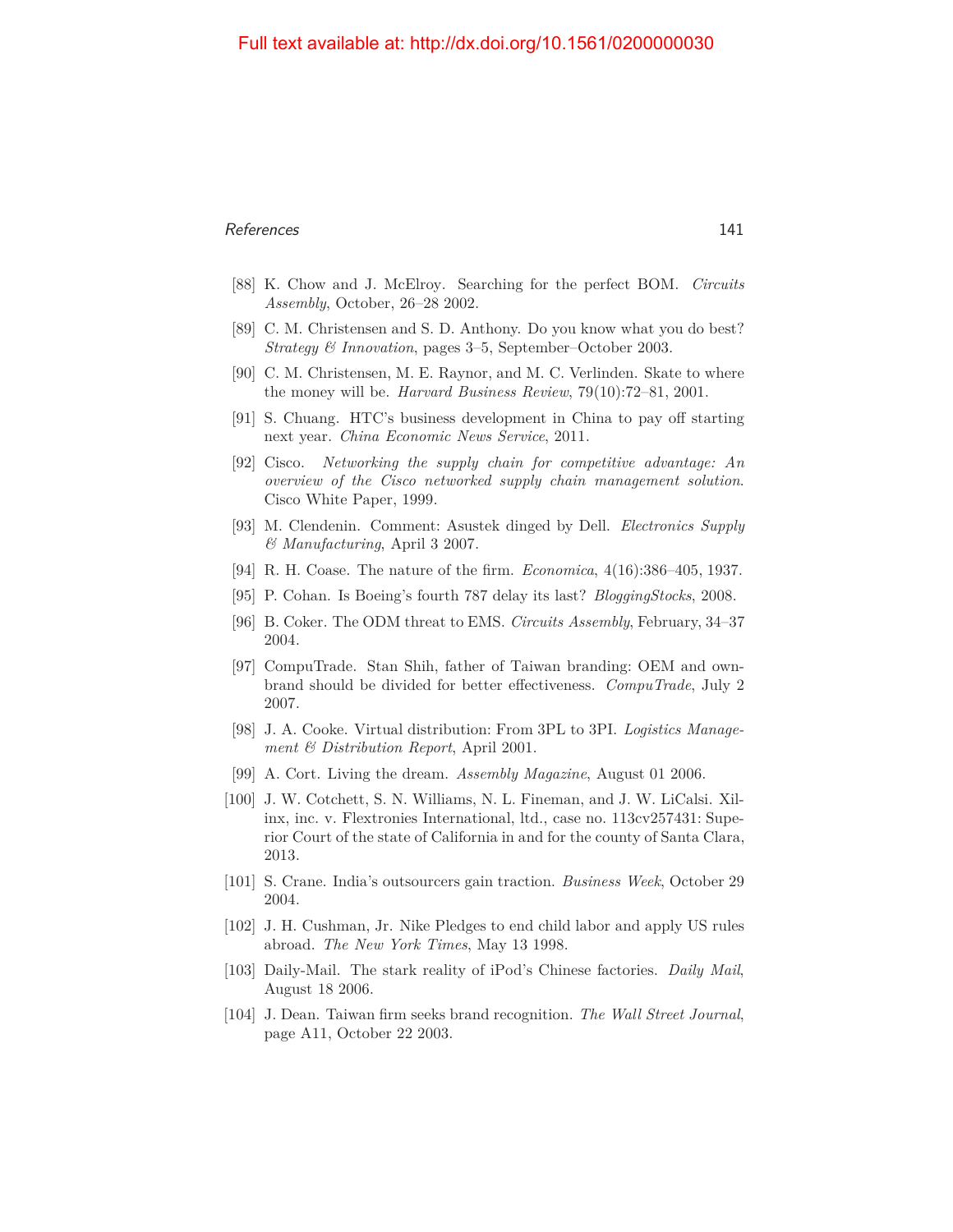- [88] K. Chow and J. McElroy. Searching for the perfect BOM. *Circuits Assembly*, October, 26–28 2002.
- [89] C. M. Christensen and S. D. Anthony. Do you know what you do best? *Strategy & Innovation*, pages 3–5, September–October 2003.
- [90] C. M. Christensen, M. E. Raynor, and M. C. Verlinden. Skate to where the money will be. *Harvard Business Review*, 79(10):72–81, 2001.
- [91] S. Chuang. HTC's business development in China to pay off starting next year. *China Economic News Service*, 2011.
- <span id="page-21-1"></span>[92] Cisco. *Networking the supply chain for competitive advantage: An overview of the Cisco networked supply chain management solution*. Cisco White Paper, 1999.
- [93] M. Clendenin. Comment: Asustek dinged by Dell. *Electronics Supply & Manufacturing*, April 3 2007.
- [94] R. H. Coase. The nature of the firm. *Economica*, 4(16):386–405, 1937.
- [95] P. Cohan. Is Boeing's fourth 787 delay its last? *BloggingStocks*, 2008.
- [96] B. Coker. The ODM threat to EMS. *Circuits Assembly*, February, 34–37 2004.
- [97] CompuTrade. Stan Shih, father of Taiwan branding: OEM and ownbrand should be divided for better effectiveness. *CompuTrade*, July 2 2007.
- [98] J. A. Cooke. Virtual distribution: From 3PL to 3PI. *Logistics Management & Distribution Report*, April 2001.
- [99] A. Cort. Living the dream. *Assembly Magazine*, August 01 2006.
- [100] J. W. Cotchett, S. N. Williams, N. L. Fineman, and J. W. LiCalsi. Xilinx, inc. v. Flextronies International, ltd., case no. 113cv257431: Superior Court of the state of California in and for the county of Santa Clara, 2013.
- <span id="page-21-0"></span>[101] S. Crane. India's outsourcers gain traction. *Business Week*, October 29 2004.
- [102] J. H. Cushman, Jr. Nike Pledges to end child labor and apply US rules abroad. *The New York Times*, May 13 1998.
- [103] Daily-Mail. The stark reality of iPod's Chinese factories. *Daily Mail*, August 18 2006.
- [104] J. Dean. Taiwan firm seeks brand recognition. *The Wall Street Journal*, page A11, October 22 2003.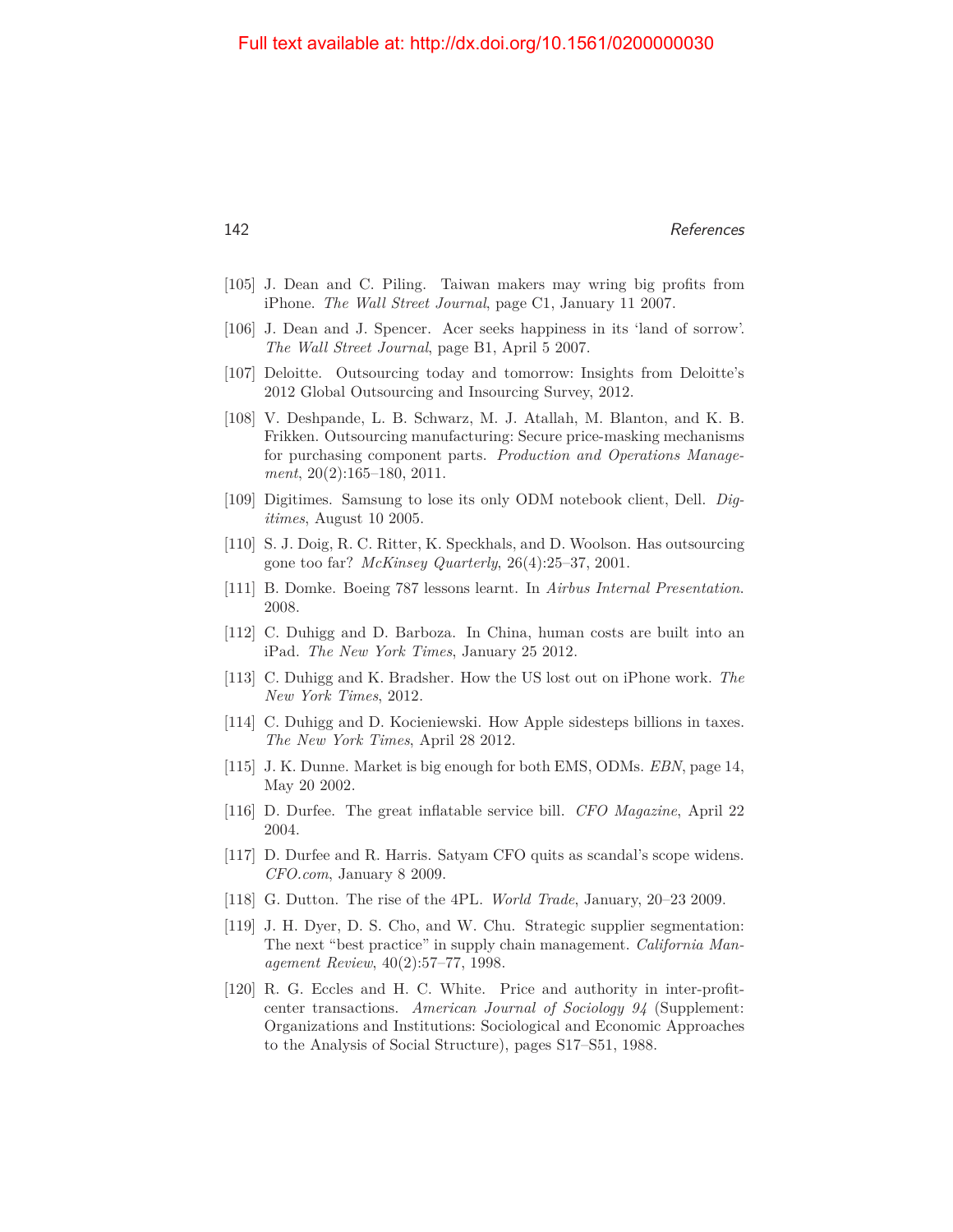- [105] J. Dean and C. Piling. Taiwan makers may wring big profits from iPhone. *The Wall Street Journal*, page C1, January 11 2007.
- [106] J. Dean and J. Spencer. Acer seeks happiness in its 'land of sorrow'. *The Wall Street Journal*, page B1, April 5 2007.
- [107] Deloitte. Outsourcing today and tomorrow: Insights from Deloitte's 2012 Global Outsourcing and Insourcing Survey, 2012.
- [108] V. Deshpande, L. B. Schwarz, M. J. Atallah, M. Blanton, and K. B. Frikken. Outsourcing manufacturing: Secure price-masking mechanisms for purchasing component parts. *Production and Operations Management*, 20(2):165–180, 2011.
- [109] Digitimes. Samsung to lose its only ODM notebook client, Dell. *Digitimes*, August 10 2005.
- [110] S. J. Doig, R. C. Ritter, K. Speckhals, and D. Woolson. Has outsourcing gone too far? *McKinsey Quarterly*, 26(4):25–37, 2001.
- [111] B. Domke. Boeing 787 lessons learnt. In *Airbus Internal Presentation*. 2008.
- [112] C. Duhigg and D. Barboza. In China, human costs are built into an iPad. *The New York Times*, January 25 2012.
- [113] C. Duhigg and K. Bradsher. How the US lost out on iPhone work. *The New York Times*, 2012.
- [114] C. Duhigg and D. Kocieniewski. How Apple sidesteps billions in taxes. *The New York Times*, April 28 2012.
- [115] J. K. Dunne. Market is big enough for both EMS, ODMs. *EBN*, page 14, May 20 2002.
- [116] D. Durfee. The great inflatable service bill. *CFO Magazine*, April 22 2004.
- [117] D. Durfee and R. Harris. Satyam CFO quits as scandal's scope widens. *CFO.com*, January 8 2009.
- [118] G. Dutton. The rise of the 4PL. *World Trade*, January, 20–23 2009.
- [119] J. H. Dyer, D. S. Cho, and W. Chu. Strategic supplier segmentation: The next "best practice" in supply chain management. *California Management Review*, 40(2):57–77, 1998.
- [120] R. G. Eccles and H. C. White. Price and authority in inter-profitcenter transactions. *American Journal of Sociology 94* (Supplement: Organizations and Institutions: Sociological and Economic Approaches to the Analysis of Social Structure), pages S17–S51, 1988.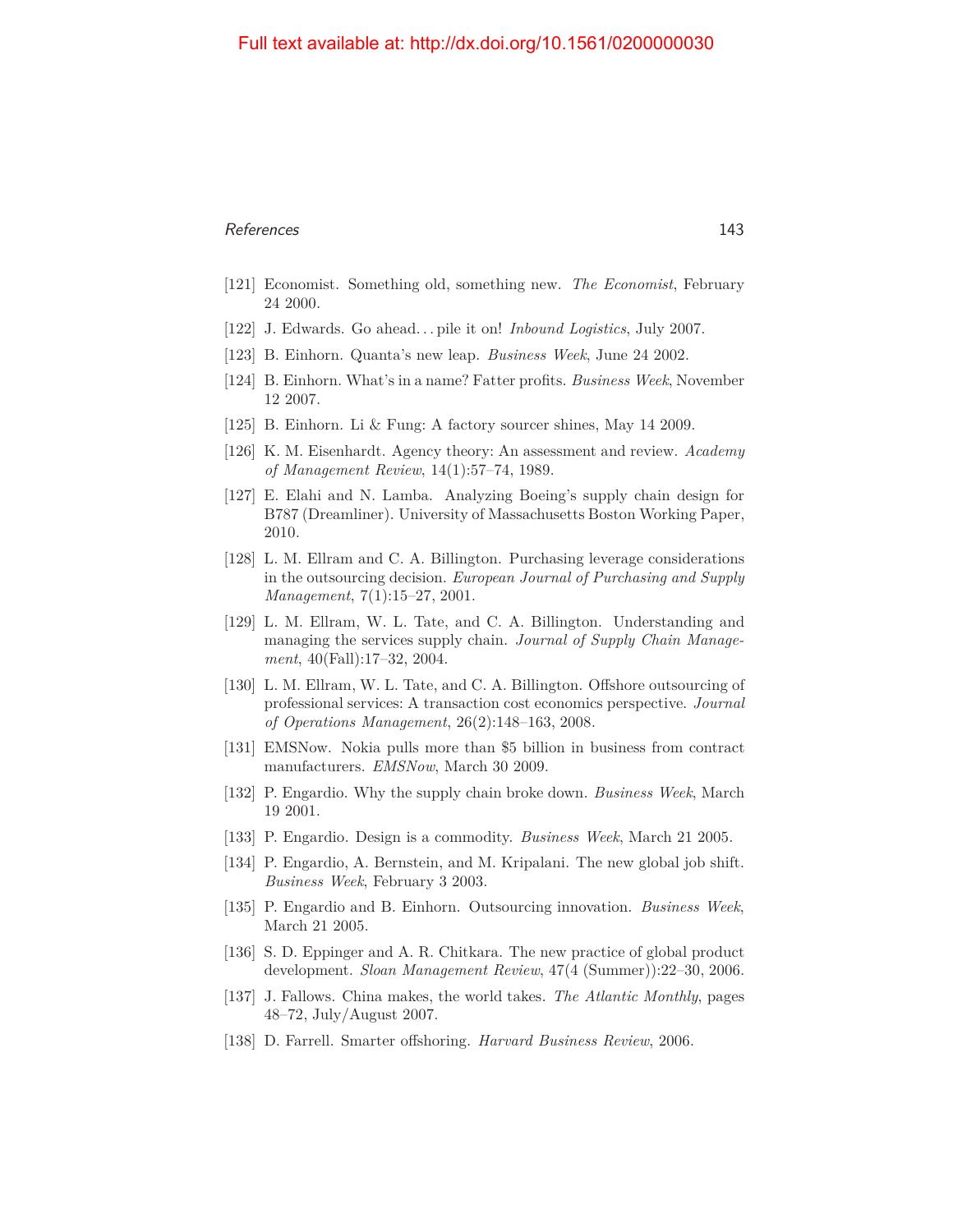- [121] Economist. Something old, something new. *The Economist*, February 24 2000.
- [122] J. Edwards. Go ahead. . . pile it on! *Inbound Logistics*, July 2007.
- [123] B. Einhorn. Quanta's new leap. *Business Week*, June 24 2002.
- [124] B. Einhorn. What's in a name? Fatter profits. *Business Week*, November 12 2007.
- [125] B. Einhorn. Li & Fung: A factory sourcer shines, May 14 2009.
- [126] K. M. Eisenhardt. Agency theory: An assessment and review. *Academy of Management Review*, 14(1):57–74, 1989.
- [127] E. Elahi and N. Lamba. Analyzing Boeing's supply chain design for B787 (Dreamliner). University of Massachusetts Boston Working Paper, 2010.
- [128] L. M. Ellram and C. A. Billington. Purchasing leverage considerations in the outsourcing decision. *European Journal of Purchasing and Supply Management*, 7(1):15–27, 2001.
- [129] L. M. Ellram, W. L. Tate, and C. A. Billington. Understanding and managing the services supply chain. *Journal of Supply Chain Management*, 40(Fall):17–32, 2004.
- [130] L. M. Ellram, W. L. Tate, and C. A. Billington. Offshore outsourcing of professional services: A transaction cost economics perspective. *Journal of Operations Management*, 26(2):148–163, 2008.
- [131] EMSNow. Nokia pulls more than \$5 billion in business from contract manufacturers. *EMSNow*, March 30 2009.
- [132] P. Engardio. Why the supply chain broke down. *Business Week*, March 19 2001.
- [133] P. Engardio. Design is a commodity. *Business Week*, March 21 2005.
- [134] P. Engardio, A. Bernstein, and M. Kripalani. The new global job shift. *Business Week*, February 3 2003.
- [135] P. Engardio and B. Einhorn. Outsourcing innovation. *Business Week*, March 21 2005.
- [136] S. D. Eppinger and A. R. Chitkara. The new practice of global product development. *Sloan Management Review*, 47(4 (Summer)):22–30, 2006.
- [137] J. Fallows. China makes, the world takes. *The Atlantic Monthly*, pages 48–72, July/August 2007.
- [138] D. Farrell. Smarter offshoring. *Harvard Business Review*, 2006.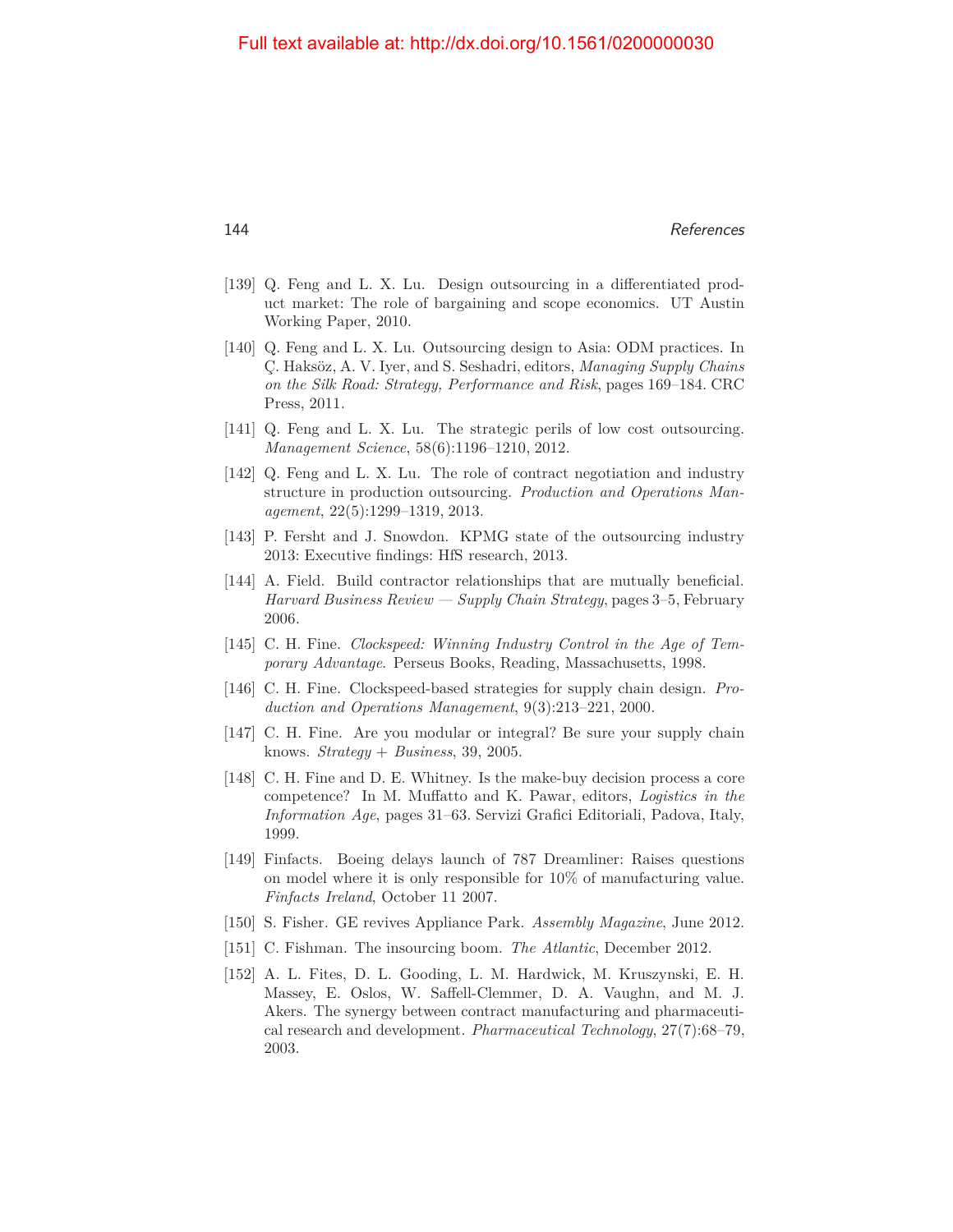- [139] Q. Feng and L. X. Lu. Design outsourcing in a differentiated product market: The role of bargaining and scope economics. UT Austin Working Paper, 2010.
- [140] Q. Feng and L. X. Lu. Outsourcing design to Asia: ODM practices. In Ç. Haksöz, A. V. Iyer, and S. Seshadri, editors, *Managing Supply Chains on the Silk Road: Strategy, Performance and Risk*, pages 169–184. CRC Press, 2011.
- [141] Q. Feng and L. X. Lu. The strategic perils of low cost outsourcing. *Management Science*, 58(6):1196–1210, 2012.
- [142] Q. Feng and L. X. Lu. The role of contract negotiation and industry structure in production outsourcing. *Production and Operations Management*, 22(5):1299–1319, 2013.
- [143] P. Fersht and J. Snowdon. KPMG state of the outsourcing industry 2013: Executive findings: HfS research, 2013.
- [144] A. Field. Build contractor relationships that are mutually beneficial. *Harvard Business Review — Supply Chain Strategy*, pages 3–5, February 2006.
- [145] C. H. Fine. *Clockspeed: Winning Industry Control in the Age of Temporary Advantage*. Perseus Books, Reading, Massachusetts, 1998.
- [146] C. H. Fine. Clockspeed-based strategies for supply chain design. *Production and Operations Management*, 9(3):213–221, 2000.
- [147] C. H. Fine. Are you modular or integral? Be sure your supply chain knows. *Strategy* + *Business*, 39, 2005.
- [148] C. H. Fine and D. E. Whitney. Is the make-buy decision process a core competence? In M. Muffatto and K. Pawar, editors, *Logistics in the Information Age*, pages 31–63. Servizi Grafici Editoriali, Padova, Italy, 1999.
- [149] Finfacts. Boeing delays launch of 787 Dreamliner: Raises questions on model where it is only responsible for 10% of manufacturing value. *Finfacts Ireland*, October 11 2007.
- [150] S. Fisher. GE revives Appliance Park. *Assembly Magazine*, June 2012.
- [151] C. Fishman. The insourcing boom. *The Atlantic*, December 2012.
- [152] A. L. Fites, D. L. Gooding, L. M. Hardwick, M. Kruszynski, E. H. Massey, E. Oslos, W. Saffell-Clemmer, D. A. Vaughn, and M. J. Akers. The synergy between contract manufacturing and pharmaceutical research and development. *Pharmaceutical Technology*, 27(7):68–79, 2003.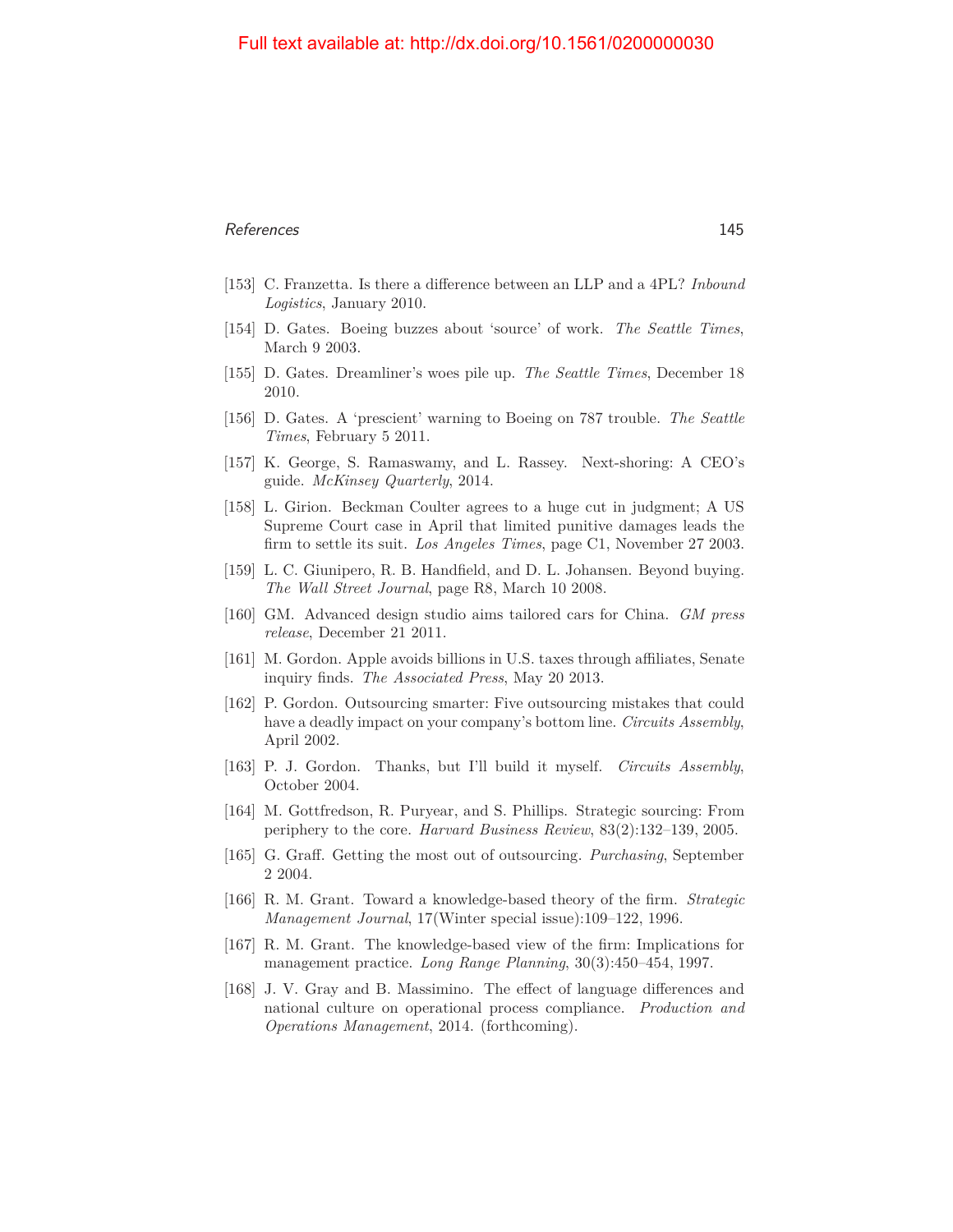- [153] C. Franzetta. Is there a difference between an LLP and a 4PL? *Inbound Logistics*, January 2010.
- [154] D. Gates. Boeing buzzes about 'source' of work. *The Seattle Times*, March 9 2003.
- [155] D. Gates. Dreamliner's woes pile up. *The Seattle Times*, December 18 2010.
- [156] D. Gates. A 'prescient' warning to Boeing on 787 trouble. *The Seattle Times*, February 5 2011.
- [157] K. George, S. Ramaswamy, and L. Rassey. Next-shoring: A CEO's guide. *McKinsey Quarterly*, 2014.
- [158] L. Girion. Beckman Coulter agrees to a huge cut in judgment; A US Supreme Court case in April that limited punitive damages leads the firm to settle its suit. *Los Angeles Times*, page C1, November 27 2003.
- [159] L. C. Giunipero, R. B. Handfield, and D. L. Johansen. Beyond buying. *The Wall Street Journal*, page R8, March 10 2008.
- [160] GM. Advanced design studio aims tailored cars for China. *GM press release*, December 21 2011.
- [161] M. Gordon. Apple avoids billions in U.S. taxes through affiliates, Senate inquiry finds. *The Associated Press*, May 20 2013.
- [162] P. Gordon. Outsourcing smarter: Five outsourcing mistakes that could have a deadly impact on your company's bottom line. *Circuits Assembly*, April 2002.
- [163] P. J. Gordon. Thanks, but I'll build it myself. *Circuits Assembly*, October 2004.
- [164] M. Gottfredson, R. Puryear, and S. Phillips. Strategic sourcing: From periphery to the core. *Harvard Business Review*, 83(2):132–139, 2005.
- [165] G. Graff. Getting the most out of outsourcing. *Purchasing*, September 2 2004.
- [166] R. M. Grant. Toward a knowledge-based theory of the firm. *Strategic Management Journal*, 17(Winter special issue):109–122, 1996.
- [167] R. M. Grant. The knowledge-based view of the firm: Implications for management practice. *Long Range Planning*, 30(3):450–454, 1997.
- [168] J. V. Gray and B. Massimino. The effect of language differences and national culture on operational process compliance. *Production and Operations Management*, 2014. (forthcoming).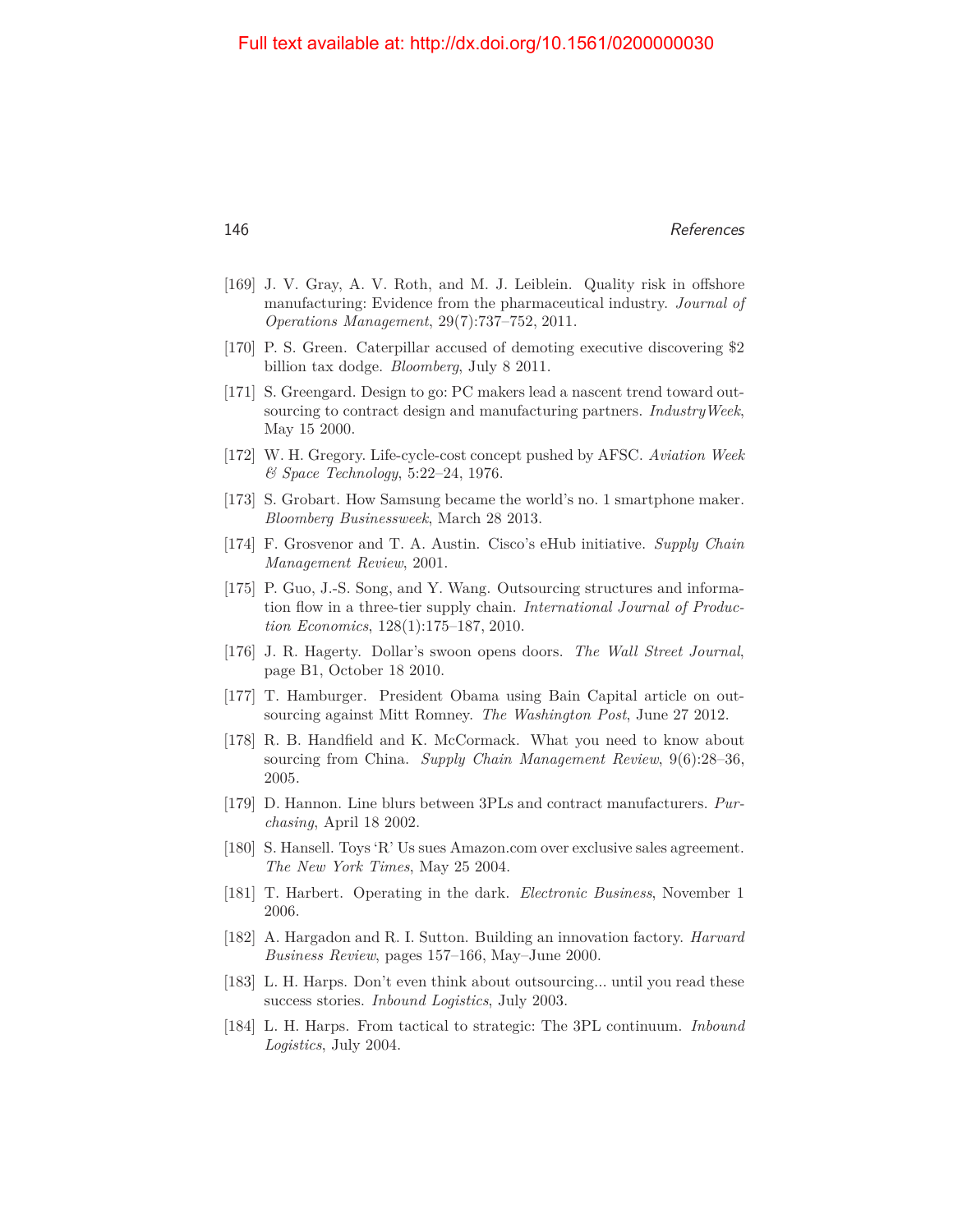#### Full text available at: http://dx.doi.org/10.1561/0200000030

- [169] J. V. Gray, A. V. Roth, and M. J. Leiblein. Quality risk in offshore manufacturing: Evidence from the pharmaceutical industry. *Journal of Operations Management*, 29(7):737–752, 2011.
- [170] P. S. Green. Caterpillar accused of demoting executive discovering \$2 billion tax dodge. *Bloomberg*, July 8 2011.
- [171] S. Greengard. Design to go: PC makers lead a nascent trend toward outsourcing to contract design and manufacturing partners. *IndustryWeek*, May 15 2000.
- [172] W. H. Gregory. Life-cycle-cost concept pushed by AFSC. *Aviation Week & Space Technology*, 5:22–24, 1976.
- [173] S. Grobart. How Samsung became the world's no. 1 smartphone maker. *Bloomberg Businessweek*, March 28 2013.
- [174] F. Grosvenor and T. A. Austin. Cisco's eHub initiative. *Supply Chain Management Review*, 2001.
- [175] P. Guo, J.-S. Song, and Y. Wang. Outsourcing structures and information flow in a three-tier supply chain. *International Journal of Production Economics*, 128(1):175–187, 2010.
- [176] J. R. Hagerty. Dollar's swoon opens doors. *The Wall Street Journal*, page B1, October 18 2010.
- <span id="page-26-0"></span>[177] T. Hamburger. President Obama using Bain Capital article on outsourcing against Mitt Romney. *The Washington Post*, June 27 2012.
- [178] R. B. Handfield and K. McCormack. What you need to know about sourcing from China. *Supply Chain Management Review*, 9(6):28–36, 2005.
- [179] D. Hannon. Line blurs between 3PLs and contract manufacturers. *Purchasing*, April 18 2002.
- [180] S. Hansell. Toys 'R' Us sues Amazon.com over exclusive sales agreement. *The New York Times*, May 25 2004.
- [181] T. Harbert. Operating in the dark. *Electronic Business*, November 1 2006.
- [182] A. Hargadon and R. I. Sutton. Building an innovation factory. *Harvard Business Review*, pages 157–166, May–June 2000.
- [183] L. H. Harps. Don't even think about outsourcing... until you read these success stories. *Inbound Logistics*, July 2003.
- [184] L. H. Harps. From tactical to strategic: The 3PL continuum. *Inbound Logistics*, July 2004.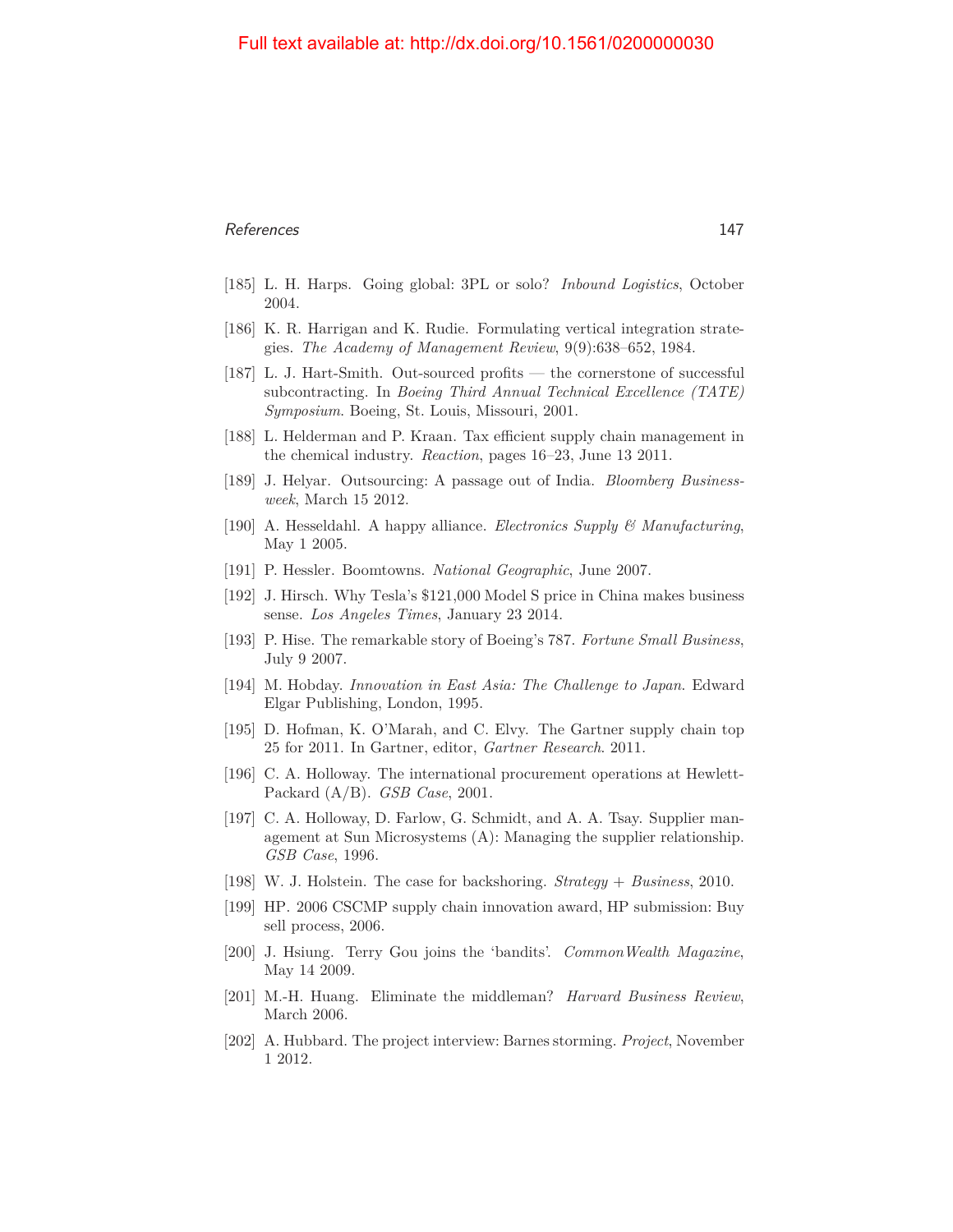- [185] L. H. Harps. Going global: 3PL or solo? *Inbound Logistics*, October 2004.
- [186] K. R. Harrigan and K. Rudie. Formulating vertical integration strategies. *The Academy of Management Review*, 9(9):638–652, 1984.
- [187] L. J. Hart-Smith. Out-sourced profits the cornerstone of successful subcontracting. In *Boeing Third Annual Technical Excellence (TATE) Symposium*. Boeing, St. Louis, Missouri, 2001.
- [188] L. Helderman and P. Kraan. Tax efficient supply chain management in the chemical industry. *Reaction*, pages 16–23, June 13 2011.
- [189] J. Helyar. Outsourcing: A passage out of India. *Bloomberg Businessweek*, March 15 2012.
- [190] A. Hesseldahl. A happy alliance. *Electronics Supply & Manufacturing*, May 1 2005.
- [191] P. Hessler. Boomtowns. *National Geographic*, June 2007.
- [192] J. Hirsch. Why Tesla's \$121,000 Model S price in China makes business sense. *Los Angeles Times*, January 23 2014.
- [193] P. Hise. The remarkable story of Boeing's 787. *Fortune Small Business*, July 9 2007.
- [194] M. Hobday. *Innovation in East Asia: The Challenge to Japan*. Edward Elgar Publishing, London, 1995.
- [195] D. Hofman, K. O'Marah, and C. Elvy. The Gartner supply chain top 25 for 2011. In Gartner, editor, *Gartner Research*. 2011.
- [196] C. A. Holloway. The international procurement operations at Hewlett-Packard (A/B). *GSB Case*, 2001.
- [197] C. A. Holloway, D. Farlow, G. Schmidt, and A. A. Tsay. Supplier management at Sun Microsystems (A): Managing the supplier relationship. *GSB Case*, 1996.
- [198] W. J. Holstein. The case for backshoring. *Strategy* + *Business*, 2010.
- [199] HP. 2006 CSCMP supply chain innovation award, HP submission: Buy sell process, 2006.
- [200] J. Hsiung. Terry Gou joins the 'bandits'. *CommonWealth Magazine*, May 14 2009.
- [201] M.-H. Huang. Eliminate the middleman? *Harvard Business Review*, March 2006.
- [202] A. Hubbard. The project interview: Barnes storming. *Project*, November 1 2012.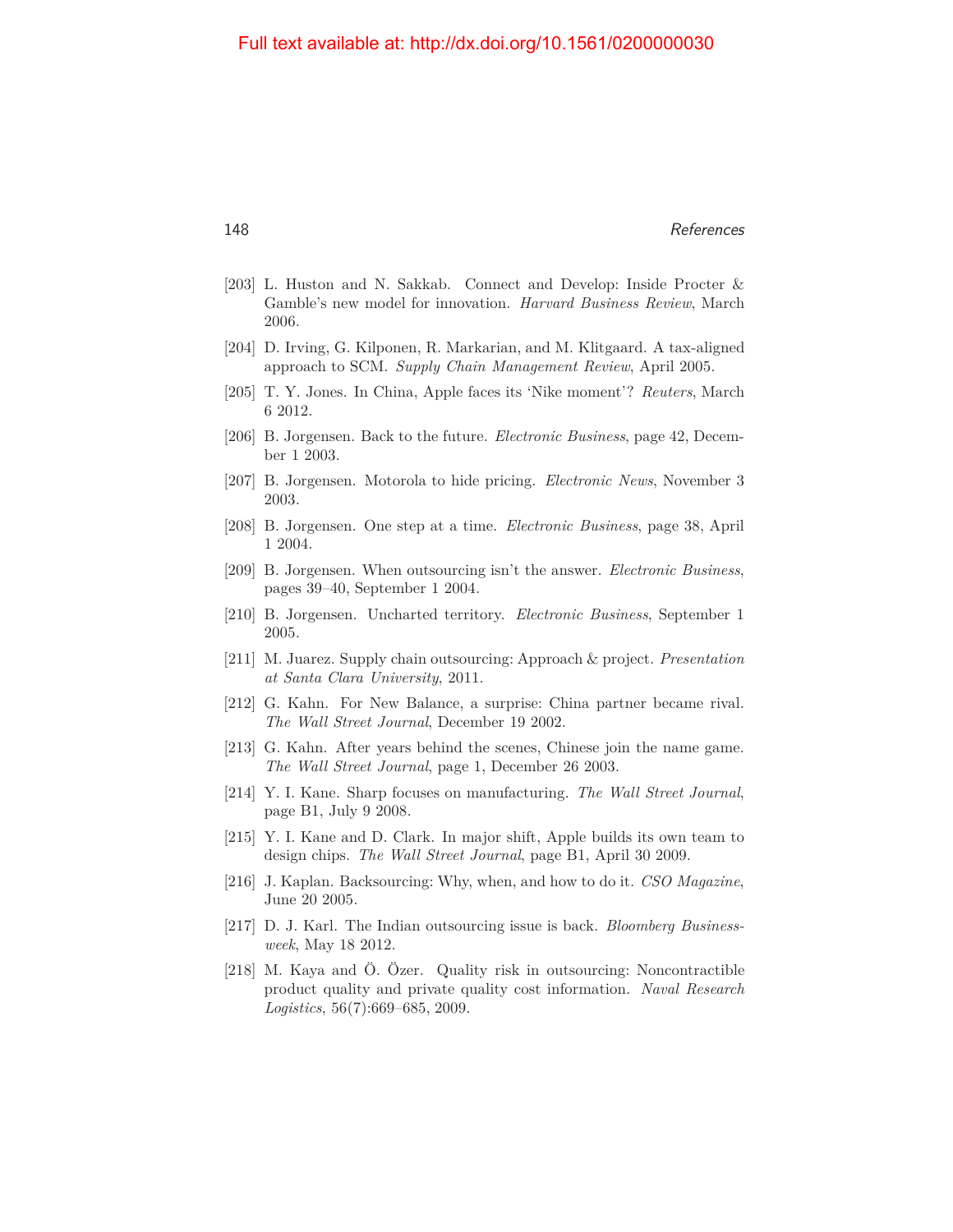#### Full text available at: http://dx.doi.org/10.1561/0200000030

- [203] L. Huston and N. Sakkab. Connect and Develop: Inside Procter & Gamble's new model for innovation. *Harvard Business Review*, March 2006.
- [204] D. Irving, G. Kilponen, R. Markarian, and M. Klitgaard. A tax-aligned approach to SCM. *Supply Chain Management Review*, April 2005.
- [205] T. Y. Jones. In China, Apple faces its 'Nike moment'? *Reuters*, March 6 2012.
- [206] B. Jorgensen. Back to the future. *Electronic Business*, page 42, December 1 2003.
- [207] B. Jorgensen. Motorola to hide pricing. *Electronic News*, November 3 2003.
- [208] B. Jorgensen. One step at a time. *Electronic Business*, page 38, April 1 2004.
- [209] B. Jorgensen. When outsourcing isn't the answer. *Electronic Business*, pages 39–40, September 1 2004.
- [210] B. Jorgensen. Uncharted territory. *Electronic Business*, September 1 2005.
- [211] M. Juarez. Supply chain outsourcing: Approach & project. *Presentation at Santa Clara University*, 2011.
- [212] G. Kahn. For New Balance, a surprise: China partner became rival. *The Wall Street Journal*, December 19 2002.
- [213] G. Kahn. After years behind the scenes, Chinese join the name game. *The Wall Street Journal*, page 1, December 26 2003.
- [214] Y. I. Kane. Sharp focuses on manufacturing. *The Wall Street Journal*, page B1, July 9 2008.
- [215] Y. I. Kane and D. Clark. In major shift, Apple builds its own team to design chips. *The Wall Street Journal*, page B1, April 30 2009.
- <span id="page-28-0"></span>[216] J. Kaplan. Backsourcing: Why, when, and how to do it. *CSO Magazine*, June 20 2005.
- <span id="page-28-1"></span>[217] D. J. Karl. The Indian outsourcing issue is back. *Bloomberg Businessweek*, May 18 2012.
- [218] M. Kaya and Ö. Özer. Quality risk in outsourcing: Noncontractible product quality and private quality cost information. *Naval Research Logistics*, 56(7):669–685, 2009.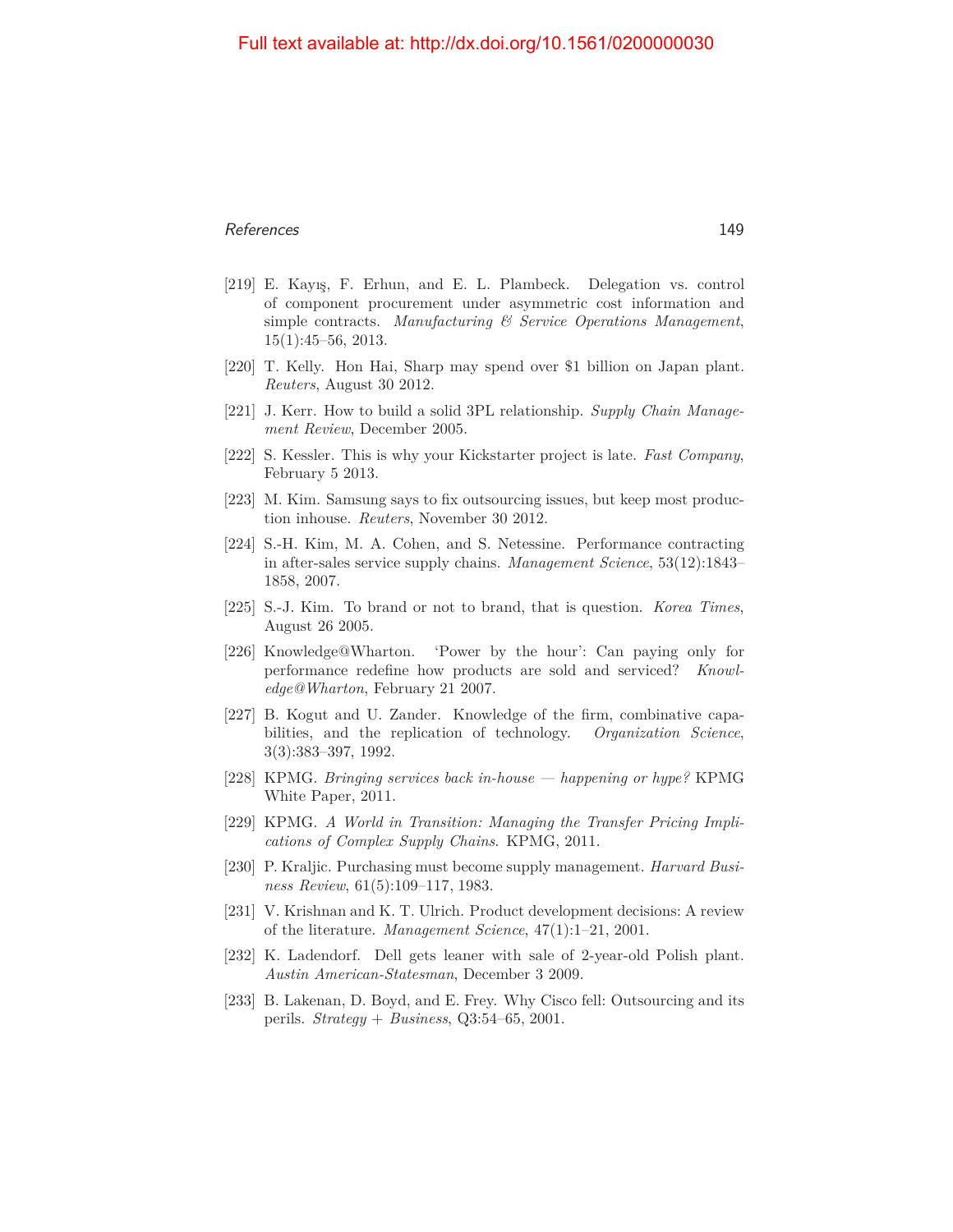#### References and the set of the set of the set of the set of the set of the set of the set of the set of the set of the set of the set of the set of the set of the set of the set of the set of the set of the set of the set o

- [219] E. Kayış, F. Erhun, and E. L. Plambeck. Delegation vs. control of component procurement under asymmetric cost information and simple contracts. *Manufacturing & Service Operations Management*, 15(1):45–56, 2013.
- [220] T. Kelly. Hon Hai, Sharp may spend over \$1 billion on Japan plant. *Reuters*, August 30 2012.
- [221] J. Kerr. How to build a solid 3PL relationship. *Supply Chain Management Review*, December 2005.
- [222] S. Kessler. This is why your Kickstarter project is late. *Fast Company*, February 5 2013.
- [223] M. Kim. Samsung says to fix outsourcing issues, but keep most production inhouse. *Reuters*, November 30 2012.
- [224] S.-H. Kim, M. A. Cohen, and S. Netessine. Performance contracting in after-sales service supply chains. *Management Science*, 53(12):1843– 1858, 2007.
- [225] S.-J. Kim. To brand or not to brand, that is question. *Korea Times*, August 26 2005.
- [226] Knowledge@Wharton. 'Power by the hour': Can paying only for performance redefine how products are sold and serviced? *Knowledge@Wharton*, February 21 2007.
- [227] B. Kogut and U. Zander. Knowledge of the firm, combinative capabilities, and the replication of technology. *Organization Science*, 3(3):383–397, 1992.
- <span id="page-29-0"></span>[228] KPMG. *Bringing services back in-house — happening or hype?* KPMG White Paper, 2011.
- [229] KPMG. *A World in Transition: Managing the Transfer Pricing Implications of Complex Supply Chains*. KPMG, 2011.
- [230] P. Kraljic. Purchasing must become supply management. *Harvard Business Review*, 61(5):109–117, 1983.
- [231] V. Krishnan and K. T. Ulrich. Product development decisions: A review of the literature. *Management Science*, 47(1):1–21, 2001.
- [232] K. Ladendorf. Dell gets leaner with sale of 2-year-old Polish plant. *Austin American-Statesman*, December 3 2009.
- [233] B. Lakenan, D. Boyd, and E. Frey. Why Cisco fell: Outsourcing and its perils. *Strategy* + *Business*, Q3:54–65, 2001.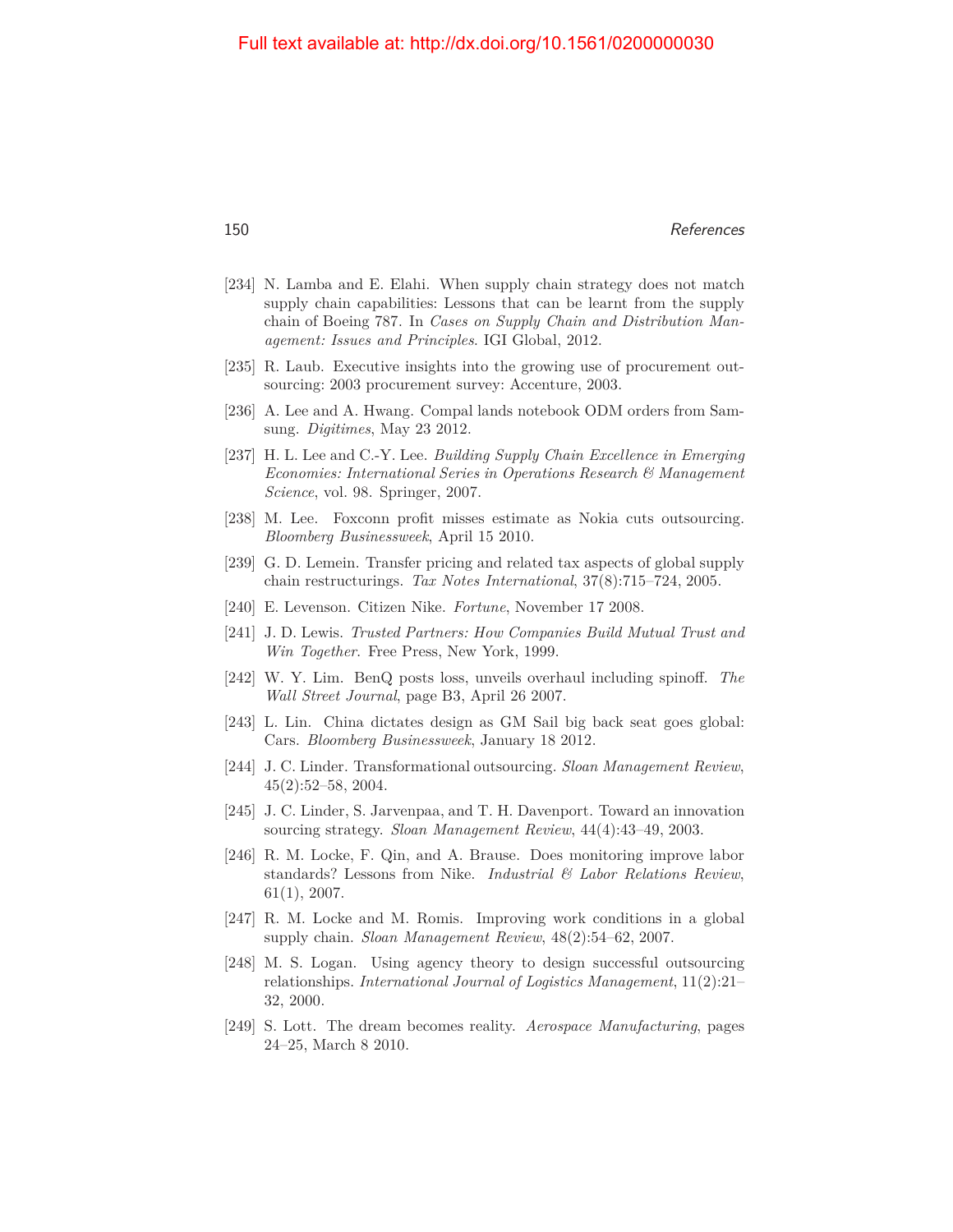- [234] N. Lamba and E. Elahi. When supply chain strategy does not match supply chain capabilities: Lessons that can be learnt from the supply chain of Boeing 787. In *Cases on Supply Chain and Distribution Management: Issues and Principles*. IGI Global, 2012.
- <span id="page-30-0"></span>[235] R. Laub. Executive insights into the growing use of procurement outsourcing: 2003 procurement survey: Accenture, 2003.
- [236] A. Lee and A. Hwang. Compal lands notebook ODM orders from Samsung. *Digitimes*, May 23 2012.
- [237] H. L. Lee and C.-Y. Lee. *Building Supply Chain Excellence in Emerging Economies: International Series in Operations Research & Management Science*, vol. 98. Springer, 2007.
- [238] M. Lee. Foxconn profit misses estimate as Nokia cuts outsourcing. *Bloomberg Businessweek*, April 15 2010.
- [239] G. D. Lemein. Transfer pricing and related tax aspects of global supply chain restructurings. *Tax Notes International*, 37(8):715–724, 2005.
- [240] E. Levenson. Citizen Nike. *Fortune*, November 17 2008.
- [241] J. D. Lewis. *Trusted Partners: How Companies Build Mutual Trust and Win Together*. Free Press, New York, 1999.
- [242] W. Y. Lim. BenQ posts loss, unveils overhaul including spinoff. *The Wall Street Journal*, page B3, April 26 2007.
- [243] L. Lin. China dictates design as GM Sail big back seat goes global: Cars. *Bloomberg Businessweek*, January 18 2012.
- [244] J. C. Linder. Transformational outsourcing. *Sloan Management Review*, 45(2):52–58, 2004.
- [245] J. C. Linder, S. Jarvenpaa, and T. H. Davenport. Toward an innovation sourcing strategy. *Sloan Management Review*, 44(4):43–49, 2003.
- [246] R. M. Locke, F. Qin, and A. Brause. Does monitoring improve labor standards? Lessons from Nike. *Industrial & Labor Relations Review*, 61(1), 2007.
- [247] R. M. Locke and M. Romis. Improving work conditions in a global supply chain. *Sloan Management Review*, 48(2):54–62, 2007.
- [248] M. S. Logan. Using agency theory to design successful outsourcing relationships. *International Journal of Logistics Management*, 11(2):21– 32, 2000.
- [249] S. Lott. The dream becomes reality. *Aerospace Manufacturing*, pages 24–25, March 8 2010.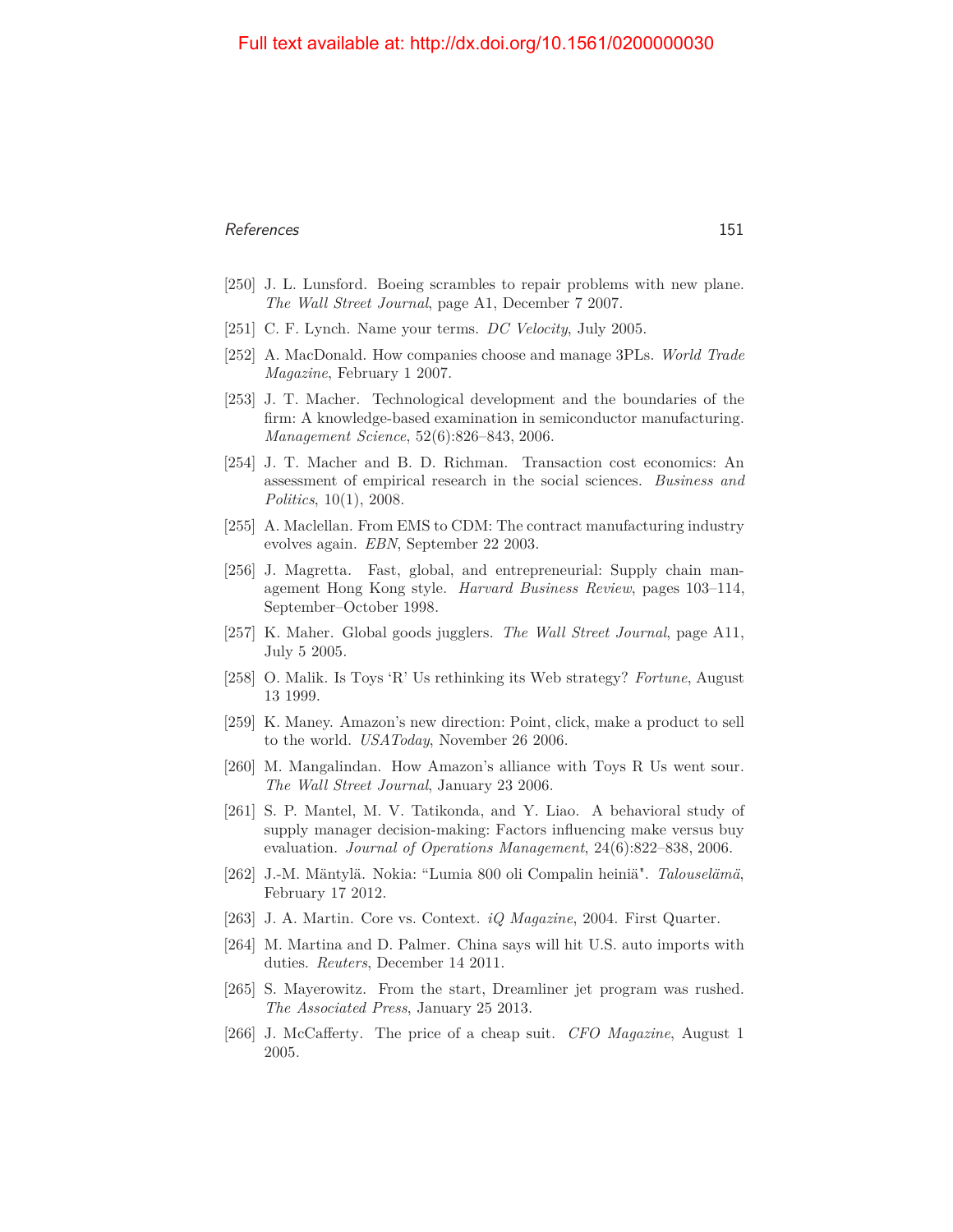- [250] J. L. Lunsford. Boeing scrambles to repair problems with new plane. *The Wall Street Journal*, page A1, December 7 2007.
- [251] C. F. Lynch. Name your terms. *DC Velocity*, July 2005.
- [252] A. MacDonald. How companies choose and manage 3PLs. *World Trade Magazine*, February 1 2007.
- [253] J. T. Macher. Technological development and the boundaries of the firm: A knowledge-based examination in semiconductor manufacturing. *Management Science*, 52(6):826–843, 2006.
- [254] J. T. Macher and B. D. Richman. Transaction cost economics: An assessment of empirical research in the social sciences. *Business and Politics*, 10(1), 2008.
- [255] A. Maclellan. From EMS to CDM: The contract manufacturing industry evolves again. *EBN*, September 22 2003.
- [256] J. Magretta. Fast, global, and entrepreneurial: Supply chain management Hong Kong style. *Harvard Business Review*, pages 103–114, September–October 1998.
- [257] K. Maher. Global goods jugglers. *The Wall Street Journal*, page A11, July 5 2005.
- [258] O. Malik. Is Toys 'R' Us rethinking its Web strategy? *Fortune*, August 13 1999.
- [259] K. Maney. Amazon's new direction: Point, click, make a product to sell to the world. *USAToday*, November 26 2006.
- [260] M. Mangalindan. How Amazon's alliance with Toys R Us went sour. *The Wall Street Journal*, January 23 2006.
- [261] S. P. Mantel, M. V. Tatikonda, and Y. Liao. A behavioral study of supply manager decision-making: Factors influencing make versus buy evaluation. *Journal of Operations Management*, 24(6):822–838, 2006.
- [262] J.-M. Mäntylä. Nokia: "Lumia 800 oli Compalin heiniä". *Talouselämä*, February 17 2012.
- [263] J. A. Martin. Core vs. Context. *iQ Magazine*, 2004. First Quarter.
- [264] M. Martina and D. Palmer. China says will hit U.S. auto imports with duties. *Reuters*, December 14 2011.
- [265] S. Mayerowitz. From the start, Dreamliner jet program was rushed. *The Associated Press*, January 25 2013.
- [266] J. McCafferty. The price of a cheap suit. *CFO Magazine*, August 1 2005.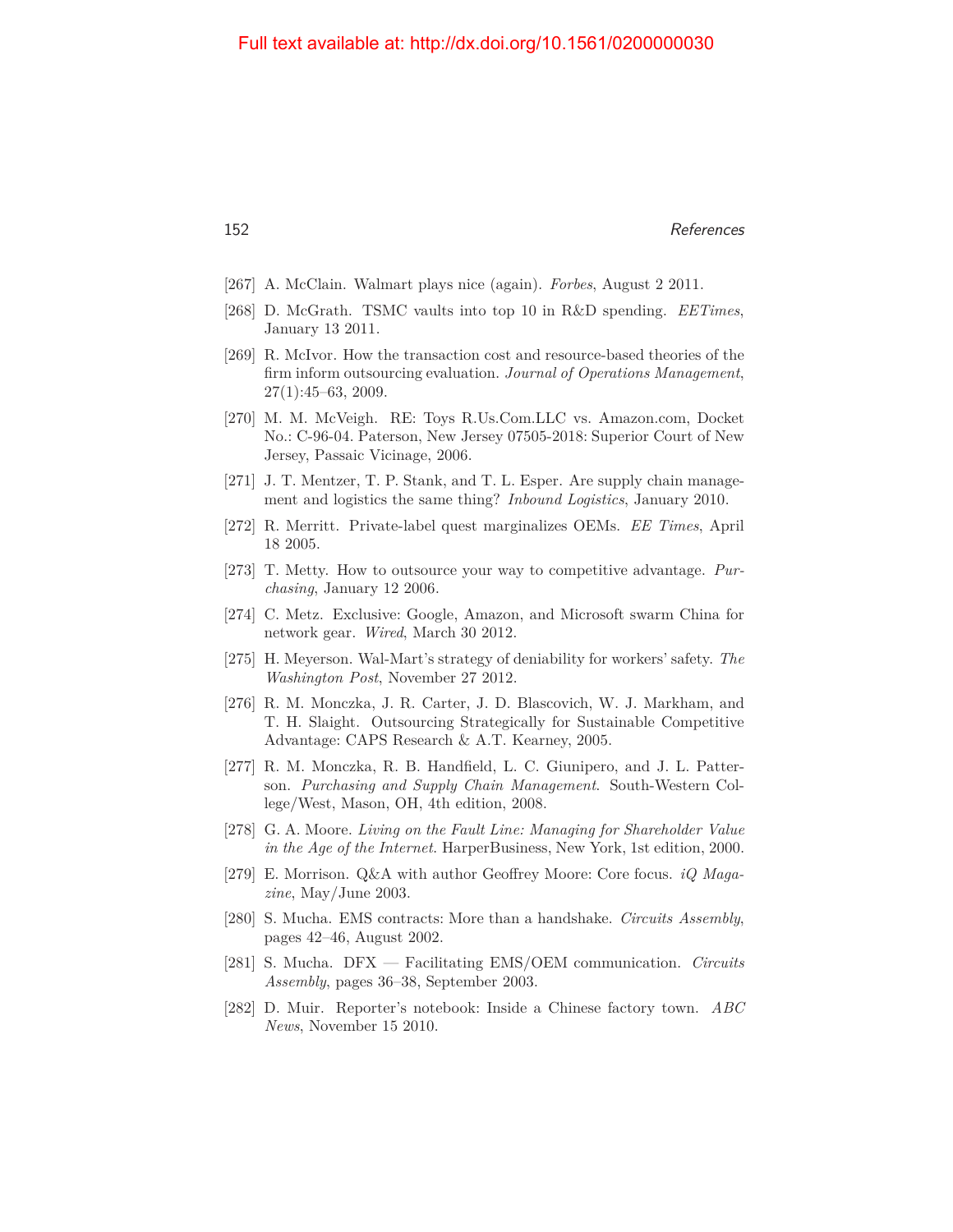- [267] A. McClain. Walmart plays nice (again). *Forbes*, August 2 2011.
- [268] D. McGrath. TSMC vaults into top 10 in R&D spending. *EETimes*, January 13 2011.
- [269] R. McIvor. How the transaction cost and resource-based theories of the firm inform outsourcing evaluation. *Journal of Operations Management*, 27(1):45–63, 2009.
- [270] M. M. McVeigh. RE: Toys R.Us.Com.LLC vs. Amazon.com, Docket No.: C-96-04. Paterson, New Jersey 07505-2018: Superior Court of New Jersey, Passaic Vicinage, 2006.
- [271] J. T. Mentzer, T. P. Stank, and T. L. Esper. Are supply chain management and logistics the same thing? *Inbound Logistics*, January 2010.
- [272] R. Merritt. Private-label quest marginalizes OEMs. *EE Times*, April 18 2005.
- [273] T. Metty. How to outsource your way to competitive advantage. *Purchasing*, January 12 2006.
- [274] C. Metz. Exclusive: Google, Amazon, and Microsoft swarm China for network gear. *Wired*, March 30 2012.
- [275] H. Meyerson. Wal-Mart's strategy of deniability for workers' safety. *The Washington Post*, November 27 2012.
- [276] R. M. Monczka, J. R. Carter, J. D. Blascovich, W. J. Markham, and T. H. Slaight. Outsourcing Strategically for Sustainable Competitive Advantage: CAPS Research & A.T. Kearney, 2005.
- [277] R. M. Monczka, R. B. Handfield, L. C. Giunipero, and J. L. Patterson. *Purchasing and Supply Chain Management*. South-Western College/West, Mason, OH, 4th edition, 2008.
- [278] G. A. Moore. *Living on the Fault Line: Managing for Shareholder Value in the Age of the Internet*. HarperBusiness, New York, 1st edition, 2000.
- [279] E. Morrison. Q&A with author Geoffrey Moore: Core focus. *iQ Magazine*, May/June 2003.
- [280] S. Mucha. EMS contracts: More than a handshake. *Circuits Assembly*, pages 42–46, August 2002.
- [281] S. Mucha. DFX Facilitating EMS/OEM communication. *Circuits Assembly*, pages 36–38, September 2003.
- [282] D. Muir. Reporter's notebook: Inside a Chinese factory town. *ABC News*, November 15 2010.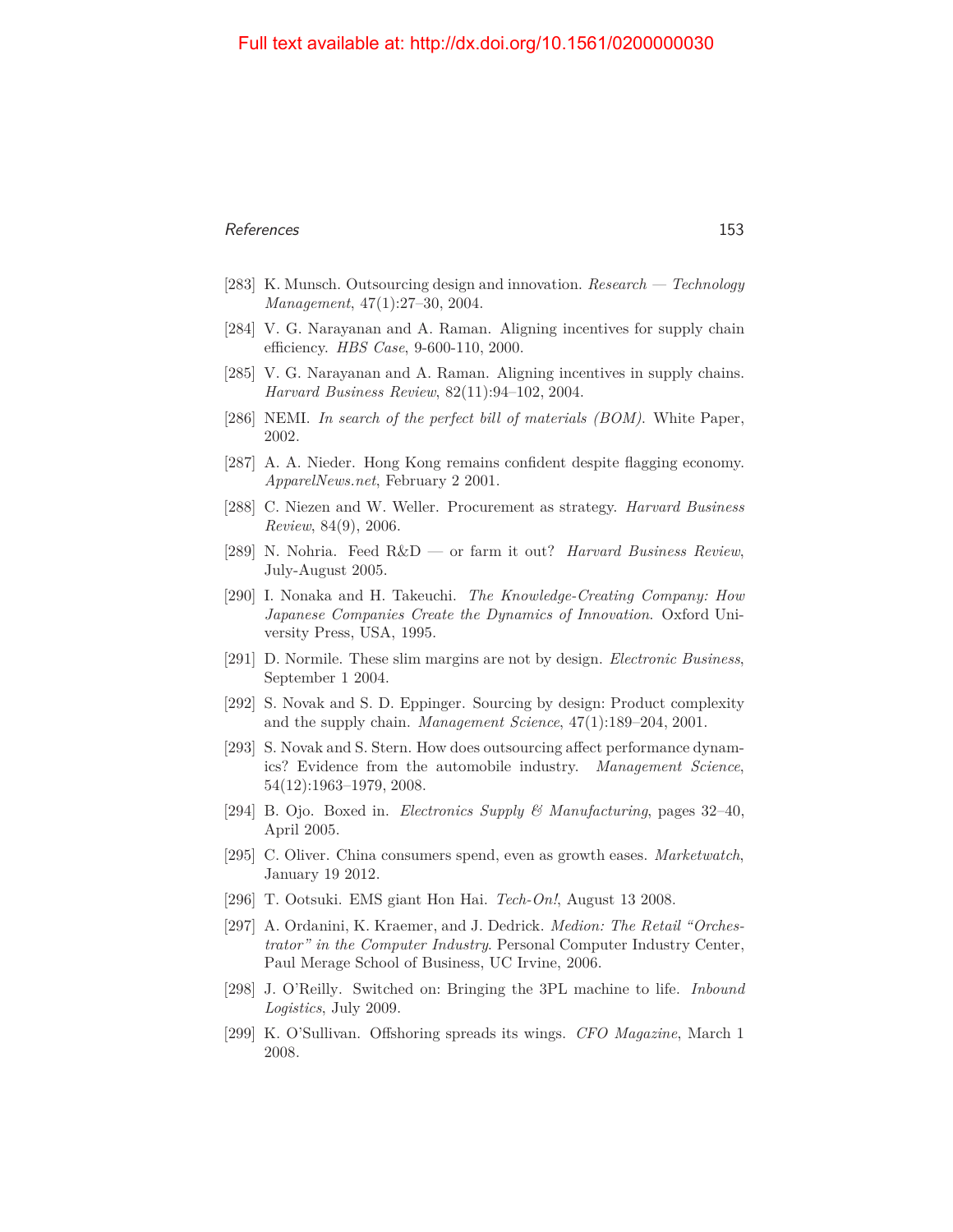- [283] K. Munsch. Outsourcing design and innovation. *Research Technology Management*, 47(1):27–30, 2004.
- [284] V. G. Narayanan and A. Raman. Aligning incentives for supply chain efficiency. *HBS Case*, 9-600-110, 2000.
- [285] V. G. Narayanan and A. Raman. Aligning incentives in supply chains. *Harvard Business Review*, 82(11):94–102, 2004.
- [286] NEMI. *In search of the perfect bill of materials (BOM)*. White Paper, 2002.
- [287] A. A. Nieder. Hong Kong remains confident despite flagging economy. *ApparelNews.net*, February 2 2001.
- [288] C. Niezen and W. Weller. Procurement as strategy. *Harvard Business Review*, 84(9), 2006.
- [289] N. Nohria. Feed R&D or farm it out? *Harvard Business Review*, July-August 2005.
- [290] I. Nonaka and H. Takeuchi. *The Knowledge-Creating Company: How Japanese Companies Create the Dynamics of Innovation*. Oxford University Press, USA, 1995.
- [291] D. Normile. These slim margins are not by design. *Electronic Business*, September 1 2004.
- [292] S. Novak and S. D. Eppinger. Sourcing by design: Product complexity and the supply chain. *Management Science*, 47(1):189–204, 2001.
- [293] S. Novak and S. Stern. How does outsourcing affect performance dynamics? Evidence from the automobile industry. *Management Science*, 54(12):1963–1979, 2008.
- [294] B. Ojo. Boxed in. *Electronics Supply & Manufacturing*, pages 32–40, April 2005.
- [295] C. Oliver. China consumers spend, even as growth eases. *Marketwatch*, January 19 2012.
- [296] T. Ootsuki. EMS giant Hon Hai. *Tech-On!*, August 13 2008.
- [297] A. Ordanini, K. Kraemer, and J. Dedrick. *Medion: The Retail "Orchestrator" in the Computer Industry*. Personal Computer Industry Center, Paul Merage School of Business, UC Irvine, 2006.
- [298] J. O'Reilly. Switched on: Bringing the 3PL machine to life. *Inbound Logistics*, July 2009.
- [299] K. O'Sullivan. Offshoring spreads its wings. *CFO Magazine*, March 1 2008.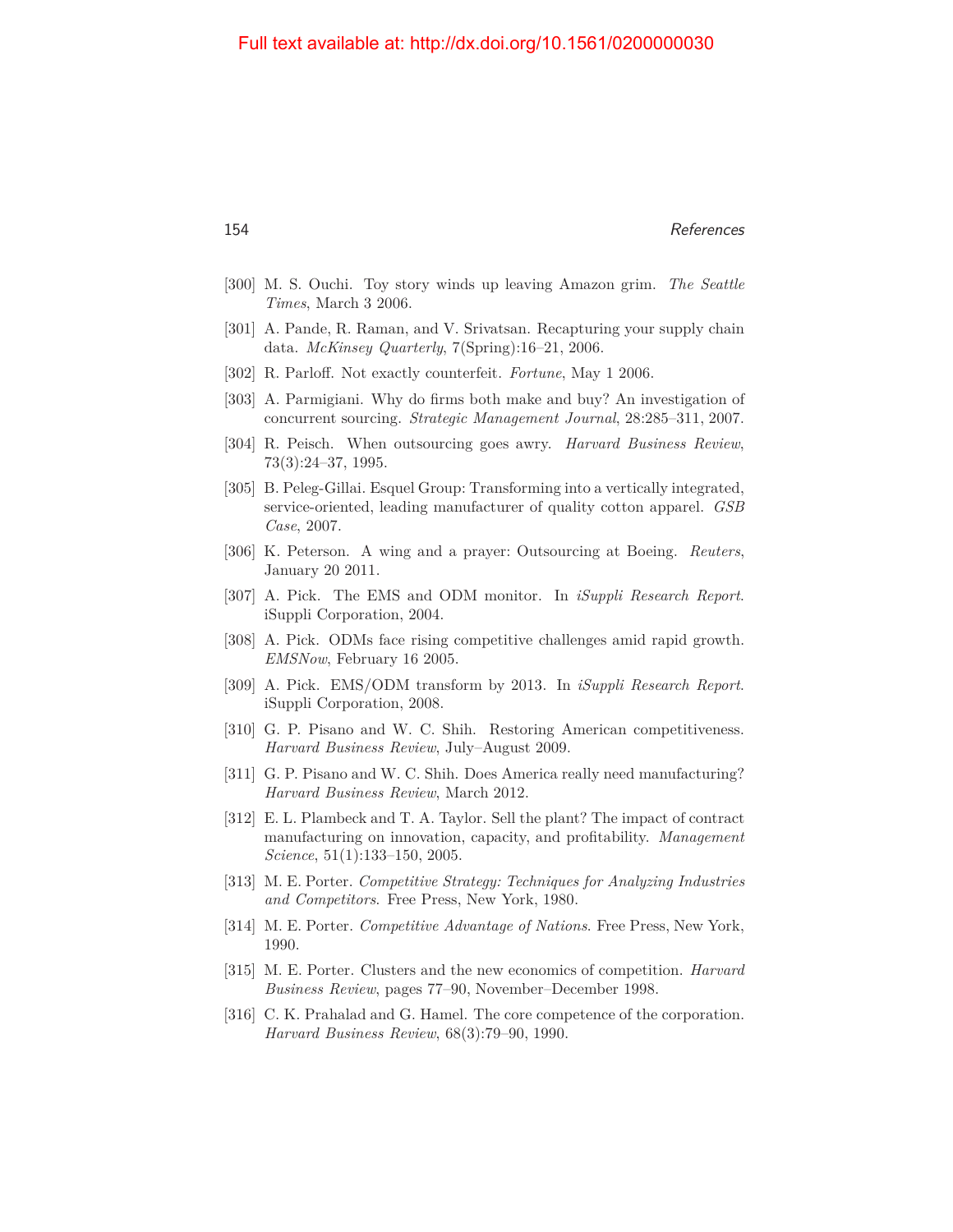- [300] M. S. Ouchi. Toy story winds up leaving Amazon grim. *The Seattle Times*, March 3 2006.
- [301] A. Pande, R. Raman, and V. Srivatsan. Recapturing your supply chain data. *McKinsey Quarterly*, 7(Spring):16–21, 2006.
- [302] R. Parloff. Not exactly counterfeit. *Fortune*, May 1 2006.
- [303] A. Parmigiani. Why do firms both make and buy? An investigation of concurrent sourcing. *Strategic Management Journal*, 28:285–311, 2007.
- [304] R. Peisch. When outsourcing goes awry. *Harvard Business Review*, 73(3):24–37, 1995.
- [305] B. Peleg-Gillai. Esquel Group: Transforming into a vertically integrated, service-oriented, leading manufacturer of quality cotton apparel. *GSB Case*, 2007.
- [306] K. Peterson. A wing and a prayer: Outsourcing at Boeing. *Reuters*, January 20 2011.
- [307] A. Pick. The EMS and ODM monitor. In *iSuppli Research Report*. iSuppli Corporation, 2004.
- [308] A. Pick. ODMs face rising competitive challenges amid rapid growth. *EMSNow*, February 16 2005.
- <span id="page-34-0"></span>[309] A. Pick. EMS/ODM transform by 2013. In *iSuppli Research Report*. iSuppli Corporation, 2008.
- [310] G. P. Pisano and W. C. Shih. Restoring American competitiveness. *Harvard Business Review*, July–August 2009.
- [311] G. P. Pisano and W. C. Shih. Does America really need manufacturing? *Harvard Business Review*, March 2012.
- [312] E. L. Plambeck and T. A. Taylor. Sell the plant? The impact of contract manufacturing on innovation, capacity, and profitability. *Management Science*, 51(1):133–150, 2005.
- [313] M. E. Porter. *Competitive Strategy: Techniques for Analyzing Industries and Competitors*. Free Press, New York, 1980.
- [314] M. E. Porter. *Competitive Advantage of Nations*. Free Press, New York, 1990.
- [315] M. E. Porter. Clusters and the new economics of competition. *Harvard Business Review*, pages 77–90, November–December 1998.
- [316] C. K. Prahalad and G. Hamel. The core competence of the corporation. *Harvard Business Review*, 68(3):79–90, 1990.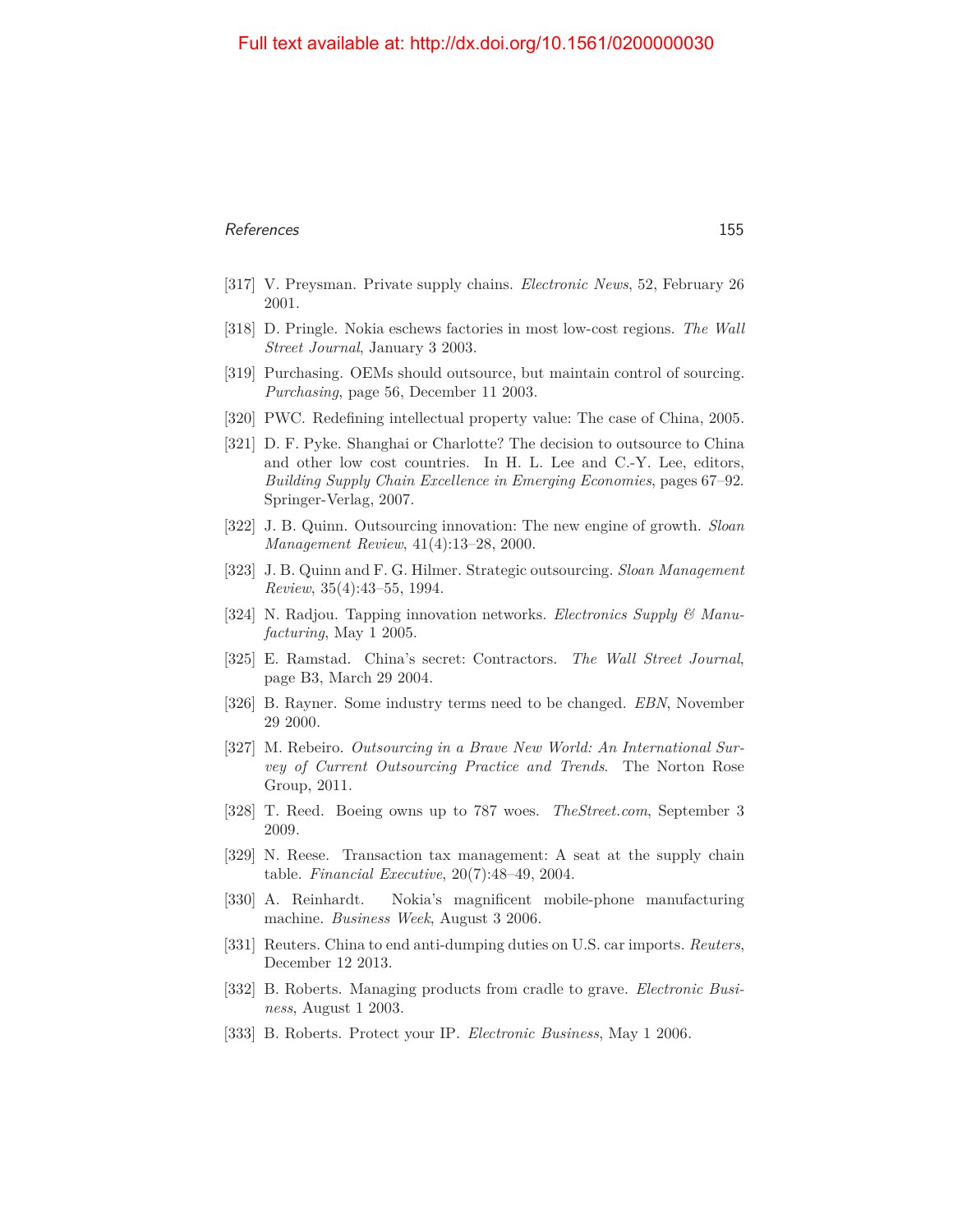### References and the set of the set of the set of the set of the set of the set of the set of the set of the set of the set of the set of the set of the set of the set of the set of the set of the set of the set of the set o

- [317] V. Preysman. Private supply chains. *Electronic News*, 52, February 26 2001.
- [318] D. Pringle. Nokia eschews factories in most low-cost regions. *The Wall Street Journal*, January 3 2003.
- [319] Purchasing. OEMs should outsource, but maintain control of sourcing. *Purchasing*, page 56, December 11 2003.
- [320] PWC. Redefining intellectual property value: The case of China, 2005.
- [321] D. F. Pyke. Shanghai or Charlotte? The decision to outsource to China and other low cost countries. In H. L. Lee and C.-Y. Lee, editors, *Building Supply Chain Excellence in Emerging Economies*, pages 67–92. Springer-Verlag, 2007.
- [322] J. B. Quinn. Outsourcing innovation: The new engine of growth. *Sloan Management Review*, 41(4):13–28, 2000.
- [323] J. B. Quinn and F. G. Hilmer. Strategic outsourcing. *Sloan Management Review*, 35(4):43–55, 1994.
- [324] N. Radjou. Tapping innovation networks. *Electronics Supply & Manufacturing*, May 1 2005.
- [325] E. Ramstad. China's secret: Contractors. *The Wall Street Journal*, page B3, March 29 2004.
- [326] B. Rayner. Some industry terms need to be changed. *EBN*, November 29 2000.
- [327] M. Rebeiro. *Outsourcing in a Brave New World: An International Survey of Current Outsourcing Practice and Trends*. The Norton Rose Group, 2011.
- [328] T. Reed. Boeing owns up to 787 woes. *TheStreet.com*, September 3 2009.
- [329] N. Reese. Transaction tax management: A seat at the supply chain table. *Financial Executive*, 20(7):48–49, 2004.
- [330] A. Reinhardt. Nokia's magnificent mobile-phone manufacturing machine. *Business Week*, August 3 2006.
- [331] Reuters. China to end anti-dumping duties on U.S. car imports. *Reuters*, December 12 2013.
- [332] B. Roberts. Managing products from cradle to grave. *Electronic Business*, August 1 2003.
- [333] B. Roberts. Protect your IP. *Electronic Business*, May 1 2006.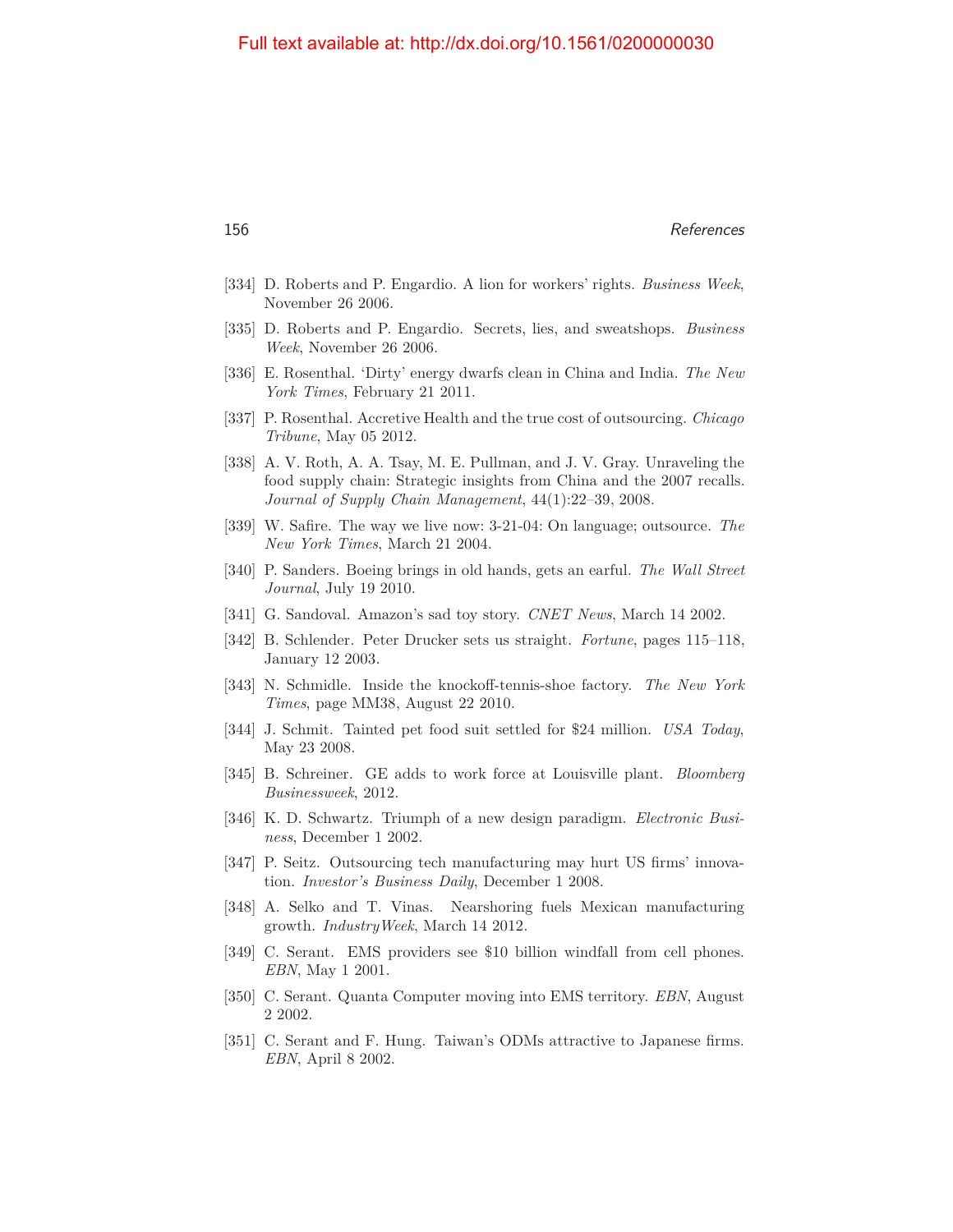- [334] D. Roberts and P. Engardio. A lion for workers' rights. *Business Week*, November 26 2006.
- [335] D. Roberts and P. Engardio. Secrets, lies, and sweatshops. *Business Week*, November 26 2006.
- [336] E. Rosenthal. 'Dirty' energy dwarfs clean in China and India. *The New York Times*, February 21 2011.
- [337] P. Rosenthal. Accretive Health and the true cost of outsourcing. *Chicago Tribune*, May 05 2012.
- [338] A. V. Roth, A. A. Tsay, M. E. Pullman, and J. V. Gray. Unraveling the food supply chain: Strategic insights from China and the 2007 recalls. *Journal of Supply Chain Management*, 44(1):22–39, 2008.
- <span id="page-36-0"></span>[339] W. Safire. The way we live now: 3-21-04: On language; outsource. *The New York Times*, March 21 2004.
- [340] P. Sanders. Boeing brings in old hands, gets an earful. *The Wall Street Journal*, July 19 2010.
- [341] G. Sandoval. Amazon's sad toy story. *CNET News*, March 14 2002.
- [342] B. Schlender. Peter Drucker sets us straight. *Fortune*, pages 115–118, January 12 2003.
- [343] N. Schmidle. Inside the knockoff-tennis-shoe factory. *The New York Times*, page MM38, August 22 2010.
- [344] J. Schmit. Tainted pet food suit settled for \$24 million. *USA Today*, May 23 2008.
- [345] B. Schreiner. GE adds to work force at Louisville plant. *Bloomberg Businessweek*, 2012.
- [346] K. D. Schwartz. Triumph of a new design paradigm. *Electronic Business*, December 1 2002.
- [347] P. Seitz. Outsourcing tech manufacturing may hurt US firms' innovation. *Investor's Business Daily*, December 1 2008.
- [348] A. Selko and T. Vinas. Nearshoring fuels Mexican manufacturing growth. *IndustryWeek*, March 14 2012.
- [349] C. Serant. EMS providers see \$10 billion windfall from cell phones. *EBN*, May 1 2001.
- [350] C. Serant. Quanta Computer moving into EMS territory. *EBN*, August 2 2002.
- [351] C. Serant and F. Hung. Taiwan's ODMs attractive to Japanese firms. *EBN*, April 8 2002.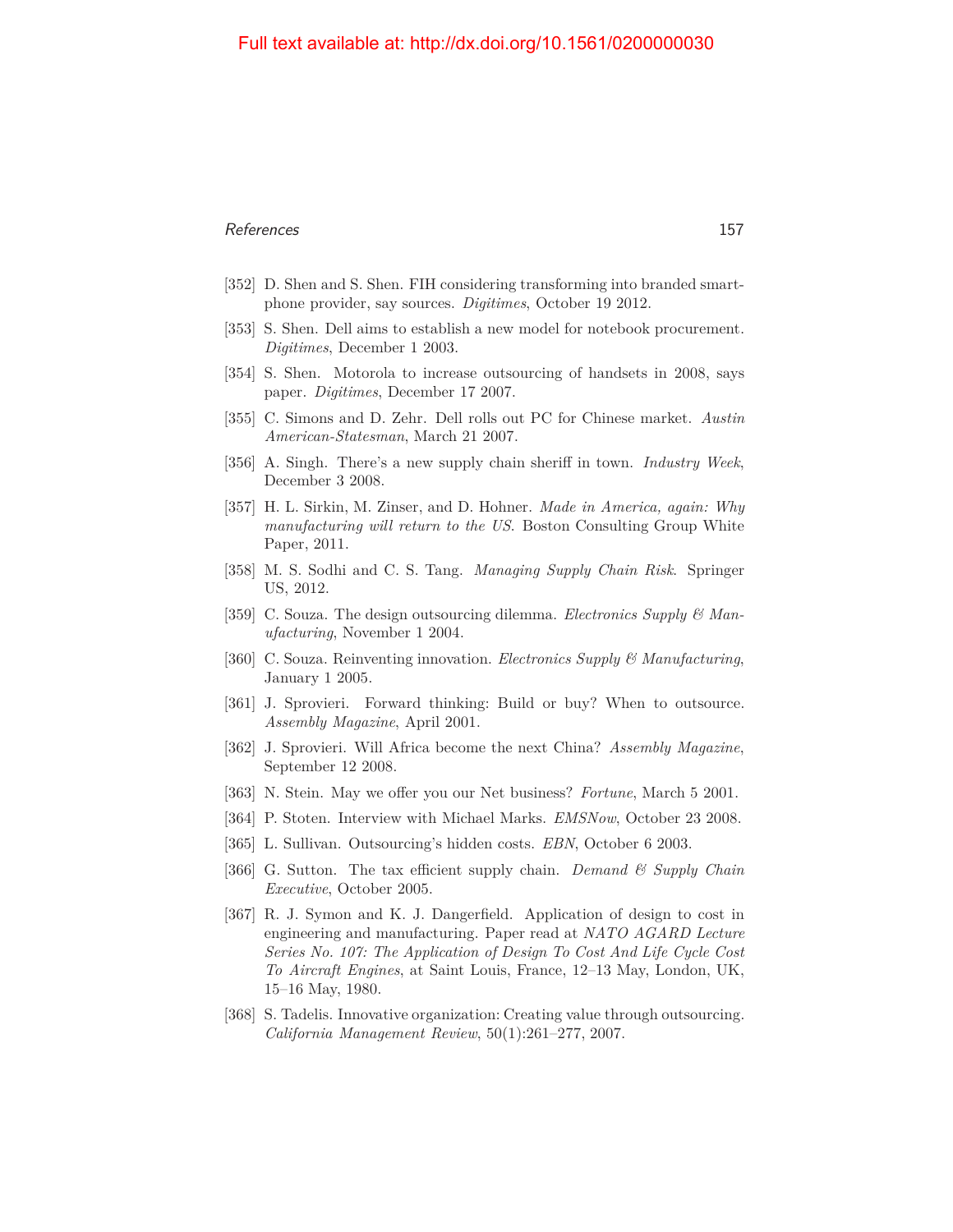- [352] D. Shen and S. Shen. FIH considering transforming into branded smartphone provider, say sources. *Digitimes*, October 19 2012.
- [353] S. Shen. Dell aims to establish a new model for notebook procurement. *Digitimes*, December 1 2003.
- [354] S. Shen. Motorola to increase outsourcing of handsets in 2008, says paper. *Digitimes*, December 17 2007.
- [355] C. Simons and D. Zehr. Dell rolls out PC for Chinese market. *Austin American-Statesman*, March 21 2007.
- [356] A. Singh. There's a new supply chain sheriff in town. *Industry Week*, December 3 2008.
- [357] H. L. Sirkin, M. Zinser, and D. Hohner. *Made in America, again: Why manufacturing will return to the US*. Boston Consulting Group White Paper, 2011.
- [358] M. S. Sodhi and C. S. Tang. *Managing Supply Chain Risk*. Springer US, 2012.
- [359] C. Souza. The design outsourcing dilemma. *Electronics Supply & Manufacturing*, November 1 2004.
- [360] C. Souza. Reinventing innovation. *Electronics Supply & Manufacturing*, January 1 2005.
- [361] J. Sprovieri. Forward thinking: Build or buy? When to outsource. *Assembly Magazine*, April 2001.
- [362] J. Sprovieri. Will Africa become the next China? *Assembly Magazine*, September 12 2008.
- [363] N. Stein. May we offer you our Net business? *Fortune*, March 5 2001.
- [364] P. Stoten. Interview with Michael Marks. *EMSNow*, October 23 2008.
- [365] L. Sullivan. Outsourcing's hidden costs. *EBN*, October 6 2003.
- [366] G. Sutton. The tax efficient supply chain. *Demand & Supply Chain Executive*, October 2005.
- [367] R. J. Symon and K. J. Dangerfield. Application of design to cost in engineering and manufacturing. Paper read at *NATO AGARD Lecture Series No. 107: The Application of Design To Cost And Life Cycle Cost To Aircraft Engines*, at Saint Louis, France, 12–13 May, London, UK, 15–16 May, 1980.
- <span id="page-37-0"></span>[368] S. Tadelis. Innovative organization: Creating value through outsourcing. *California Management Review*, 50(1):261–277, 2007.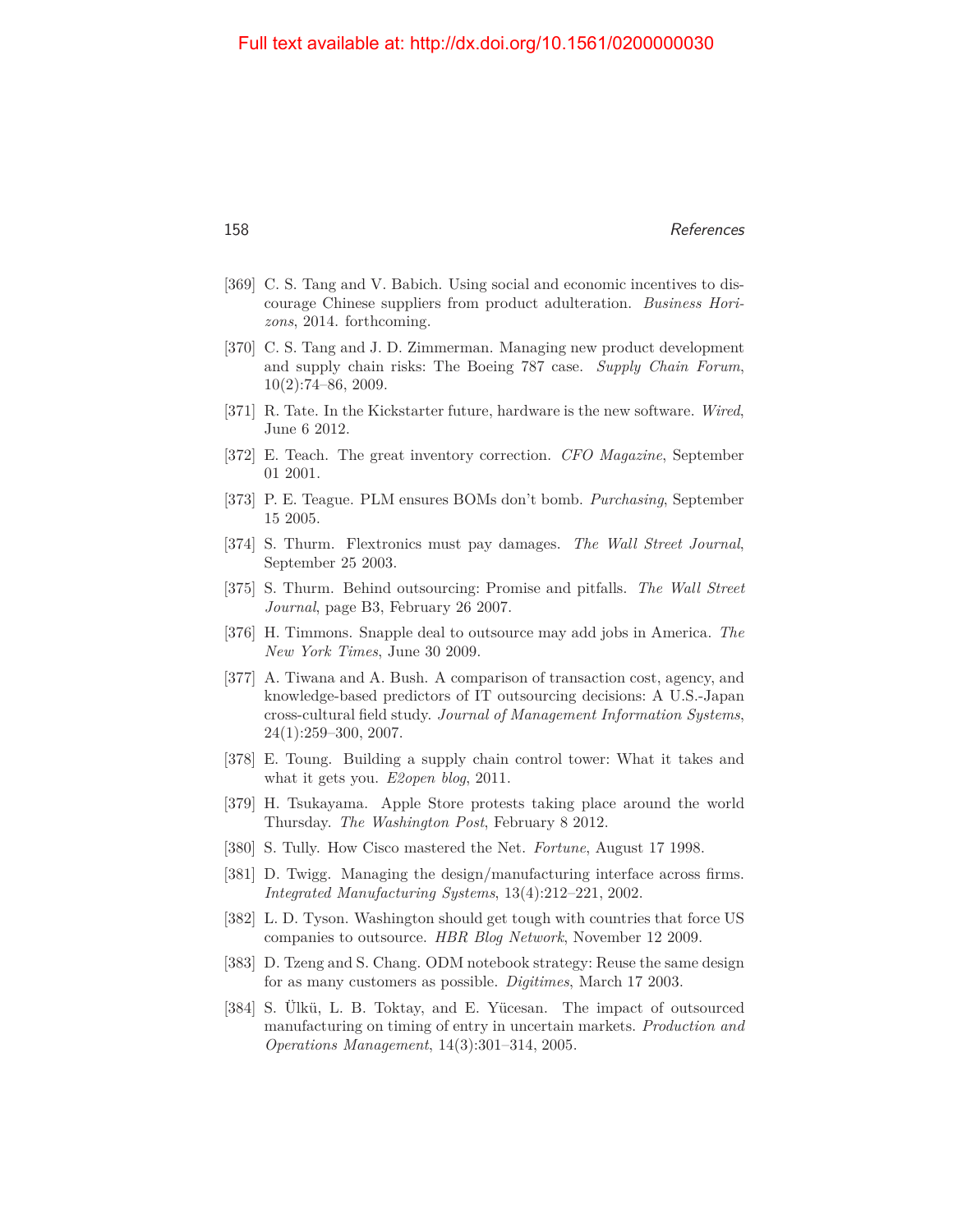#### Full text available at: http://dx.doi.org/10.1561/0200000030

- [369] C. S. Tang and V. Babich. Using social and economic incentives to discourage Chinese suppliers from product adulteration. *Business Horizons*, 2014. forthcoming.
- [370] C. S. Tang and J. D. Zimmerman. Managing new product development and supply chain risks: The Boeing 787 case. *Supply Chain Forum*, 10(2):74–86, 2009.
- [371] R. Tate. In the Kickstarter future, hardware is the new software. *Wired*, June 6 2012.
- [372] E. Teach. The great inventory correction. *CFO Magazine*, September 01 2001.
- [373] P. E. Teague. PLM ensures BOMs don't bomb. *Purchasing*, September 15 2005.
- [374] S. Thurm. Flextronics must pay damages. *The Wall Street Journal*, September 25 2003.
- [375] S. Thurm. Behind outsourcing: Promise and pitfalls. *The Wall Street Journal*, page B3, February 26 2007.
- [376] H. Timmons. Snapple deal to outsource may add jobs in America. *The New York Times*, June 30 2009.
- [377] A. Tiwana and A. Bush. A comparison of transaction cost, agency, and knowledge-based predictors of IT outsourcing decisions: A U.S.-Japan cross-cultural field study. *Journal of Management Information Systems*, 24(1):259–300, 2007.
- [378] E. Toung. Building a supply chain control tower: What it takes and what it gets you. *E2open blog*, 2011.
- [379] H. Tsukayama. Apple Store protests taking place around the world Thursday. *The Washington Post*, February 8 2012.
- [380] S. Tully. How Cisco mastered the Net. *Fortune*, August 17 1998.
- [381] D. Twigg. Managing the design/manufacturing interface across firms. *Integrated Manufacturing Systems*, 13(4):212–221, 2002.
- [382] L. D. Tyson. Washington should get tough with countries that force US companies to outsource. *HBR Blog Network*, November 12 2009.
- [383] D. Tzeng and S. Chang. ODM notebook strategy: Reuse the same design for as many customers as possible. *Digitimes*, March 17 2003.
- [384] S. Ülkü, L. B. Toktay, and E. Yücesan. The impact of outsourced manufacturing on timing of entry in uncertain markets. *Production and Operations Management*, 14(3):301–314, 2005.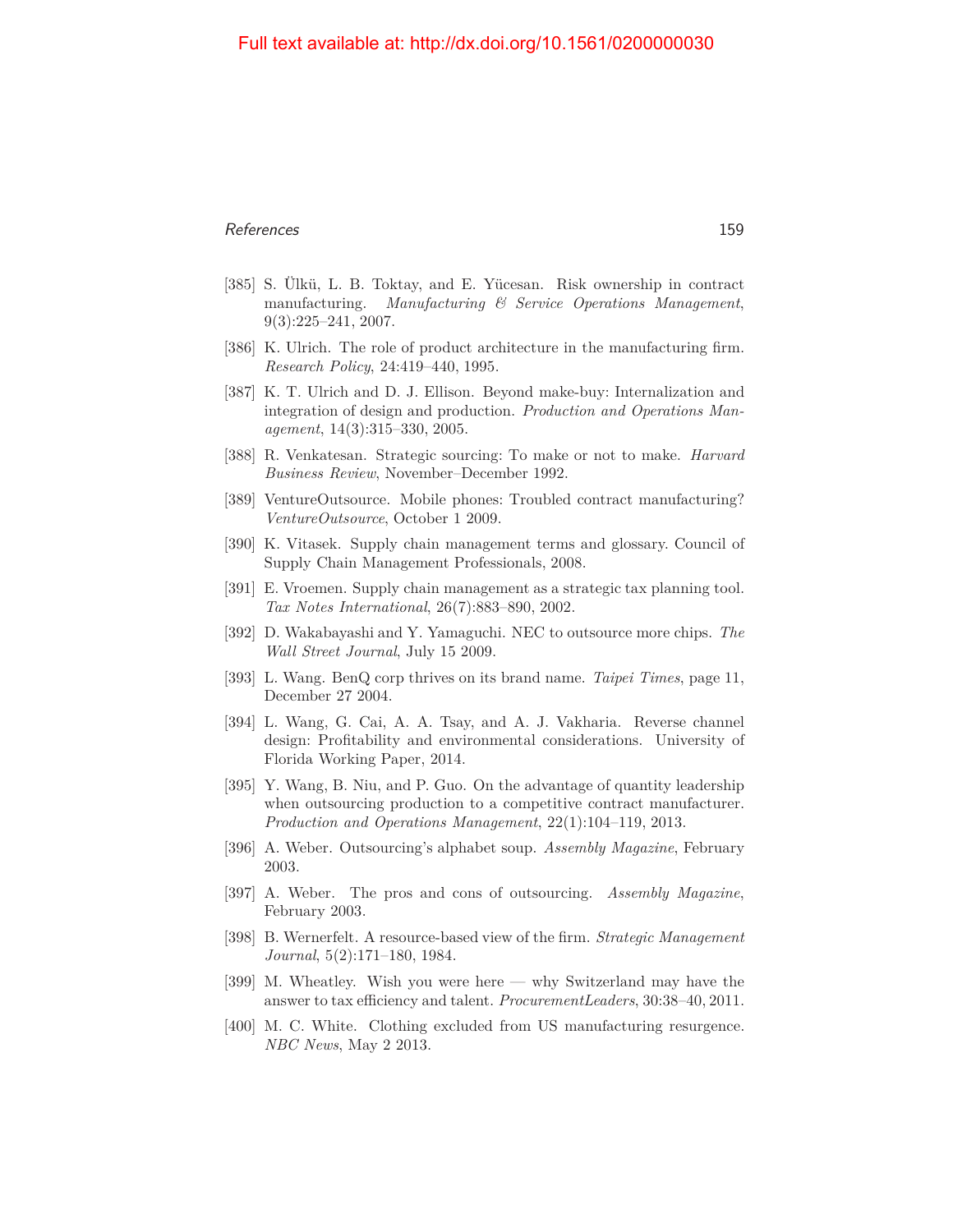### References and the set of the set of the set of the set of the set of the set of the set of the set of the set of the set of the set of the set of the set of the set of the set of the set of the set of the set of the set o

- [385] S. Ülkü, L. B. Toktay, and E. Yücesan. Risk ownership in contract manufacturing. *Manufacturing & Service Operations Management*, 9(3):225–241, 2007.
- [386] K. Ulrich. The role of product architecture in the manufacturing firm. *Research Policy*, 24:419–440, 1995.
- [387] K. T. Ulrich and D. J. Ellison. Beyond make-buy: Internalization and integration of design and production. *Production and Operations Management*, 14(3):315–330, 2005.
- [388] R. Venkatesan. Strategic sourcing: To make or not to make. *Harvard Business Review*, November–December 1992.
- [389] VentureOutsource. Mobile phones: Troubled contract manufacturing? *VentureOutsource*, October 1 2009.
- [390] K. Vitasek. Supply chain management terms and glossary. Council of Supply Chain Management Professionals, 2008.
- [391] E. Vroemen. Supply chain management as a strategic tax planning tool. *Tax Notes International*, 26(7):883–890, 2002.
- [392] D. Wakabayashi and Y. Yamaguchi. NEC to outsource more chips. *The Wall Street Journal*, July 15 2009.
- [393] L. Wang. BenQ corp thrives on its brand name. *Taipei Times*, page 11, December 27 2004.
- [394] L. Wang, G. Cai, A. A. Tsay, and A. J. Vakharia. Reverse channel design: Profitability and environmental considerations. University of Florida Working Paper, 2014.
- [395] Y. Wang, B. Niu, and P. Guo. On the advantage of quantity leadership when outsourcing production to a competitive contract manufacturer. *Production and Operations Management*, 22(1):104–119, 2013.
- [396] A. Weber. Outsourcing's alphabet soup. *Assembly Magazine*, February 2003.
- [397] A. Weber. The pros and cons of outsourcing. *Assembly Magazine*, February 2003.
- [398] B. Wernerfelt. A resource-based view of the firm. *Strategic Management Journal*, 5(2):171–180, 1984.
- [399] M. Wheatley. Wish you were here why Switzerland may have the answer to tax efficiency and talent. *ProcurementLeaders*, 30:38–40, 2011.
- [400] M. C. White. Clothing excluded from US manufacturing resurgence. *NBC News*, May 2 2013.